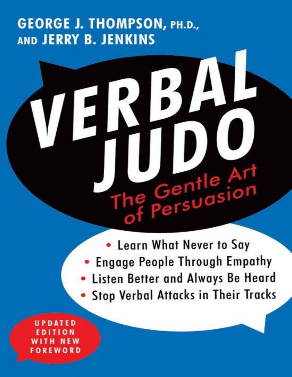# **GEORGE J. THOMPSON, PH.D.,** AND JERRY B. JENKINS

• Learn What Never to Say **Engage People Through Empathy Listen Better and Always Be Heard** . Stop Verbal Attacks in Their Tracks

UPDATED EDITION TH NEW FOREWORD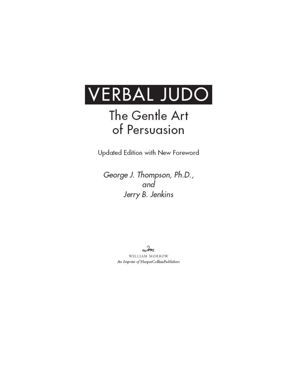

## The Gentle Art of Persuasion

Updated Edition with New Foreword

George J. Thompson, Ph.D., and Jerry B. Jenkins

> um WILLIAM MORROW An Imprint of HarperCollinsPublishers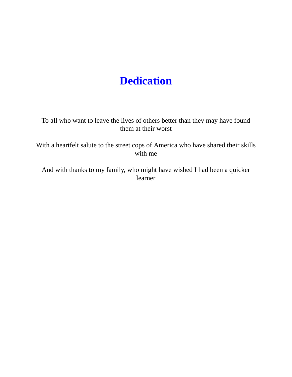## **[Dedication](#page-3-0)**

<span id="page-2-0"></span>To all who want to leave the lives of others better than they may have found them at their worst

With a heartfelt salute to the street cops of America who have shared their skills with me

And with thanks to my family, who might have wished I had been a quicker learner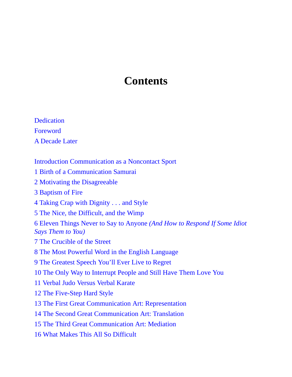## **Contents**

<span id="page-3-1"></span><span id="page-3-0"></span>**[Dedication](#page-2-0)** [Foreword](#page-5-0)

<span id="page-3-2"></span>A [Decade](#page-9-0) Later

<span id="page-3-3"></span>Introduction [Communication](#page-11-0) as a Noncontact Sport

<span id="page-3-4"></span>Birth of a [Communication](#page-14-0) Samurai

<span id="page-3-5"></span>Motivating the [Disagreeable](#page-18-0)

<span id="page-3-6"></span>[Baptism](#page-20-0) of Fire

<span id="page-3-7"></span>Taking Crap with [Dignity](#page-25-0) . . . and Style

<span id="page-3-8"></span>The Nice, the [Difficult,](#page-31-0) and the Wimp

 Eleven Things Never to Say to Anyone *(And How to [Respond](#page-37-0) If Some Idiot Says Them to You)*

The [Crucible](#page-44-0) of the Street

The Most Powerful Word in the English [Language](#page-51-0)

The [Greatest](#page-57-0) Speech You'll Ever Live to Regret

The Only Way to [Interrupt](#page-63-0) People and Still Have Them Love You

Verbal Judo [Versus](#page-69-0) Verbal Karate

The [Five-Step](#page-76-0) Hard Style

The First Great [Communication](#page-82-0) Art: Representation

The Second Great [Communication](#page-87-0) Art: Translation

The Third Great [Communication](#page-94-0) Art: Mediation

What Makes This All So [Difficult](#page-99-0)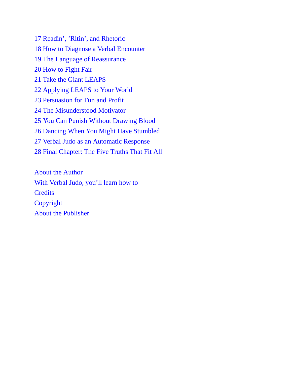Readin', 'Ritin', and [Rhetoric](#page-105-0) How to Diagnose a Verbal [Encounter](#page-114-0) The Language of [Reassurance](#page-119-0) How to [Fight](#page-125-0) Fair Take the Giant [LEAPS](#page-130-0) [Applying](#page-137-0) LEAPS to Your World [Persuasion](#page-141-0) for Fun and Profit The [Misunderstood](#page-146-0) Motivator You Can Punish Without [Drawing](#page-153-0) Blood Dancing When You Might Have [Stumbled](#page-157-0) Verbal Judo as an [Automatic](#page-166-0) Response Final [Chapter:](#page-175-0) The Five Truths That Fit All

About the [Author](#page-178-0) With [Verbal](#page-179-0) Judo, you'll learn how to **[Credits](#page-183-0)** [Copyright](#page-184-0) About the [Publisher](#page-185-0)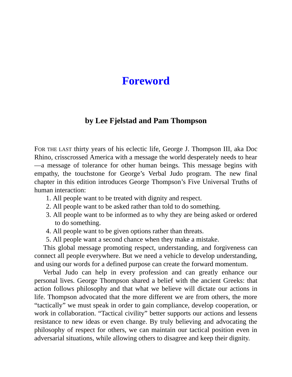## **[Foreword](#page-3-1)**

#### <span id="page-5-0"></span>**by Lee Fjelstad and Pam Thompson**

FOR THE LAST thirty years of his eclectic life, George J. Thompson III, aka Doc Rhino, crisscrossed America with a message the world desperately needs to hear —a message of tolerance for other human beings. This message begins with empathy, the touchstone for George's Verbal Judo program. The new final chapter in this edition introduces George Thompson's Five Universal Truths of human interaction:

- 1. All people want to be treated with dignity and respect.
- 2. All people want to be asked rather than told to do something.
- 3. All people want to be informed as to why they are being asked or ordered to do something.
- 4. All people want to be given options rather than threats.
- 5. All people want a second chance when they make a mistake.

This global message promoting respect, understanding, and forgiveness can connect all people everywhere. But we need a vehicle to develop understanding, and using our words for a defined purpose can create the forward momentum.

Verbal Judo can help in every profession and can greatly enhance our personal lives. George Thompson shared a belief with the ancient Greeks: that action follows philosophy and that what we believe will dictate our actions in life. Thompson advocated that the more different we are from others, the more "tactically" we must speak in order to gain compliance, develop cooperation, or work in collaboration. "Tactical civility" better supports our actions and lessens resistance to new ideas or even change. By truly believing and advocating the philosophy of respect for others, we can maintain our tactical position even in adversarial situations, while allowing others to disagree and keep their dignity.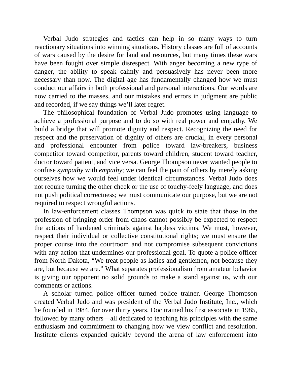Verbal Judo strategies and tactics can help in so many ways to turn reactionary situations into winning situations. History classes are full of accounts of wars caused by the desire for land and resources, but many times these wars have been fought over simple disrespect. With anger becoming a new type of danger, the ability to speak calmly and persuasively has never been more necessary than now. The digital age has fundamentally changed how we must conduct our affairs in both professional and personal interactions. Our words are now carried to the masses, and our mistakes and errors in judgment are public and recorded, if we say things we'll later regret.

The philosophical foundation of Verbal Judo promotes using language to achieve a professional purpose and to do so with real power and empathy. We build a bridge that will promote dignity and respect. Recognizing the need for respect and the preservation of dignity of others are crucial, in every personal and professional encounter from police toward law-breakers, business competitor toward competitor, parents toward children, student toward teacher, doctor toward patient, and vice versa. George Thompson never wanted people to confuse *sympathy* with *empathy*; we can feel the pain of others by merely asking ourselves how we would feel under identical circumstances. Verbal Judo does not require turning the other cheek or the use of touchy-feely language, and does not push political correctness; we must communicate our purpose, but we are not required to respect wrongful actions.

In law-enforcement classes Thompson was quick to state that those in the profession of bringing order from chaos cannot possibly be expected to respect the actions of hardened criminals against hapless victims. We must, however, respect their individual or collective constitutional rights; we must ensure the proper course into the courtroom and not compromise subsequent convictions with any action that undermines our professional goal. To quote a police officer from North Dakota, "We treat people as ladies and gentlemen, not because they are, but because we are." What separates professionalism from amateur behavior is giving our opponent no solid grounds to make a stand against us, with our comments or actions.

A scholar turned police officer turned police trainer, George Thompson created Verbal Judo and was president of the Verbal Judo Institute, Inc., which he founded in 1984, for over thirty years. Doc trained his first associate in 1985, followed by many others—all dedicated to teaching his principles with the same enthusiasm and commitment to changing how we view conflict and resolution. Institute clients expanded quickly beyond the arena of law enforcement into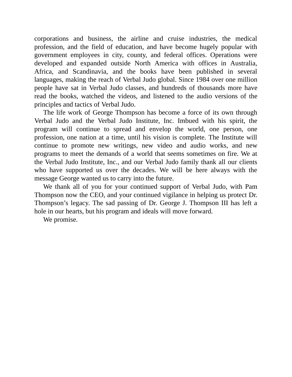corporations and business, the airline and cruise industries, the medical profession, and the field of education, and have become hugely popular with government employees in city, county, and federal offices. Operations were developed and expanded outside North America with offices in Australia, Africa, and Scandinavia, and the books have been published in several languages, making the reach of Verbal Judo global. Since 1984 over one million people have sat in Verbal Judo classes, and hundreds of thousands more have read the books, watched the videos, and listened to the audio versions of the principles and tactics of Verbal Judo.

The life work of George Thompson has become a force of its own through Verbal Judo and the Verbal Judo Institute, Inc. Imbued with his spirit, the program will continue to spread and envelop the world, one person, one profession, one nation at a time, until his vision is complete. The Institute will continue to promote new writings, new video and audio works, and new programs to meet the demands of a world that seems sometimes on fire. We at the Verbal Judo Institute, Inc., and our Verbal Judo family thank all our clients who have supported us over the decades. We will be here always with the message George wanted us to carry into the future.

We thank all of you for your continued support of Verbal Judo, with Pam Thompson now the CEO, and your continued vigilance in helping us protect Dr. Thompson's legacy. The sad passing of Dr. George J. Thompson III has left a hole in our hearts, but his program and ideals will move forward.

We promise.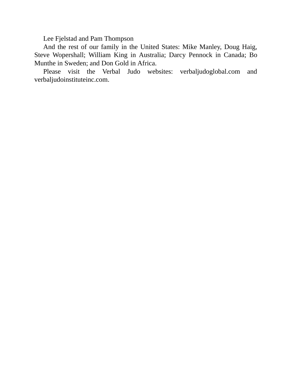Lee Fjelstad and Pam Thompson

And the rest of our family in the United States: Mike Manley, Doug Haig, Steve Wopershall; William King in Australia; Darcy Pennock in Canada; Bo Munthe in Sweden; and Don Gold in Africa.

Please visit the Verbal Judo websites: verbaljudoglobal.com and verbaljudoinstituteinc.com.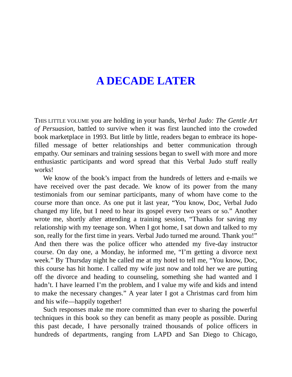### **A [DECADE](#page-3-2) LATER**

<span id="page-9-0"></span>THIS LITTLE VOLUME you are holding in your hands, *Verbal Judo: The Gentle Art of Persuasion*, battled to survive when it was first launched into the crowded book marketplace in 1993. But little by little, readers began to embrace its hopefilled message of better relationships and better communication through empathy. Our seminars and training sessions began to swell with more and more enthusiastic participants and word spread that this Verbal Judo stuff really works!

We know of the book's impact from the hundreds of letters and e-mails we have received over the past decade. We know of its power from the many testimonials from our seminar participants, many of whom have come to the course more than once. As one put it last year, "You know, Doc, Verbal Judo changed my life, but I need to hear its gospel every two years or so." Another wrote me, shortly after attending a training session, "Thanks for saving my relationship with my teenage son. When I got home, I sat down and talked to my son, really for the first time in years. Verbal Judo turned me around. Thank you!" And then there was the police officer who attended my five-day instructor course. On day one, a Monday, he informed me, "I'm getting a divorce next week." By Thursday night he called me at my hotel to tell me, "You know, Doc, this course has hit home. I called my wife just now and told her we are putting off the divorce and heading to counseling, something she had wanted and I hadn't. I have learned I'm the problem, and I value my wife and kids and intend to make the necessary changes." A year later I got a Christmas card from him and his wife—happily together!

Such responses make me more committed than ever to sharing the powerful techniques in this book so they can benefit as many people as possible. During this past decade, I have personally trained thousands of police officers in hundreds of departments, ranging from LAPD and San Diego to Chicago,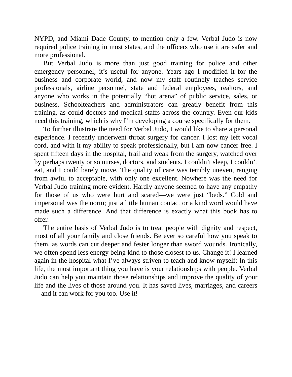NYPD, and Miami Dade County, to mention only a few. Verbal Judo is now required police training in most states, and the officers who use it are safer and more professional.

But Verbal Judo is more than just good training for police and other emergency personnel; it's useful for anyone. Years ago I modified it for the business and corporate world, and now my staff routinely teaches service professionals, airline personnel, state and federal employees, realtors, and anyone who works in the potentially "hot arena" of public service, sales, or business. Schoolteachers and administrators can greatly benefit from this training, as could doctors and medical staffs across the country. Even our kids need this training, which is why I'm developing a course specifically for them.

To further illustrate the need for Verbal Judo, I would like to share a personal experience. I recently underwent throat surgery for cancer. I lost my left vocal cord, and with it my ability to speak professionally, but I am now cancer free. I spent fifteen days in the hospital, frail and weak from the surgery, watched over by perhaps twenty or so nurses, doctors, and students. I couldn't sleep, I couldn't eat, and I could barely move. The quality of care was terribly uneven, ranging from awful to acceptable, with only one excellent. Nowhere was the need for Verbal Judo training more evident. Hardly anyone seemed to have any empathy for those of us who were hurt and scared—we were just "beds." Cold and impersonal was the norm; just a little human contact or a kind word would have made such a difference. And that difference is exactly what this book has to offer.

The entire basis of Verbal Judo is to treat people with dignity and respect, most of all your family and close friends. Be ever so careful how you speak to them, as words can cut deeper and fester longer than sword wounds. Ironically, we often spend less energy being kind to those closest to us. Change it! I learned again in the hospital what I've always striven to teach and know myself: In this life, the most important thing you have is your relationships with people. Verbal Judo can help you maintain those relationships and improve the quality of your life and the lives of those around you. It has saved lives, marriages, and careers —and it can work for you too. Use it!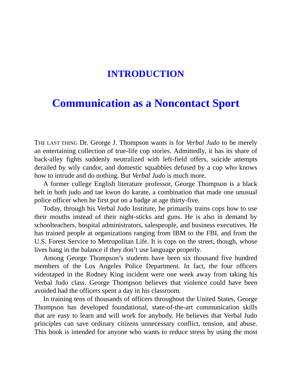#### **[INTRODUCTION](#page-3-3)**

#### <span id="page-11-0"></span>**[Communication](#page-3-3) as a Noncontact Sport**

THE LAST THING Dr. George J. Thompson wants is for *Verbal Judo* to be merely an entertaining collection of true-life cop stories. Admittedly, it has its share of back-alley fights suddenly neutralized with left-field offers, suicide attempts derailed by wily candor, and domestic squabbles defused by a cop who knows how to intrude and do nothing. But *Verbal Judo* is much more.

A former college English literature professor, George Thompson is a black belt in both judo and tae kwon do karate, a combination that made one unusual police officer when he first put on a badge at age thirty-five.

Today, through his Verbal Judo Institute, he primarily trains cops how to use their mouths instead of their night-sticks and guns. He is also in demand by schoolteachers, hospital administrators, salespeople, and business executives. He has trained people at organizations ranging from IBM to the FBI, and from the U.S. Forest Service to Metropolitan Life. It is cops on the street, though, whose lives hang in the balance if they don't use language properly.

Among George Thompson's students have been six thousand five hundred members of the Los Angeles Police Department. In fact, the four officers videotaped in the Rodney King incident were one week away from taking his Verbal Judo class. George Thompson believes that violence could have been avoided had the officers spent a day in his classroom.

In training tens of thousands of officers throughout the United States, George Thompson has developed foundational, state-of-the-art communication skills that are easy to learn and will work for anybody. He believes that Verbal Judo principles can save ordinary citizens unnecessary conflict, tension, and abuse. This book is intended for anyone who wants to reduce stress by using the most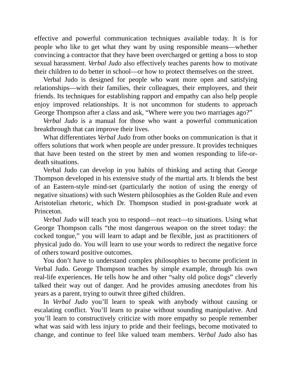effective and powerful communication techniques available today. It is for people who like to get what they want by using responsible means—whether convincing a contractor that they have been overcharged or getting a boss to stop sexual harassment. *Verbal Judo* also effectively teaches parents how to motivate their children to do better in school—or how to protect themselves on the street.

Verbal Judo is designed for people who want more open and satisfying relationships—with their families, their colleagues, their employees, and their friends. Its techniques for establishing rapport and empathy can also help people enjoy improved relationships. It is not uncommon for students to approach George Thompson after a class and ask, "Where were you two marriages ago?"

*Verbal Judo* is a manual for those who want a powerful communication breakthrough that can improve their lives.

What differentiates *Verbal Judo* from other books on communication is that it offers solutions that work when people are under pressure. It provides techniques that have been tested on the street by men and women responding to life-ordeath situations.

Verbal Judo can develop in you habits of thinking and acting that George Thompson developed in his extensive study of the martial arts. It blends the best of an Eastern-style mind-set (particularly the notion of using the energy of negative situations) with such Western philosophies as the Golden Rule and even Aristotelian rhetoric, which Dr. Thompson studied in post-graduate work at Princeton.

*Verbal Judo* will teach you to respond—not react—to situations. Using what George Thompson calls "the most dangerous weapon on the street today: the cocked tongue," you will learn to adapt and be flexible, just as practitioners of physical judo do. You will learn to use your words to redirect the negative force of others toward positive outcomes.

You don't have to understand complex philosophies to become proficient in Verbal Judo. George Thompson teaches by simple example, through his own real-life experiences. He tells how he and other "salty old police dogs" cleverly talked their way out of danger. And he provides amusing anecdotes from his years as a parent, trying to outwit three gifted children.

In *Verbal Judo* you'll learn to speak with anybody without causing or escalating conflict. You'll learn to praise without sounding manipulative. And you'll learn to constructively criticize with more empathy so people remember what was said with less injury to pride and their feelings, become motivated to change, and continue to feel like valued team members. *Verbal Judo* also has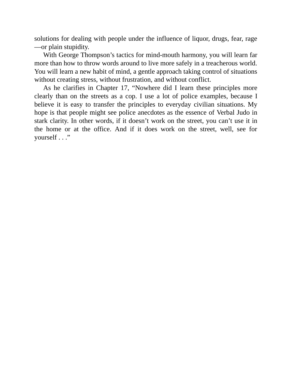solutions for dealing with people under the influence of liquor, drugs, fear, rage —or plain stupidity.

With George Thompson's tactics for mind-mouth harmony, you will learn far more than how to throw words around to live more safely in a treacherous world. You will learn a new habit of mind, a gentle approach taking control of situations without creating stress, without frustration, and without conflict.

As he clarifies in Chapter 17, "Nowhere did I learn these principles more clearly than on the streets as a cop. I use a lot of police examples, because I believe it is easy to transfer the principles to everyday civilian situations. My hope is that people might see police anecdotes as the essence of Verbal Judo in stark clarity. In other words, if it doesn't work on the street, you can't use it in the home or at the office. And if it does work on the street, well, see for yourself . . ."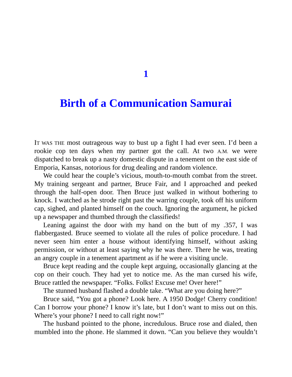**[1](#page-3-4)**

#### <span id="page-14-0"></span>**Birth of a [Communication](#page-3-4) Samurai**

IT WAS THE most outrageous way to bust up a fight I had ever seen. I'd been a rookie cop ten days when my partner got the call. At two A.M. we were dispatched to break up a nasty domestic dispute in a tenement on the east side of Emporia, Kansas, notorious for drug dealing and random violence.

We could hear the couple's vicious, mouth-to-mouth combat from the street. My training sergeant and partner, Bruce Fair, and I approached and peeked through the half-open door. Then Bruce just walked in without bothering to knock. I watched as he strode right past the warring couple, took off his uniform cap, sighed, and planted himself on the couch. Ignoring the argument, he picked up a newspaper and thumbed through the classifieds!

Leaning against the door with my hand on the butt of my .357, I was flabbergasted. Bruce seemed to violate all the rules of police procedure. I had never seen him enter a house without identifying himself, without asking permission, or without at least saying why he was there. There he was, treating an angry couple in a tenement apartment as if he were a visiting uncle.

Bruce kept reading and the couple kept arguing, occasionally glancing at the cop on their couch. They had yet to notice me. As the man cursed his wife, Bruce rattled the newspaper. "Folks. Folks! Excuse me! Over here!"

The stunned husband flashed a double take. "What are you doing here?"

Bruce said, "You got a phone? Look here. A 1950 Dodge! Cherry condition! Can I borrow your phone? I know it's late, but I don't want to miss out on this. Where's your phone? I need to call right now!"

The husband pointed to the phone, incredulous. Bruce rose and dialed, then mumbled into the phone. He slammed it down. "Can you believe they wouldn't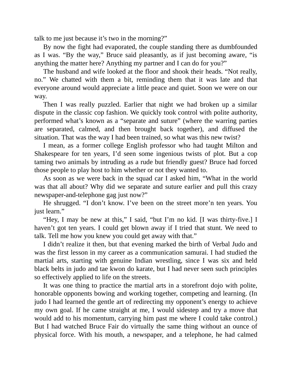talk to me just because it's two in the morning?"

By now the fight had evaporated, the couple standing there as dumbfounded as I was. "By the way," Bruce said pleasantly, as if just becoming aware, "is anything the matter here? Anything my partner and I can do for you?"

The husband and wife looked at the floor and shook their heads. "Not really, no." We chatted with them a bit, reminding them that it was late and that everyone around would appreciate a little peace and quiet. Soon we were on our way.

Then I was really puzzled. Earlier that night we had broken up a similar dispute in the classic cop fashion. We quickly took control with polite authority, performed what's known as a "separate and suture" (where the warring parties are separated, calmed, and then brought back together), and diffused the situation. That was the way I had been trained, so what was this new twist?

I mean, as a former college English professor who had taught Milton and Shakespeare for ten years, I'd seen some ingenious twists of plot. But a cop taming two animals by intruding as a rude but friendly guest? Bruce had forced those people to play host to him whether or not they wanted to.

As soon as we were back in the squad car I asked him, "What in the world was that all about? Why did we separate and suture earlier and pull this crazy newspaper-and-telephone gag just now?"

He shrugged. "I don't know. I've been on the street more'n ten years. You just learn."

"Hey, I may be new at this," I said, "but I'm no kid. [I was thirty-five.] I haven't got ten years. I could get blown away if I tried that stunt. We need to talk. Tell me how you knew you could get away with that."

I didn't realize it then, but that evening marked the birth of Verbal Judo and was the first lesson in my career as a communication samurai. I had studied the martial arts, starting with genuine Indian wrestling, since I was six and held black belts in judo and tae kwon do karate, but I had never seen such principles so effectively applied to life on the streets.

It was one thing to practice the martial arts in a storefront dojo with polite, honorable opponents bowing and working together, competing and learning. (In judo I had learned the gentle art of redirecting my opponent's energy to achieve my own goal. If he came straight at me, I would sidestep and try a move that would add to his momentum, carrying him past me where I could take control.) But I had watched Bruce Fair do virtually the same thing without an ounce of physical force. With his mouth, a newspaper, and a telephone, he had calmed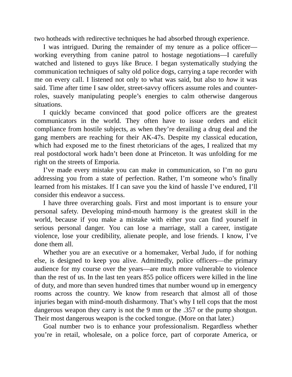two hotheads with redirective techniques he had absorbed through experience.

I was intrigued. During the remainder of my tenure as a police officer working everything from canine patrol to hostage negotiations—I carefully watched and listened to guys like Bruce. I began systematically studying the communication techniques of salty old police dogs, carrying a tape recorder with me on every call. I listened not only to what was said, but also to *how* it was said. Time after time I saw older, street-savvy officers assume roles and counterroles, suavely manipulating people's energies to calm otherwise dangerous situations.

I quickly became convinced that good police officers are the greatest communicators in the world. They often have to issue orders and elicit compliance from hostile subjects, as when they're derailing a drug deal and the gang members are reaching for their AK-47s. Despite my classical education, which had exposed me to the finest rhetoricians of the ages, I realized that my real postdoctoral work hadn't been done at Princeton. It was unfolding for me right on the streets of Emporia.

I've made every mistake you can make in communication, so I'm no guru addressing you from a state of perfection. Rather, I'm someone who's finally learned from his mistakes. If I can save you the kind of hassle I've endured, I'll consider this endeavor a success.

I have three overarching goals. First and most important is to ensure your personal safety. Developing mind-mouth harmony is the greatest skill in the world, because if you make a mistake with either you can find yourself in serious personal danger. You can lose a marriage, stall a career, instigate violence, lose your credibility, alienate people, and lose friends. I know, I've done them all.

Whether you are an executive or a homemaker, Verbal Judo, if for nothing else, is designed to keep you alive. Admittedly, police officers—the primary audience for my course over the years—are much more vulnerable to violence than the rest of us. In the last ten years 855 police officers were killed in the line of duty, and more than seven hundred times that number wound up in emergency rooms across the country. We know from research that almost all of those injuries began with mind-mouth disharmony. That's why I tell cops that the most dangerous weapon they carry is not the 9 mm or the .357 or the pump shotgun. Their most dangerous weapon is the cocked tongue. (More on that later.)

Goal number two is to enhance your professionalism. Regardless whether you're in retail, wholesale, on a police force, part of corporate America, or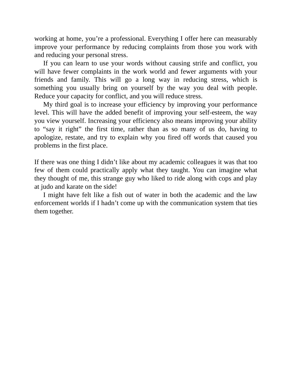working at home, you're a professional. Everything I offer here can measurably improve your performance by reducing complaints from those you work with and reducing your personal stress.

If you can learn to use your words without causing strife and conflict, you will have fewer complaints in the work world and fewer arguments with your friends and family. This will go a long way in reducing stress, which is something you usually bring on yourself by the way you deal with people. Reduce your capacity for conflict, and you will reduce stress.

My third goal is to increase your efficiency by improving your performance level. This will have the added benefit of improving your self-esteem, the way you view yourself. Increasing your efficiency also means improving your ability to "say it right" the first time, rather than as so many of us do, having to apologize, restate, and try to explain why you fired off words that caused you problems in the first place.

If there was one thing I didn't like about my academic colleagues it was that too few of them could practically apply what they taught. You can imagine what they thought of me, this strange guy who liked to ride along with cops and play at judo and karate on the side!

I might have felt like a fish out of water in both the academic and the law enforcement worlds if I hadn't come up with the communication system that ties them together.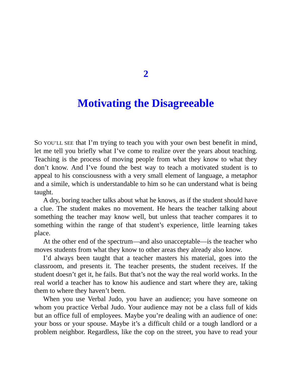**[2](#page-3-5)**

#### <span id="page-18-0"></span>**Motivating the [Disagreeable](#page-3-5)**

SO YOU'LL SEE that I'm trying to teach you with your own best benefit in mind, let me tell you briefly what I've come to realize over the years about teaching. Teaching is the process of moving people from what they know to what they don't know. And I've found the best way to teach a motivated student is to appeal to his consciousness with a very small element of language, a metaphor and a simile, which is understandable to him so he can understand what is being taught.

A dry, boring teacher talks about what he knows, as if the student should have a clue. The student makes no movement. He hears the teacher talking about something the teacher may know well, but unless that teacher compares it to something within the range of that student's experience, little learning takes place.

At the other end of the spectrum—and also unacceptable—is the teacher who moves students from what they know to other areas they already also know.

I'd always been taught that a teacher masters his material, goes into the classroom, and presents it. The teacher presents, the student receives. If the student doesn't get it, he fails. But that's not the way the real world works. In the real world a teacher has to know his audience and start where they are, taking them to where they haven't been.

When you use Verbal Judo, you have an audience; you have someone on whom you practice Verbal Judo. Your audience may not be a class full of kids but an office full of employees. Maybe you're dealing with an audience of one: your boss or your spouse. Maybe it's a difficult child or a tough landlord or a problem neighbor. Regardless, like the cop on the street, you have to read your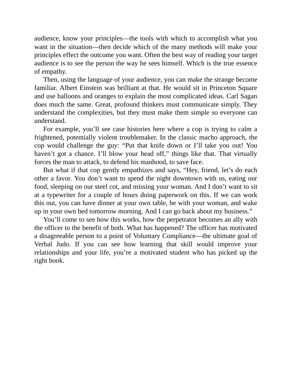audience, know your principles—the tools with which to accomplish what you want in the situation—then decide which of the many methods will make your principles effect the outcome you want. Often the best way of reading your target audience is to see the person the way he sees himself. Which is the true essence of empathy.

Then, using the language of your audience, you can make the strange become familiar. Albert Einstein was brilliant at that. He would sit in Princeton Square and use balloons and oranges to explain the most complicated ideas. Carl Sagan does much the same. Great, profound thinkers must communicate simply. They understand the complexities, but they must make them simple so everyone can understand.

For example, you'll see case histories here where a cop is trying to calm a frightened, potentially violent troublemaker. In the classic macho approach, the cop would challenge the guy: "Put that knife down or I'll take you out! You haven't got a chance. I'll blow your head off," things like that. That virtually forces the man to attack, to defend his manhood, to save face.

But what if that cop gently empathizes and says, "Hey, friend, let's do each other a favor. You don't want to spend the night downtown with us, eating our food, sleeping on our steel cot, and missing your woman. And I don't want to sit at a typewriter for a couple of hours doing paperwork on this. If we can work this out, you can have dinner at your own table, be with your woman, and wake up in your own bed tomorrow morning. And I can go back about my business."

You'll come to see how this works, how the perpetrator becomes an ally with the officer to the benefit of both. What has happened? The officer has motivated a disagreeable person to a point of Voluntary Compliance—the ultimate goal of Verbal Judo. If you can see how learning that skill would improve your relationships and your life, you're a motivated student who has picked up the right book.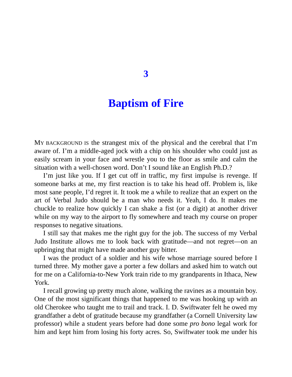**[3](#page-3-6)**

#### **[Baptism](#page-3-6) of Fire**

<span id="page-20-0"></span>MY BACKGROUND IS the strangest mix of the physical and the cerebral that I'm aware of. I'm a middle-aged jock with a chip on his shoulder who could just as easily scream in your face and wrestle you to the floor as smile and calm the situation with a well-chosen word. Don't I sound like an English Ph.D.?

I'm just like you. If I get cut off in traffic, my first impulse is revenge. If someone barks at me, my first reaction is to take his head off. Problem is, like most sane people, I'd regret it. It took me a while to realize that an expert on the art of Verbal Judo should be a man who needs it. Yeah, I do. It makes me chuckle to realize how quickly I can shake a fist (or a digit) at another driver while on my way to the airport to fly somewhere and teach my course on proper responses to negative situations.

I still say that makes me the right guy for the job. The success of my Verbal Judo Institute allows me to look back with gratitude—and not regret—on an upbringing that might have made another guy bitter.

I was the product of a soldier and his wife whose marriage soured before I turned three. My mother gave a porter a few dollars and asked him to watch out for me on a California-to-New York train ride to my grandparents in Ithaca, New York.

I recall growing up pretty much alone, walking the ravines as a mountain boy. One of the most significant things that happened to me was hooking up with an old Cherokee who taught me to trail and track. I. D. Swiftwater felt he owed my grandfather a debt of gratitude because my grandfather (a Cornell University law professor) while a student years before had done some *pro bono* legal work for him and kept him from losing his forty acres. So, Swiftwater took me under his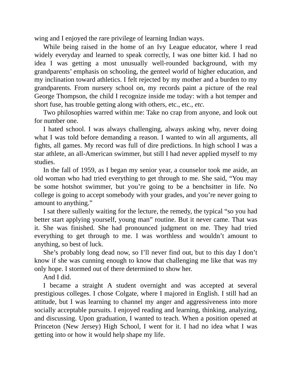wing and I enjoyed the rare privilege of learning Indian ways.

While being raised in the home of an Ivy League educator, where I read widely everyday and learned to speak correctly, I was one bitter kid. I had no idea I was getting a most unusually well-rounded background, with my grandparents' emphasis on schooling, the genteel world of higher education, and my inclination toward athletics. I felt rejected by my mother and a burden to my grandparents. From nursery school on, my records paint a picture of the real George Thompson, the child I recognize inside me today: with a hot temper and short fuse, has trouble getting along with others, etc., etc., *etc.*

Two philosophies warred within me: Take no crap from anyone, and look out for number one.

I hated school. I was always challenging, always asking why, never doing what I was told before demanding a reason. I wanted to win all arguments, all fights, all games. My record was full of dire predictions. In high school I was a star athlete, an all-American swimmer, but still I had never applied myself to my studies.

In the fall of 1959, as I began my senior year, a counselor took me aside, an old woman who had tried everything to get through to me. She said, "You may be some hotshot swimmer, but you're going to be a benchsitter in life. No college is going to accept somebody with your grades, and you're never going to amount to anything."

I sat there sullenly waiting for the lecture, the remedy, the typical "so you had better start applying yourself, young man" routine. But it never came. That was it. She was finished. She had pronounced judgment on me. They had tried everything to get through to me. I was worthless and wouldn't amount to anything, so best of luck.

She's probably long dead now, so I'll never find out, but to this day I don't know if she was cunning enough to know that challenging me like that was my only hope. I stormed out of there determined to show her.

And I did.

I became a straight A student overnight and was accepted at several prestigious colleges. I chose Colgate, where I majored in English. I still had an attitude, but I was learning to channel my anger and aggressiveness into more socially acceptable pursuits. I enjoyed reading and learning, thinking, analyzing, and discussing. Upon graduation, I wanted to teach. When a position opened at Princeton (New Jersey) High School, I went for it. I had no idea what I was getting into or how it would help shape my life.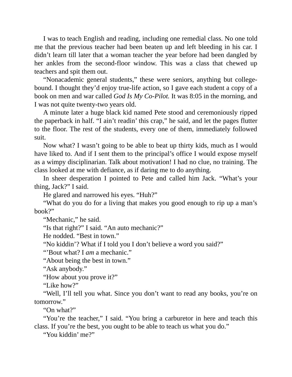I was to teach English and reading, including one remedial class. No one told me that the previous teacher had been beaten up and left bleeding in his car. I didn't learn till later that a woman teacher the year before had been dangled by her ankles from the second-floor window. This was a class that chewed up teachers and spit them out.

"Nonacademic general students," these were seniors, anything but collegebound. I thought they'd enjoy true-life action, so I gave each student a copy of a book on men and war called *God Is My Co-Pilot.* It was 8:05 in the morning, and I was not quite twenty-two years old.

A minute later a huge black kid named Pete stood and ceremoniously ripped the paperback in half. "I ain't readin' this crap," he said, and let the pages flutter to the floor. The rest of the students, every one of them, immediately followed suit.

Now what? I wasn't going to be able to beat up thirty kids, much as I would have liked to. And if I sent them to the principal's office I would expose myself as a wimpy disciplinarian. Talk about motivation! I had no clue, no training. The class looked at me with defiance, as if daring me to do anything.

In sheer desperation I pointed to Pete and called him Jack. "What's your thing, Jack?" I said.

He glared and narrowed his eyes. "Huh?"

"What do you do for a living that makes you good enough to rip up a man's book?"

"Mechanic," he said.

"Is that right?" I said. "An auto mechanic?"

He nodded. "Best in town."

"No kiddin'? What if I told you I don't believe a word you said?"

"'Bout what? I *am* a mechanic."

"About being the best in town."

"Ask anybody."

"How about you prove it?"

"Like how?"

"Well, I'll tell you what. Since you don't want to read any books, you're on tomorrow."

"On what?"

"You're the teacher," I said. "You bring a carburetor in here and teach this class. If you're the best, you ought to be able to teach us what you do."

"You kiddin' me?"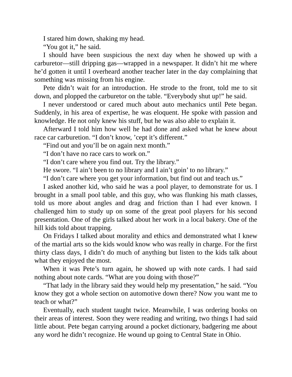I stared him down, shaking my head.

"You got it," he said.

I should have been suspicious the next day when he showed up with a carburetor—still dripping gas—wrapped in a newspaper. It didn't hit me where he'd gotten it until I overheard another teacher later in the day complaining that something was missing from his engine.

Pete didn't wait for an introduction. He strode to the front, told me to sit down, and plopped the carburetor on the table. "Everybody shut up!" he said.

I never understood or cared much about auto mechanics until Pete began. Suddenly, in his area of expertise, he was eloquent. He spoke with passion and knowledge. He not only knew his stuff, but he was also able to explain it.

Afterward I told him how well he had done and asked what he knew about race car carburetion. "I don't know, 'cept it's different."

"Find out and you'll be on again next month."

"I don't have no race cars to work on."

"I don't care where you find out. Try the library."

He swore. "I ain't been to no library and I ain't goin' to no library."

"I don't care where you get your information, but find out and teach us."

I asked another kid, who said he was a pool player, to demonstrate for us. I brought in a small pool table, and this guy, who was flunking his math classes, told us more about angles and drag and friction than I had ever known. I challenged him to study up on some of the great pool players for his second presentation. One of the girls talked about her work in a local bakery. One of the hill kids told about trapping.

On Fridays I talked about morality and ethics and demonstrated what I knew of the martial arts so the kids would know who was really in charge. For the first thirty class days, I didn't do much of anything but listen to the kids talk about what they enjoyed the most.

When it was Pete's turn again, he showed up with note cards. I had said nothing about note cards. "What are you doing with those?"

"That lady in the library said they would help my presentation," he said. "You know they got a whole section on automotive down there? Now you want me to teach or what?"

Eventually, each student taught twice. Meanwhile, I was ordering books on their areas of interest. Soon they were reading and writing, two things I had said little about. Pete began carrying around a pocket dictionary, badgering me about any word he didn't recognize. He wound up going to Central State in Ohio.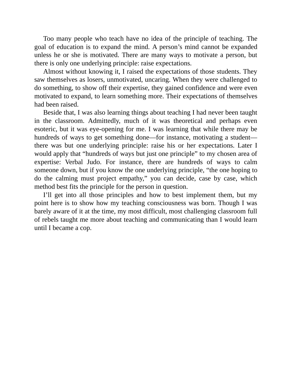Too many people who teach have no idea of the principle of teaching. The goal of education is to expand the mind. A person's mind cannot be expanded unless he or she is motivated. There are many ways to motivate a person, but there is only one underlying principle: raise expectations.

Almost without knowing it, I raised the expectations of those students. They saw themselves as losers, unmotivated, uncaring. When they were challenged to do something, to show off their expertise, they gained confidence and were even motivated to expand, to learn something more. Their expectations of themselves had been raised.

Beside that, I was also learning things about teaching I had never been taught in the classroom. Admittedly, much of it was theoretical and perhaps even esoteric, but it was eye-opening for me. I was learning that while there may be hundreds of ways to get something done—for instance, motivating a student there was but one underlying principle: raise his or her expectations. Later I would apply that "hundreds of ways but just one principle" to my chosen area of expertise: Verbal Judo. For instance, there are hundreds of ways to calm someone down, but if you know the one underlying principle, "the one hoping to do the calming must project empathy," you can decide, case by case, which method best fits the principle for the person in question.

I'll get into all those principles and how to best implement them, but my point here is to show how my teaching consciousness was born. Though I was barely aware of it at the time, my most difficult, most challenging classroom full of rebels taught me more about teaching and communicating than I would learn until I became a cop.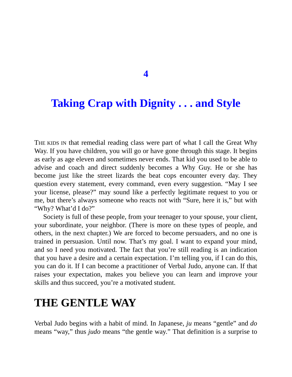#### <span id="page-25-0"></span>**Taking Crap with [Dignity](#page-3-7) . . . and Style**

THE KIDS IN that remedial reading class were part of what I call the Great Why Way. If you have children, you will go or have gone through this stage. It begins as early as age eleven and sometimes never ends. That kid you used to be able to advise and coach and direct suddenly becomes a Why Guy. He or she has become just like the street lizards the beat cops encounter every day. They question every statement, every command, even every suggestion. "May I see your license, please?" may sound like a perfectly legitimate request to you or me, but there's always someone who reacts not with "Sure, here it is," but with "Why? What'd I do?"

Society is full of these people, from your teenager to your spouse, your client, your subordinate, your neighbor. (There is more on these types of people, and others, in the next chapter.) We are forced to become persuaders, and no one is trained in persuasion. Until now. That's my goal. I want to expand your mind, and so I need you motivated. The fact that you're still reading is an indication that you have a desire and a certain expectation. I'm telling you, if I can do this, you can do it. If I can become a practitioner of Verbal Judo, anyone can. If that raises your expectation, makes you believe you can learn and improve your skills and thus succeed, you're a motivated student.

#### **THE GENTLE WAY**

Verbal Judo begins with a habit of mind. In Japanese, *ju* means "gentle" and *do* means "way," thus *judo* means "the gentle way." That definition is a surprise to

**[4](#page-3-7)**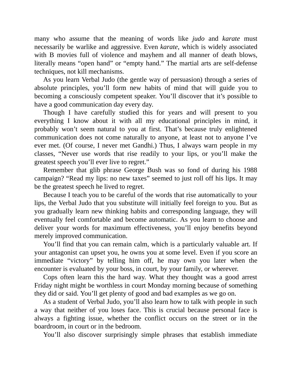many who assume that the meaning of words like *judo* and *karate* must necessarily be warlike and aggressive. Even *karate*, which is widely associated with B movies full of violence and mayhem and all manner of death blows, literally means "open hand" or "empty hand." The martial arts are self-defense techniques, not kill mechanisms.

As you learn Verbal Judo (the gentle way of persuasion) through a series of absolute principles, you'll form new habits of mind that will guide you to becoming a consciously competent speaker. You'll discover that it's possible to have a good communication day every day.

Though I have carefully studied this for years and will present to you everything I know about it with all my educational principles in mind, it probably won't seem natural to you at first. That's because truly enlightened communication does not come naturally to anyone, at least not to anyone I've ever met. (Of course, I never met Gandhi.) Thus, I always warn people in my classes, "Never use words that rise readily to your lips, or you'll make the greatest speech you'll ever live to regret."

Remember that glib phrase George Bush was so fond of during his 1988 campaign? "Read my lips: no new taxes" seemed to just roll off his lips. It may be the greatest speech he lived to regret.

Because I teach you to be careful of the words that rise automatically to your lips, the Verbal Judo that you substitute will initially feel foreign to you. But as you gradually learn new thinking habits and corresponding language, they will eventually feel comfortable and become automatic. As you learn to choose and deliver your words for maximum effectiveness, you'll enjoy benefits beyond merely improved communication.

You'll find that you can remain calm, which is a particularly valuable art. If your antagonist can upset you, he owns you at some level. Even if you score an immediate "victory" by telling him off, he may own you later when the encounter is evaluated by your boss, in court, by your family, or wherever.

Cops often learn this the hard way. What they thought was a good arrest Friday night might be worthless in court Monday morning because of something they did or said. You'll get plenty of good and bad examples as we go on.

As a student of Verbal Judo, you'll also learn how to talk with people in such a way that neither of you loses face. This is crucial because personal face is always a fighting issue, whether the conflict occurs on the street or in the boardroom, in court or in the bedroom.

You'll also discover surprisingly simple phrases that establish immediate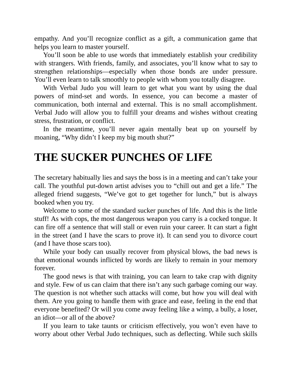empathy. And you'll recognize conflict as a gift, a communication game that helps you learn to master yourself.

You'll soon be able to use words that immediately establish your credibility with strangers. With friends, family, and associates, you'll know what to say to strengthen relationships—especially when those bonds are under pressure. You'll even learn to talk smoothly to people with whom you totally disagree.

With Verbal Judo you will learn to get what you want by using the dual powers of mind-set and words. In essence, you can become a master of communication, both internal and external. This is no small accomplishment. Verbal Judo will allow you to fulfill your dreams and wishes without creating stress, frustration, or conflict.

In the meantime, you'll never again mentally beat up on yourself by moaning, "Why didn't I keep my big mouth shut?"

## **THE SUCKER PUNCHES OF LIFE**

The secretary habitually lies and says the boss is in a meeting and can't take your call. The youthful put-down artist advises you to "chill out and get a life." The alleged friend suggests, "We've got to get together for lunch," but is always booked when you try.

Welcome to some of the standard sucker punches of life. And this is the little stuff! As with cops, the most dangerous weapon you carry is a cocked tongue. It can fire off a sentence that will stall or even ruin your career. It can start a fight in the street (and I have the scars to prove it). It can send you to divorce court (and I have those scars too).

While your body can usually recover from physical blows, the bad news is that emotional wounds inflicted by words are likely to remain in your memory forever.

The good news is that with training, you can learn to take crap with dignity and style. Few of us can claim that there isn't any such garbage coming our way. The question is not whether such attacks will come, but how you will deal with them. Are you going to handle them with grace and ease, feeling in the end that everyone benefited? Or will you come away feeling like a wimp, a bully, a loser, an idiot—or all of the above?

If you learn to take taunts or criticism effectively, you won't even have to worry about other Verbal Judo techniques, such as deflecting. While such skills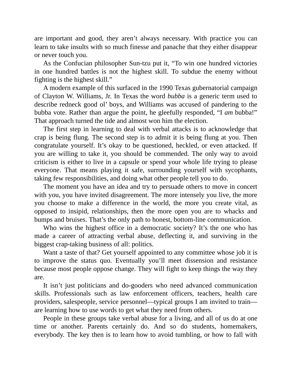are important and good, they aren't always necessary. With practice you can learn to take insults with so much finesse and panache that they either disappear or never touch you.

As the Confucian philosopher Sun-tzu put it, "To win one hundred victories in one hundred battles is not the highest skill. To subdue the enemy without fighting is the highest skill."

A modern example of this surfaced in the 1990 Texas gubernatorial campaign of Clayton W. Williams, Jr. In Texas the word *bubba* is a generic term used to describe redneck good ol' boys, and Williams was accused of pandering to the bubba vote. Rather than argue the point, he gleefully responded, "I *am* bubba!" That approach turned the tide and almost won him the election.

The first step in learning to deal with verbal attacks is to acknowledge that crap is being flung. The second step is to admit it is being flung at you. Then congratulate yourself. It's okay to be questioned, heckled, or even attacked. If you are willing to take it, you should be commended. The only way to avoid criticism is either to live in a capsule or spend your whole life trying to please everyone. That means playing it safe, surrounding yourself with sycophants, taking few responsibilities, and doing what other people tell you to do.

The moment you have an idea and try to persuade others to move in concert with you, you have invited disagreement. The more intensely you live, the more you choose to make a difference in the world, the more you create vital, as opposed to insipid, relationships, then the more open you are to whacks and bumps and bruises. That's the only path to honest, bottom-line communication.

Who wins the highest office in a democratic society? It's the one who has made a career of attracting verbal abuse, deflecting it, and surviving in the biggest crap-taking business of all: politics.

Want a taste of that? Get yourself appointed to any committee whose job it is to improve the status quo. Eventually you'll meet dissension and resistance because most people oppose change. They will fight to keep things the way they are.

It isn't just politicians and do-gooders who need advanced communication skills. Professionals such as law enforcement officers, teachers, health care providers, salespeople, service personnel—typical groups I am invited to train are learning how to use words to get what they need from others.

People in these groups take verbal abuse for a living, and all of us do at one time or another. Parents certainly do. And so do students, homemakers, everybody. The key then is to learn how to avoid tumbling, or how to fall with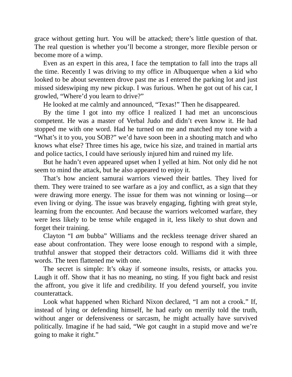grace without getting hurt. You will be attacked; there's little question of that. The real question is whether you'll become a stronger, more flexible person or become more of a wimp.

Even as an expert in this area, I face the temptation to fall into the traps all the time. Recently I was driving to my office in Albuquerque when a kid who looked to be about seventeen drove past me as I entered the parking lot and just missed sideswiping my new pickup. I was furious. When he got out of his car, I growled, "Where'd you learn to drive?"

He looked at me calmly and announced, "Texas!" Then he disappeared.

By the time I got into my office I realized I had met an unconscious competent. He was a master of Verbal Judo and didn't even know it. He had stopped me with one word. Had he turned on me and matched my tone with a "What's it to you, you SOB?" we'd have soon been in a shouting match and who knows what else? Three times his age, twice his size, and trained in martial arts and police tactics, I could have seriously injured him and ruined my life.

But he hadn't even appeared upset when I yelled at him. Not only did he not seem to mind the attack, but he also appeared to enjoy it.

That's how ancient samurai warriors viewed their battles. They lived for them. They were trained to see warfare as a joy and conflict, as a sign that they were drawing more energy. The issue for them was not winning or losing—or even living or dying. The issue was bravely engaging, fighting with great style, learning from the encounter. And because the warriors welcomed warfare, they were less likely to be tense while engaged in it, less likely to shut down and forget their training.

Clayton "I *am* bubba" Williams and the reckless teenage driver shared an ease about confrontation. They were loose enough to respond with a simple, truthful answer that stopped their detractors cold. Williams did it with three words. The teen flattened me with one.

The secret is simple: It's okay if someone insults, resists, or attacks you. Laugh it off. Show that it has no meaning, no sting. If you fight back and resist the affront, you give it life and credibility. If you defend yourself, you invite counterattack.

Look what happened when Richard Nixon declared, "I am not a crook." If, instead of lying or defending himself, he had early on merrily told the truth, without anger or defensiveness or sarcasm, he might actually have survived politically. Imagine if he had said, "We got caught in a stupid move and we're going to make it right."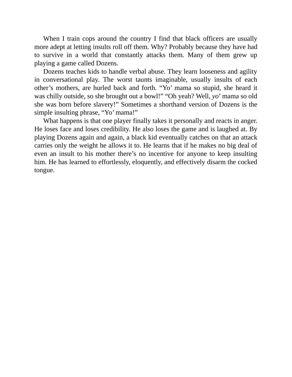When I train cops around the country I find that black officers are usually more adept at letting insults roll off them. Why? Probably because they have had to survive in a world that constantly attacks them. Many of them grew up playing a game called Dozens.

Dozens teaches kids to handle verbal abuse. They learn looseness and agility in conversational play. The worst taunts imaginable, usually insults of each other's mothers, are hurled back and forth. "Yo' mama so stupid, she heard it was chilly outside, so she brought out a bowl!" "Oh yeah? Well, *yo*' mama so old she was born before slavery!" Sometimes a shorthand version of Dozens is the simple insulting phrase, "Yo' mama!"

What happens is that one player finally takes it personally and reacts in anger. He loses face and loses credibility. He also loses the game and is laughed at. By playing Dozens again and again, a black kid eventually catches on that an attack carries only the weight he allows it to. He learns that if he makes no big deal of even an insult to his mother there's no incentive for anyone to keep insulting him. He has learned to effortlessly, eloquently, and effectively disarm the cocked tongue.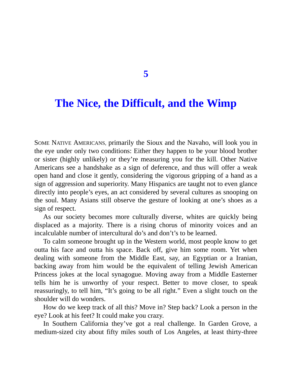### <span id="page-31-0"></span>**The Nice, the [Difficult,](#page-3-8) and the Wimp**

SOME NATIVE AMERICANS, primarily the Sioux and the Navaho, will look you in the eye under only two conditions: Either they happen to be your blood brother or sister (highly unlikely) or they're measuring you for the kill. Other Native Americans see a handshake as a sign of deference, and thus will offer a weak open hand and close it gently, considering the vigorous gripping of a hand as a sign of aggression and superiority. Many Hispanics are taught not to even glance directly into people's eyes, an act considered by several cultures as snooping on the soul. Many Asians still observe the gesture of looking at one's shoes as a sign of respect.

As our society becomes more culturally diverse, whites are quickly being displaced as a majority. There is a rising chorus of minority voices and an incalculable number of intercultural do's and don't's to be learned.

To calm someone brought up in the Western world, most people know to get outta his face and outta his space. Back off, give him some room. Yet when dealing with someone from the Middle East, say, an Egyptian or a Iranian, backing away from him would be the equivalent of telling Jewish American Princess jokes at the local synagogue. Moving away from a Middle Easterner tells him he is unworthy of your respect. Better to move closer, to speak reassuringly, to tell him, "It's going to be all right." Even a slight touch on the shoulder will do wonders.

How do we keep track of all this? Move in? Step back? Look a person in the eye? Look at his feet? It could make you crazy.

In Southern California they've got a real challenge. In Garden Grove, a medium-sized city about fifty miles south of Los Angeles, at least thirty-three

**[5](#page-3-8)**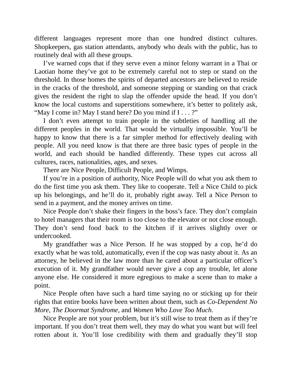different languages represent more than one hundred distinct cultures. Shopkeepers, gas station attendants, anybody who deals with the public, has to routinely deal with all these groups.

I've warned cops that if they serve even a minor felony warrant in a Thai or Laotian home they've got to be extremely careful not to step or stand on the threshold. In those homes the spirits of departed ancestors are believed to reside in the cracks of the threshold, and someone stepping or standing on that crack gives the resident the right to slap the offender upside the head. If you don't know the local customs and superstitions somewhere, it's better to politely ask, "May I come in? May I stand here? Do you mind if I . . . ?"

I don't even attempt to train people in the subtleties of handling all the different peoples in the world. That would be virtually impossible. You'll be happy to know that there is a far simpler method for effectively dealing with people. All you need know is that there are three basic types of people in the world, and each should be handled differently. These types cut across all cultures, races, nationalities, ages, and sexes.

There are Nice People, Difficult People, and Wimps.

If you're in a position of authority, Nice People will do what you ask them to do the first time you ask them. They like to cooperate. Tell a Nice Child to pick up his belongings, and he'll do it, probably right away. Tell a Nice Person to send in a payment, and the money arrives on time.

Nice People don't shake their fingers in the boss's face. They don't complain to hotel managers that their room is too close to the elevator or not close enough. They don't send food back to the kitchen if it arrives slightly over or undercooked.

My grandfather was a Nice Person. If he was stopped by a cop, he'd do exactly what he was told, automatically, even if the cop was nasty about it. As an attorney, he believed in the law more than he cared about a particular officer's execution of it. My grandfather would never give a cop any trouble, let alone anyone else. He considered it more egregious to make a scene than to make a point.

Nice People often have such a hard time saying no or sticking up for their rights that entire books have been written about them, such as *Co-Dependent No More, The Doormat Syndrome,* and *Women Who Love Too Much.*

Nice People are not your problem, but it's still wise to treat them as if they're important. If you don't treat them well, they may do what you want but will feel rotten about it. You'll lose credibility with them and gradually they'll stop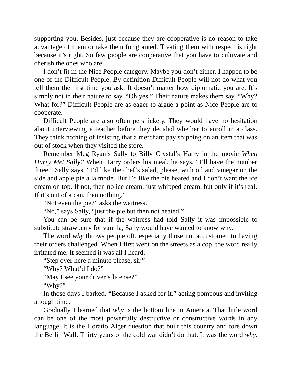supporting you. Besides, just because they are cooperative is no reason to take advantage of them or take them for granted. Treating them with respect is right because it's right. So few people are cooperative that you have to cultivate and cherish the ones who are.

I don't fit in the Nice People category. Maybe you don't either. I happen to be one of the Difficult People. By definition Difficult People will not do what you tell them the first time you ask. It doesn't matter how diplomatic you are. It's simply not in their nature to say, "Oh yes." Their nature makes them say, "Why? What for?" Difficult People are as eager to argue a point as Nice People are to cooperate.

Difficult People are also often persnickety. They would have no hesitation about interviewing a teacher before they decided whether to enroll in a class. They think nothing of insisting that a merchant pay shipping on an item that was out of stock when they visited the store.

Remember Meg Ryan's Sally to Billy Crystal's Harry in the movie *When Harry Met Sally?* When Harry orders his meal, he says, "I'll have the number three." Sally says, "I'd like the chef's salad, please, with oil and vinegar on the side and apple pie à la mode. But I'd like the pie heated and I don't want the ice cream on top. If not, then no ice cream, just whipped cream, but only if it's real. If it's out of a can, then nothing."

"Not even the pie?" asks the waitress.

"No," says Sally, "just the pie but then not heated."

You can be sure that if the waitress had told Sally it was impossible to substitute strawberry for vanilla, Sally would have wanted to know why.

The word *why* throws people off, especially those not accustomed to having their orders challenged. When I first went on the streets as a cop, the word really irritated me. It seemed it was all I heard.

"Step over here a minute please, sir."

"Why? What'd I do?"

"May I see your driver's license?"

"Why?"

In those days I barked, "Because I asked for it," acting pompous and inviting a tough time.

Gradually I learned that *why* is the bottom line in America. That little word can be one of the most powerfully destructive or constructive words in any language. It is the Horatio Alger question that built this country and tore down the Berlin Wall. Thirty years of the cold war didn't do that. It was the word *why.*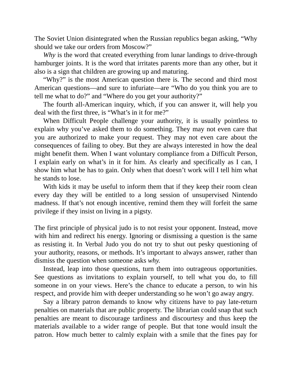The Soviet Union disintegrated when the Russian republics began asking, "Why should we take our orders from Moscow?"

*Why* is the word that created everything from lunar landings to drive-through hamburger joints. It is the word that irritates parents more than any other, but it also is a sign that children are growing up and maturing.

"Why?" is the most American question there is. The second and third most American questions—and sure to infuriate—are "Who do you think you are to tell me what to do?" and "Where do you get your authority?"

The fourth all-American inquiry, which, if you can answer it, will help you deal with the first three, is "What's in it for me?"

When Difficult People challenge your authority, it is usually pointless to explain why you've asked them to do something. They may not even care that you are authorized to make your request. They may not even care about the consequences of failing to obey. But they are always interested in how the deal might benefit them. When I want voluntary compliance from a Difficult Person, I explain early on what's in it for him. As clearly and specifically as I can, I show him what he has to gain. Only when that doesn't work will I tell him what he stands to lose.

With kids it may be useful to inform them that if they keep their room clean every day they will be entitled to a long session of unsupervised Nintendo madness. If that's not enough incentive, remind them they will forfeit the same privilege if they insist on living in a pigsty.

The first principle of physical judo is to not resist your opponent. Instead, move with him and redirect his energy. Ignoring or dismissing a question is the same as resisting it. In Verbal Judo you do not try to shut out pesky questioning of your authority, reasons, or methods. It's important to always answer, rather than dismiss the question when someone asks *why.*

Instead, leap into those questions, turn them into outrageous opportunities. See questions as invitations to explain yourself, to tell what you do, to fill someone in on your views. Here's the chance to educate a person, to win his respect, and provide him with deeper understanding so he won't go away angry.

Say a library patron demands to know why citizens have to pay late-return penalties on materials that are public property. The librarian could snap that such penalties are meant to discourage tardiness and discourtesy and thus keep the materials available to a wider range of people. But that tone would insult the patron. How much better to calmly explain with a smile that the fines pay for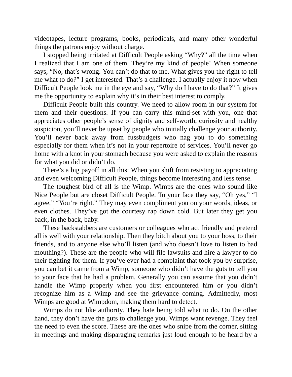videotapes, lecture programs, books, periodicals, and many other wonderful things the patrons enjoy without charge.

I stopped being irritated at Difficult People asking "Why?" all the time when I realized that I am one of them. They're my kind of people! When someone says, "No, that's wrong. You can't do that to me. What gives you the right to tell me what to do?" I get interested. That's a challenge. I actually enjoy it now when Difficult People look me in the eye and say, "Why do I have to do that?" It gives me the opportunity to explain why it's in their best interest to comply.

Difficult People built this country. We need to allow room in our system for them and their questions. If you can carry this mind-set with you, one that appreciates other people's sense of dignity and self-worth, curiosity and healthy suspicion, you'll never be upset by people who initially challenge your authority. You'll never back away from fussbudgets who nag you to do something especially for them when it's not in your repertoire of services. You'll never go home with a knot in your stomach because you were asked to explain the reasons for what you did or didn't do.

There's a big payoff in all this: When you shift from resisting to appreciating and even welcoming Difficult People, things become interesting and less tense.

The toughest bird of all is the Wimp. Wimps are the ones who sound like Nice People but are closet Difficult People. To your face they say, "Oh yes," "I agree," "You're right." They may even compliment you on your words, ideas, or even clothes. They've got the courtesy rap down cold. But later they get you back, in the back, baby.

These backstabbers are customers or colleagues who act friendly and pretend all is well with your relationship. Then they bitch about you to your boss, to their friends, and to anyone else who'll listen (and who doesn't love to listen to bad mouthing?). These are the people who will file lawsuits and hire a lawyer to do their fighting for them. If you've ever had a complaint that took you by surprise, you can bet it came from a Wimp, someone who didn't have the guts to tell you to your face that he had a problem. Generally you can assume that you didn't handle the Wimp properly when you first encountered him or you didn't recognize him as a Wimp and see the grievance coming. Admittedly, most Wimps are good at Wimpdom, making them hard to detect.

Wimps do not like authority. They hate being told what to do. On the other hand, they don't have the guts to challenge you. Wimps want revenge. They feel the need to even the score. These are the ones who snipe from the corner, sitting in meetings and making disparaging remarks just loud enough to be heard by a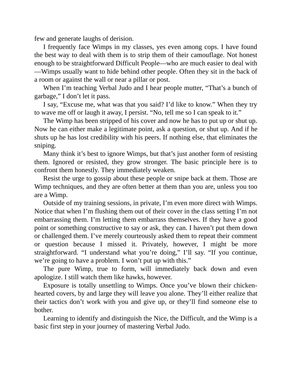few and generate laughs of derision.

I frequently face Wimps in my classes, yes even among cops. I have found the best way to deal with them is to strip them of their camouflage. Not honest enough to be straightforward Difficult People—who are much easier to deal with —Wimps usually want to hide behind other people. Often they sit in the back of a room or against the wall or near a pillar or post.

When I'm teaching Verbal Judo and I hear people mutter, "That's a bunch of garbage," I don't let it pass.

I say, "Excuse me, what was that you said? I'd like to know." When they try to wave me off or laugh it away, I persist. "No, tell me so I can speak to it."

The Wimp has been stripped of his cover and now he has to put up or shut up. Now he can either make a legitimate point, ask a question, or shut up. And if he shuts up he has lost credibility with his peers. If nothing else, that eliminates the sniping.

Many think it's best to ignore Wimps, but that's just another form of resisting them. Ignored or resisted, they grow stronger. The basic principle here is to confront them honestly. They immediately weaken.

Resist the urge to gossip about these people or snipe back at them. Those are Wimp techniques, and they are often better at them than you are, unless you too are a Wimp.

Outside of my training sessions, in private, I'm even more direct with Wimps. Notice that when I'm flushing them out of their cover in the class setting I'm not embarrassing them. I'm letting them embarrass themselves. If they have a good point or something constructive to say or ask, they can. I haven't put them down or challenged them. I've merely courteously asked them to repeat their comment or question because I missed it. Privately, however, I might be more straightforward. "I understand what you're doing," I'll say. "If you continue, we're going to have a problem. I won't put up with this."

The pure Wimp, true to form, will immediately back down and even apologize. I still watch them like hawks, however.

Exposure is totally unsettling to Wimps. Once you've blown their chickenhearted covers, by and large they will leave you alone. They'll either realize that their tactics don't work with you and give up, or they'll find someone else to bother.

Learning to identify and distinguish the Nice, the Difficult, and the Wimp is a basic first step in your journey of mastering Verbal Judo.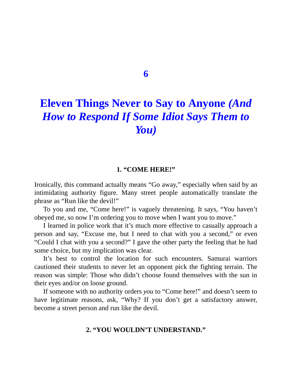# **Eleven Things Never to Say to Anyone** *(And How to [Respond](#page-3-0) If Some Idiot Says Them to*

*You)*

#### **1. "COME HERE!"**

Ironically, this command actually means "Go away," especially when said by an intimidating authority figure. Many street people automatically translate the phrase as "Run like the devil!"

To you and me, "Come here!" is vaguely threatening. It says, "You haven't obeyed me, so now I'm ordering you to move when I want you to move."

I learned in police work that it's much more effective to casually approach a person and say, "Excuse me, but I need to chat with you a second," or even "Could I chat with you a second?" I gave the other party the feeling that he had some choice, but my implication was clear.

It's best to control the location for such encounters. Samurai warriors cautioned their students to never let an opponent pick the fighting terrain. The reason was simple: Those who didn't choose found themselves with the sun in their eyes and/or on loose ground.

If someone with no authority orders *you* to "Come here!" and doesn't seem to have legitimate reasons, ask, "Why? If you don't get a satisfactory answer, become a street person and run like the devil.

#### **2. "YOU WOULDN'T UNDERSTAND."**

**[6](#page-3-0)**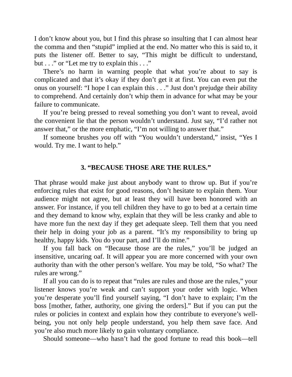I don't know about you, but I find this phrase so insulting that I can almost hear the comma and then "stupid" implied at the end. No matter who this is said to, it puts the listener off. Better to say, "This might be difficult to understand, but . . ." or "Let me try to explain this . . ."

There's no harm in warning people that what you're about to say is complicated and that it's okay if they don't get it at first. You can even put the onus on yourself: "I hope I can explain this . . ." Just don't prejudge their ability to comprehend. And certainly don't whip them in advance for what may be your failure to communicate.

If you're being pressed to reveal something you don't want to reveal, avoid the convenient lie that the person wouldn't understand. Just say, "I'd rather not answer that," or the more emphatic, "I'm not willing to answer that."

If someone brushes *you* off with "You wouldn't understand," insist, "Yes I would. Try me. I want to help."

#### **3. "BECAUSE THOSE ARE THE RULES."**

That phrase would make just about anybody want to throw up. But if you're enforcing rules that exist for good reasons, don't hesitate to explain them. Your audience might not agree, but at least they will have been honored with an answer. For instance, if you tell children they have to go to bed at a certain time and they demand to know why, explain that they will be less cranky and able to have more fun the next day if they get adequate sleep. Tell them that you need their help in doing your job as a parent. "It's my responsibility to bring up healthy, happy kids. You do your part, and I'll do mine."

If you fall back on "Because those are the rules," you'll be judged an insensitive, uncaring oaf. It will appear you are more concerned with your own authority than with the other person's welfare. You may be told, "So what? The rules are wrong."

If all you can do is to repeat that "rules are rules and those are the rules," your listener knows you're weak and can't support your order with logic. When you're desperate you'll find yourself saying, "I don't have to explain; I'm the boss [mother, father, authority, one giving the orders]." But if you can put the rules or policies in context and explain how they contribute to everyone's wellbeing, you not only help people understand, you help them save face. And you're also much more likely to gain voluntary compliance.

Should someone—who hasn't had the good fortune to read this book—tell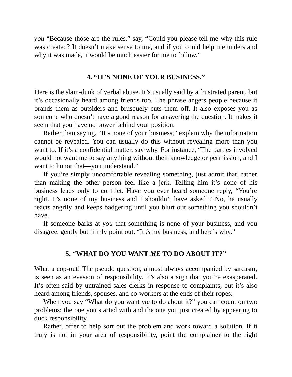*you* "Because those are the rules," say, "Could you please tell me why this rule was created? It doesn't make sense to me, and if you could help me understand why it was made, it would be much easier for me to follow."

#### **4. "IT'S NONE OF YOUR BUSINESS."**

Here is the slam-dunk of verbal abuse. It's usually said by a frustrated parent, but it's occasionally heard among friends too. The phrase angers people because it brands them as outsiders and brusquely cuts them off. It also exposes you as someone who doesn't have a good reason for answering the question. It makes it seem that you have no power behind your position.

Rather than saying, "It's none of your business," explain why the information cannot be revealed. You can usually do this without revealing more than you want to. If it's a confidential matter, say why. For instance, "The parties involved would not want me to say anything without their knowledge or permission, and I want to honor that—you understand."

If you're simply uncomfortable revealing something, just admit that, rather than making the other person feel like a jerk. Telling him it's none of his business leads only to conflict. Have you ever heard someone reply, "You're right. It's none of my business and I shouldn't have asked"? No, he usually reacts angrily and keeps badgering until you blurt out something you shouldn't have.

If someone barks at *you* that something is none of your business, and you disagree, gently but firmly point out, "It *is* my business, and here's why."

#### **5. "WHAT DO YOU WANT** *ME* **TO DO ABOUT IT?"**

What a cop-out! The pseudo question, almost always accompanied by sarcasm, is seen as an evasion of responsibility. It's also a sign that you're exasperated. It's often said by untrained sales clerks in response to complaints, but it's also heard among friends, spouses, and co-workers at the ends of their ropes.

When you say "What do you want *me* to do about it?" you can count on two problems: the one you started with and the one you just created by appearing to duck responsibility.

Rather, offer to help sort out the problem and work toward a solution. If it truly is not in your area of responsibility, point the complainer to the right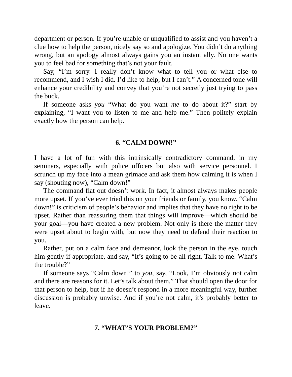department or person. If you're unable or unqualified to assist and you haven't a clue how to help the person, nicely say so and apologize. You didn't do anything wrong, but an apology almost always gains you an instant ally. No one wants you to feel bad for something that's not your fault.

Say, "I'm sorry. I really don't know what to tell you or what else to recommend, and I wish I did. I'd like to help, but I can't." A concerned tone will enhance your credibility and convey that you're not secretly just trying to pass the buck.

If someone asks *you* "What do you want *me* to do about it?" start by explaining, "I want you to listen to me and help me." Then politely explain exactly how the person can help.

#### **6. "CALM DOWN!"**

I have a lot of fun with this intrinsically contradictory command, in my seminars, especially with police officers but also with service personnel. I scrunch up my face into a mean grimace and ask them how calming it is when I say (shouting now), "Calm down!"

The command flat out doesn't work. In fact, it almost always makes people more upset. If you've ever tried this on your friends or family, you know. "Calm down!" is criticism of people's behavior and implies that they have no right to be upset. Rather than reassuring them that things will improve—which should be your goal—you have created a new problem. Not only is there the matter they were upset about to begin with, but now they need to defend their reaction to you.

Rather, put on a calm face and demeanor, look the person in the eye, touch him gently if appropriate, and say, "It's going to be all right. Talk to me. What's the trouble?"

If someone says "Calm down!" to *you*, say, "Look, I'm obviously not calm and there are reasons for it. Let's talk about them." That should open the door for that person to help, but if he doesn't respond in a more meaningful way, further discussion is probably unwise. And if you're not calm, it's probably better to leave.

#### **7. "WHAT'S YOUR PROBLEM?"**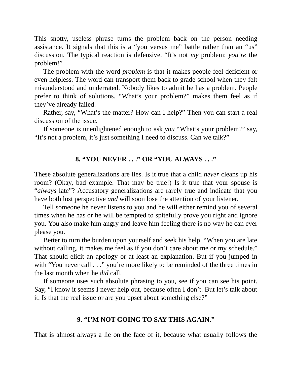This snotty, useless phrase turns the problem back on the person needing assistance. It signals that this is a "you versus me" battle rather than an "us" discussion. The typical reaction is defensive. "It's not *my* problem; *you're* the problem!"

The problem with the word *problem* is that it makes people feel deficient or even helpless. The word can transport them back to grade school when they felt misunderstood and underrated. Nobody likes to admit he has a problem. People prefer to think of solutions. "What's your problem?" makes them feel as if they've already failed.

Rather, say, "What's the matter? How can I help?" Then you can start a real discussion of the issue.

If someone is unenlightened enough to ask *you* "What's your problem?" say, "It's not a problem, it's just something I need to discuss. Can we talk?"

#### **8. "YOU NEVER . . ." OR "YOU ALWAYS . . ."**

These absolute generalizations are lies. Is it true that a child *never* cleans up his room? (Okay, bad example. That may be true!) Is it true that your spouse is "*always* late"? Accusatory generalizations are rarely true and indicate that you have both lost perspective *and* will soon lose the attention of your listener.

Tell someone he never listens to you and he will either remind you of several times when he has or he will be tempted to spitefully prove you right and ignore you. You also make him angry and leave him feeling there is no way he can ever please you.

Better to turn the burden upon yourself and seek his help. "When you are late without calling, it makes me feel as if you don't care about me or my schedule." That should elicit an apology or at least an explanation. But if you jumped in with "You never call . . ." you're more likely to be reminded of the three times in the last month when he *did* call.

If someone uses such absolute phrasing to you, see if you can see his point. Say, "I know it seems I never help out, because often I don't. But let's talk about it. Is that the real issue or are you upset about something else?"

#### **9. "I'M NOT GOING TO SAY THIS AGAIN."**

That is almost always a lie on the face of it, because what usually follows the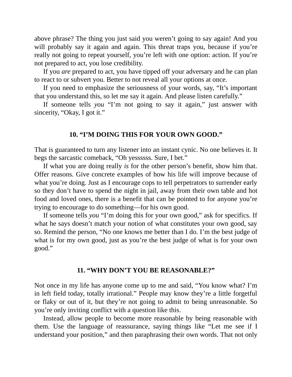above phrase? The thing you just said you weren't going to say again! And you will probably say it again and again. This threat traps you, because if you're really not going to repeat yourself, you're left with one option: action. If you're not prepared to act, you lose credibility.

If you *are* prepared to act, you have tipped off your adversary and he can plan to react to or subvert you. Better to not reveal all your options at once.

If you need to emphasize the seriousness of your words, say, "It's important that you understand this, so let me say it again. And please listen carefully."

If someone tells *you* "I'm not going to say it again," just answer with sincerity, "Okay, I got it."

#### **10. "I'M DOING THIS FOR YOUR OWN GOOD."**

That is guaranteed to turn any listener into an instant cynic. No one believes it. It begs the sarcastic comeback, "Oh yessssss. Sure, I bet."

If what you are doing really *is* for the other person's benefit, show him that. Offer reasons. Give concrete examples of how his life will improve because of what you're doing. Just as I encourage cops to tell perpetrators to surrender early so they don't have to spend the night in jail, away from their own table and hot food and loved ones, there is a benefit that can be pointed to for anyone you're trying to encourage to do something—for his own good.

If someone tells *you* "I'm doing this for your own good," ask for specifics. If what he says doesn't match your notion of what constitutes your own good, say so. Remind the person, "No one knows me better than I do. I'm the best judge of what is for my own good, just as you're the best judge of what is for your own good."

#### **11. "WHY DON'T YOU BE REASONABLE?"**

Not once in my life has anyone come up to me and said, "You know what? I'm in left field today, totally irrational." People may know they're a little forgetful or flaky or out of it, but they're not going to admit to being unreasonable. So you're only inviting conflict with a question like this.

Instead, allow people to become more reasonable by being reasonable with them. Use the language of reassurance, saying things like "Let me see if I understand your position," and then paraphrasing their own words. That not only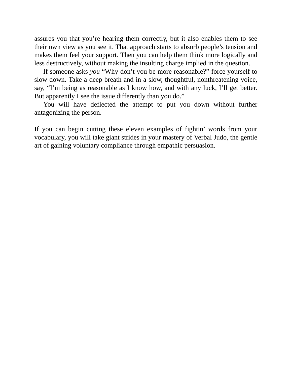assures you that you're hearing them correctly, but it also enables them to see their own view as you see it. That approach starts to absorb people's tension and makes them feel your support. Then you can help them think more logically and less destructively, without making the insulting charge implied in the question.

If someone asks *you* "Why don't you be more reasonable?" force yourself to slow down. Take a deep breath and in a slow, thoughtful, nonthreatening voice, say, "I'm being as reasonable as I know how, and with any luck, I'll get better. But apparently I see the issue differently than you do."

You will have deflected the attempt to put you down without further antagonizing the person.

If you can begin cutting these eleven examples of fightin' words from your vocabulary, you will take giant strides in your mastery of Verbal Judo, the gentle art of gaining voluntary compliance through empathic persuasion.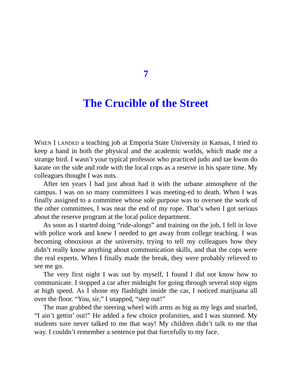**[7](#page-3-1)**

#### **The [Crucible](#page-3-1) of the Street**

WHEN I LANDED a teaching job at Emporia State University in Kansas, I tried to keep a hand in both the physical and the academic worlds, which made me a strange bird. I wasn't your typical professor who practiced judo and tae kwon do karate on the side and rode with the local cops as a reserve in his spare time. My colleagues thought I was nuts.

After ten years I had just about had it with the urbane atmosphere of the campus. I was on so many committees I was meeting-ed to death. When I was finally assigned to a committee whose sole purpose was to oversee the work of the other committees, I was near the end of my rope. That's when I got serious about the reserve program at the local police department.

As soon as I started doing "ride-alongs" and training on the job, I fell in love with police work and knew I needed to get away from college teaching. I was becoming obnoxious at the university, trying to tell my colleagues how they didn't really know anything about communication skills, and that the cops were the real experts. When I finally made the break, they were probably relieved to see me go.

The very first night I was out by myself, I found I did not know how to communicate. I stopped a car after midnight for going through several stop signs at high speed. As I shone my flashlight inside the car, I noticed marijuana all over the floor. "You, sir," I snapped, "step out!"

The man grabbed the steering wheel with arms as big as my legs and snarled, "I ain't gettin' out!" He added a few choice profanities, and I was stunned. My students sure never talked to me that way! My children didn't talk to me that way. I couldn't remember a sentence put that forcefully to my face.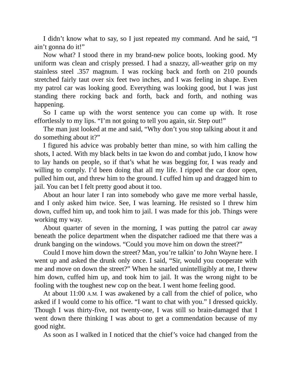I didn't know what to say, so I just repeated my command. And he said, "I ain't gonna do it!"

Now what? I stood there in my brand-new police boots, looking good. My uniform was clean and crisply pressed. I had a snazzy, all-weather grip on my stainless steel .357 magnum. I was rocking back and forth on 210 pounds stretched fairly taut over six feet two inches, and I was feeling in shape. Even my patrol car was looking good. Everything was looking good, but I was just standing there rocking back and forth, back and forth, and nothing was happening.

So I came up with the worst sentence you can come up with. It rose effortlessly to my lips. "I'm not going to tell you again, sir. Step out!"

The man just looked at me and said, "Why don't you stop talking about it and do something about it?"

I figured his advice was probably better than mine, so with him calling the shots, I acted. With my black belts in tae kwon do and combat judo, I know how to lay hands on people, so if that's what he was begging for, I was ready and willing to comply. I'd been doing that all my life. I ripped the car door open, pulled him out, and threw him to the ground. I cuffed him up and dragged him to jail. You can bet I felt pretty good about it too.

About an hour later I ran into somebody who gave me more verbal hassle, and I only asked him twice. See, I was learning. He resisted so I threw him down, cuffed him up, and took him to jail. I was made for this job. Things were working my way.

About quarter of seven in the morning, I was putting the patrol car away beneath the police department when the dispatcher radioed me that there was a drunk banging on the windows. "Could you move him on down the street?"

Could I move him down the street? Man, you're talkin' to John Wayne here. I went up and asked the drunk only once. I said, "Sir, would you cooperate with me and move on down the street?" When he snarled unintelligibly at me, I threw him down, cuffed him up, and took him to jail. It was the wrong night to be fooling with the toughest new cop on the beat. I went home feeling good.

At about 11:00 A.M. I was awakened by a call from the chief of police, who asked if I would come to his office. "I want to chat with you." I dressed quickly. Though I was thirty-five, not twenty-one, I was still so brain-damaged that I went down there thinking I was about to get a commendation because of my good night.

As soon as I walked in I noticed that the chief's voice had changed from the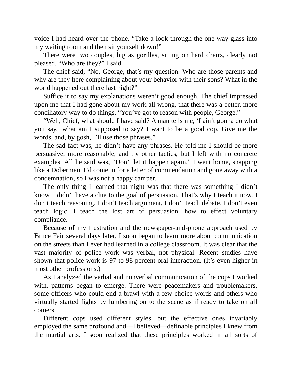voice I had heard over the phone. "Take a look through the one-way glass into my waiting room and then sit yourself down!"

There were two couples, big as gorillas, sitting on hard chairs, clearly not pleased. "Who are they?" I said.

The chief said, "No, George, that's my question. Who are those parents and why are they here complaining about your behavior with their sons? What in the world happened out there last night?"

Suffice it to say my explanations weren't good enough. The chief impressed upon me that I had gone about my work all wrong, that there was a better, more conciliatory way to do things. "You've got to reason with people, George."

"Well, Chief, what should I have said? A man tells me, 'I ain't gonna do what you say,' what am I supposed to say? I want to be a good cop. Give me the words, and, by gosh, I'll use those phrases."

The sad fact was, he didn't have any phrases. He told me I should be more persuasive, more reasonable, and try other tactics, but I left with no concrete examples. All he said was, "Don't let it happen again." I went home, snapping like a Doberman. I'd come in for a letter of commendation and gone away with a condemnation, so I was not a happy camper.

The only thing I learned that night was that there was something I didn't know. I didn't have a clue to the goal of persuasion. That's why I teach it now. I don't teach reasoning, I don't teach argument, I don't teach debate. I don't even teach logic. I teach the lost art of persuasion, how to effect voluntary compliance.

Because of my frustration and the newspaper-and-phone approach used by Bruce Fair several days later, I soon began to learn more about communication on the streets than I ever had learned in a college classroom. It was clear that the vast majority of police work was verbal, not physical. Recent studies have shown that police work is 97 to 98 percent oral interaction. (It's even higher in most other professions.)

As I analyzed the verbal and nonverbal communication of the cops I worked with, patterns began to emerge. There were peacemakers and troublemakers, some officers who could end a brawl with a few choice words and others who virtually started fights by lumbering on to the scene as if ready to take on all comers.

Different cops used different styles, but the effective ones invariably employed the same profound and—I believed—definable principles I knew from the martial arts. I soon realized that these principles worked in all sorts of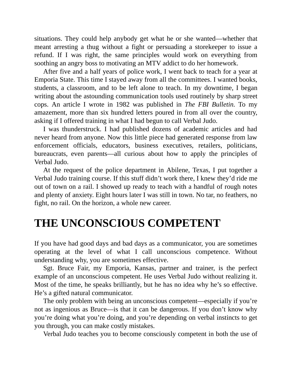situations. They could help anybody get what he or she wanted—whether that meant arresting a thug without a fight or persuading a storekeeper to issue a refund. If I was right, the same principles would work on everything from soothing an angry boss to motivating an MTV addict to do her homework.

After five and a half years of police work, I went back to teach for a year at Emporia State. This time I stayed away from all the committees. I wanted books, students, a classroom, and to be left alone to teach. In my downtime, I began writing about the astounding communication tools used routinely by sharp street cops. An article I wrote in 1982 was published in *The FBI Bulletin.* To my amazement, more than six hundred letters poured in from all over the country, asking if I offered training in what I had begun to call Verbal Judo.

I was thunderstruck. I had published dozens of academic articles and had never heard from anyone. Now this little piece had generated response from law enforcement officials, educators, business executives, retailers, politicians, bureaucrats, even parents—all curious about how to apply the principles of Verbal Judo.

At the request of the police department in Abilene, Texas, I put together a Verbal Judo training course. If this stuff didn't work there, I knew they'd ride me out of town on a rail. I showed up ready to teach with a handful of rough notes and plenty of anxiety. Eight hours later I was still in town. No tar, no feathers, no fight, no rail. On the horizon, a whole new career.

### **THE UNCONSCIOUS COMPETENT**

If you have had good days and bad days as a communicator, you are sometimes operating at the level of what I call unconscious competence. Without understanding why, you are sometimes effective.

Sgt. Bruce Fair, my Emporia, Kansas, partner and trainer, is the perfect example of an unconscious competent. He uses Verbal Judo without realizing it. Most of the time, he speaks brilliantly, but he has no idea why he's so effective. He's a gifted natural communicator.

The only problem with being an unconscious competent—especially if you're not as ingenious as Bruce—is that it can be dangerous. If you don't know why you're doing what you're doing, and you're depending on verbal instincts to get you through, you can make costly mistakes.

Verbal Judo teaches you to become consciously competent in both the use of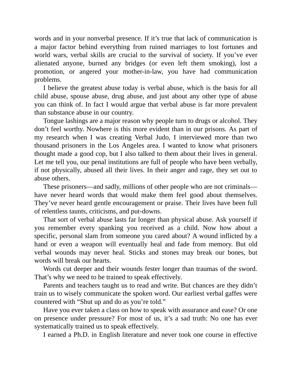words and in your nonverbal presence. If it's true that lack of communication is a major factor behind everything from ruined marriages to lost fortunes and world wars, verbal skills are crucial to the survival of society. If you've ever alienated anyone, burned any bridges (or even left them smoking), lost a promotion, or angered your mother-in-law, you have had communication problems.

I believe the greatest abuse today is verbal abuse, which is the basis for all child abuse, spouse abuse, drug abuse, and just about any other type of abuse you can think of. In fact I would argue that verbal abuse is far more prevalent than substance abuse in our country.

Tongue lashings are a major reason why people turn to drugs or alcohol. They don't feel worthy. Nowhere is this more evident than in our prisons. As part of my research when I was creating Verbal Judo, I interviewed more than two thousand prisoners in the Los Angeles area. I wanted to know what prisoners thought made a good cop, but I also talked to them about their lives in general. Let me tell you, our penal institutions are full of people who have been verbally, if not physically, abused all their lives. In their anger and rage, they set out to abuse others.

These prisoners—and sadly, millions of other people who are not criminals have never heard words that would make them feel good about themselves. They've never heard gentle encouragement or praise. Their lives have been full of relentless taunts, criticisms, and put-downs.

That sort of verbal abuse lasts far longer than physical abuse. Ask yourself if you remember every spanking you received as a child. Now how about a specific, personal slam from someone you cared about? A wound inflicted by a hand or even a weapon will eventually heal and fade from memory. But old verbal wounds may never heal. Sticks and stones may break our bones, but words will break our hearts.

Words cut deeper and their wounds fester longer than traumas of the sword. That's why we need to be trained to speak effectively.

Parents and teachers taught us to read and write. But chances are they didn't train us to wisely communicate the spoken word. Our earliest verbal gaffes were countered with "Shut up and do as you're told."

Have you ever taken a class on how to speak with assurance and ease? Or one on presence under pressure? For most of us, it's a sad truth: No one has ever systematically trained us to speak effectively.

I earned a Ph.D. in English literature and never took one course in effective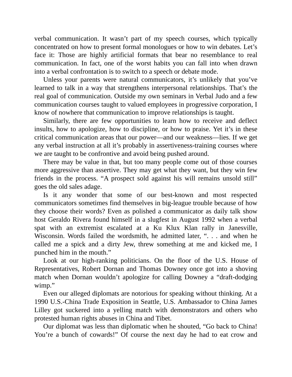verbal communication. It wasn't part of my speech courses, which typically concentrated on how to present formal monologues or how to win debates. Let's face it: Those are highly artificial formats that bear no resemblance to real communication. In fact, one of the worst habits you can fall into when drawn into a verbal confrontation is to switch to a speech or debate mode.

Unless your parents were natural communicators, it's unlikely that you've learned to talk in a way that strengthens interpersonal relationships. That's the real goal of communication. Outside my own seminars in Verbal Judo and a few communication courses taught to valued employees in progressive corporation, I know of nowhere that communication to improve relationships is taught.

Similarly, there are few opportunities to learn how to receive and deflect insults, how to apologize, how to discipline, or how to praise. Yet it's in these critical communication areas that our power—and our weakness—lies. If we get any verbal instruction at all it's probably in assertiveness-training courses where we are taught to be confrontive and avoid being pushed around.

There may be value in that, but too many people come out of those courses more aggressive than assertive. They may get what they want, but they win few friends in the process. "A prospect sold against his will remains unsold still" goes the old sales adage.

Is it any wonder that some of our best-known and most respected communicators sometimes find themselves in big-league trouble because of how they choose their words? Even as polished a communicator as daily talk show host Geraldo Rivera found himself in a slugfest in August 1992 when a verbal spat with an extremist escalated at a Ku Klux Klan rally in Janesville, Wisconsin. Words failed the wordsmith, he admitted later, ". . . and when he called me a spick and a dirty Jew, threw something at me and kicked me, I punched him in the mouth."

Look at our high-ranking politicians. On the floor of the U.S. House of Representatives, Robert Dornan and Thomas Downey once got into a shoving match when Dornan wouldn't apologize for calling Downey a "draft-dodging wimp."

Even our alleged diplomats are notorious for speaking without thinking. At a 1990 U.S.-China Trade Exposition in Seattle, U.S. Ambassador to China James Lilley got suckered into a yelling match with demonstrators and others who protested human rights abuses in China and Tibet.

Our diplomat was less than diplomatic when he shouted, "Go back to China! You're a bunch of cowards!" Of course the next day he had to eat crow and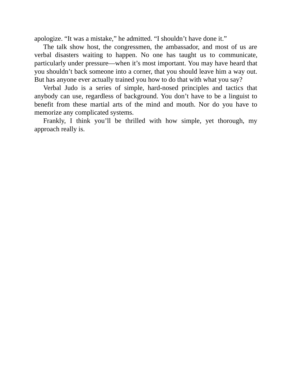apologize. "It was a mistake," he admitted. "I shouldn't have done it."

The talk show host, the congressmen, the ambassador, and most of us are verbal disasters waiting to happen. No one has taught us to communicate, particularly under pressure—when it's most important. You may have heard that you shouldn't back someone into a corner, that you should leave him a way out. But has anyone ever actually trained you how to do that with what you say?

Verbal Judo is a series of simple, hard-nosed principles and tactics that anybody can use, regardless of background. You don't have to be a linguist to benefit from these martial arts of the mind and mouth. Nor do you have to memorize any complicated systems.

Frankly, I think you'll be thrilled with how simple, yet thorough, my approach really is.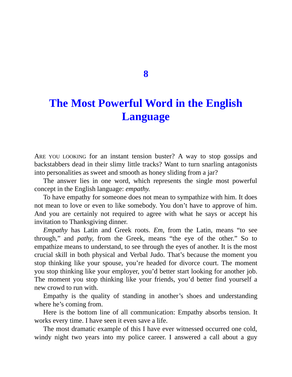### **The Most Powerful Word in the English [Language](#page-3-2)**

ARE YOU LOOKING for an instant tension buster? A way to stop gossips and backstabbers dead in their slimy little tracks? Want to turn snarling antagonists into personalities as sweet and smooth as honey sliding from a jar?

The answer lies in one word, which represents the single most powerful concept in the English language: *empathy.*

To have empathy for someone does not mean to sympathize with him. It does not mean to love or even to like somebody. You don't have to approve of him. And you are certainly not required to agree with what he says or accept his invitation to Thanksgiving dinner.

*Empathy* has Latin and Greek roots. *Em*, from the Latin, means "to see through," and *pathy*, from the Greek, means "the eye of the other." So to empathize means to understand, to see through the eyes of another. It is the most crucial skill in both physical and Verbal Judo. That's because the moment you stop thinking like your spouse, you're headed for divorce court. The moment you stop thinking like your employer, you'd better start looking for another job. The moment you stop thinking like your friends, you'd better find yourself a new crowd to run with.

Empathy is the quality of standing in another's shoes and understanding where he's coming from.

Here is the bottom line of all communication: Empathy absorbs tension. It works every time. I have seen it even save a life.

The most dramatic example of this I have ever witnessed occurred one cold, windy night two years into my police career. I answered a call about a guy

**[8](#page-3-2)**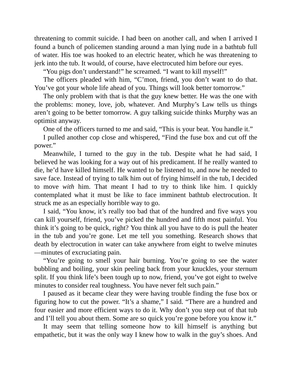threatening to commit suicide. I had been on another call, and when I arrived I found a bunch of policemen standing around a man lying nude in a bathtub full of water. His toe was hooked to an electric heater, which he was threatening to jerk into the tub. It would, of course, have electrocuted him before our eyes.

"You pigs don't understand!" he screamed. "I want to kill myself!"

The officers pleaded with him, "C'mon, friend, you don't want to do that. You've got your whole life ahead of you. Things will look better tomorrow."

The only problem with that is that the guy knew better. He was the one with the problems: money, love, job, whatever. And Murphy's Law tells us things aren't going to be better tomorrow. A guy talking suicide thinks Murphy was an optimist anyway.

One of the officers turned to me and said, "This is your beat. You handle it."

I pulled another cop close and whispered, "Find the fuse box and cut off the power."

Meanwhile, I turned to the guy in the tub. Despite what he had said, I believed he was looking for a way out of his predicament. If he really wanted to die, he'd have killed himself. He wanted to be listened to, and now he needed to save face. Instead of trying to talk him out of frying himself in the tub, I decided to move *with* him. That meant I had to try to think like him. I quickly contemplated what it must be like to face imminent bathtub electrocution. It struck me as an especially horrible way to go.

I said, "You know, it's really too bad that of the hundred and five ways you can kill yourself, friend, you've picked the hundred and fifth most painful. You think it's going to be quick, right? You think all you have to do is pull the heater in the tub and you're gone. Let me tell you something. Research shows that death by electrocution in water can take anywhere from eight to twelve minutes —minutes of excruciating pain.

"You're going to smell your hair burning. You're going to see the water bubbling and boiling, your skin peeling back from your knuckles, your sternum split. If you think life's been tough up to now, friend, you've got eight to twelve minutes to consider real toughness. You have never felt such pain."

I paused as it became clear they were having trouble finding the fuse box or figuring how to cut the power. "It's a shame," I said. "There are a hundred and four easier and more efficient ways to do it. Why don't you step out of that tub and I'll tell you about them. Some are so quick you're gone before you know it."

It may seem that telling someone how to kill himself is anything but empathetic, but it was the only way I knew how to walk in the guy's shoes. And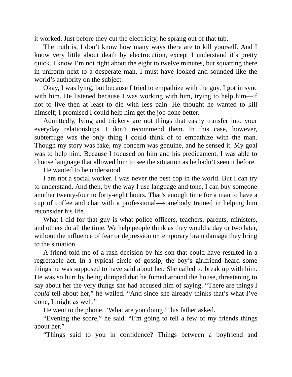it worked. Just before they cut the electricity, he sprang out of that tub.

The truth is, I don't know how many ways there are to kill yourself. And I know very little about death by electrocution, except I understand it's pretty quick. I know I'm not right about the eight to twelve minutes, but squatting there in uniform next to a desperate man, I must have looked and sounded like the world's authority on the subject.

Okay, I was lying, but because I tried to empathize with the guy, I got in sync with him. He listened because I was working with him, trying to help him—if not to live then at least to die with less pain. He thought he wanted to kill himself; I promised I could help him get the job done better.

Admittedly, lying and trickery are not things that easily transfer into your everyday relationships. I don't recommend them. In this case, however, subterfuge was the only thing I could think of to empathize with the man. Though my story was fake, my concern was genuine, and he sensed it. My goal was to help him. Because I focused on him and his predicament, I was able to choose language that allowed him to see the situation as he hadn't seen it before.

He wanted to be understood.

I am not a social worker. I was never the best cop in the world. But I can try to understand. And then, by the way I use language and tone, I can buy someone another twenty-four to forty-eight hours. That's enough time for a man to have a cup of coffee and chat with a professional—somebody trained in helping him reconsider his life.

What I did for that guy is what police officers, teachers, parents, ministers, and others do all the time. We help people think as they would a day or two later, without the influence of fear or depression or temporary brain damage they bring to the situation.

A friend told me of a rash decision by his son that could have resulted in a regrettable act. In a typical circle of gossip, the boy's girlfriend heard some things he was supposed to have said about her. She called to break up with him. He was so hurt by being dumped that he fumed around the house, threatening to say about her the very things she had accused him of saying. "There are things I *could* tell about her," he wailed. "And since she already thinks that's what I've done, I might as well."

He went to the phone. "What are you doing?" his father asked.

"Evening the score," he said. "I'm going to tell a few of my friends things about her."

"Things said to you in confidence? Things between a boyfriend and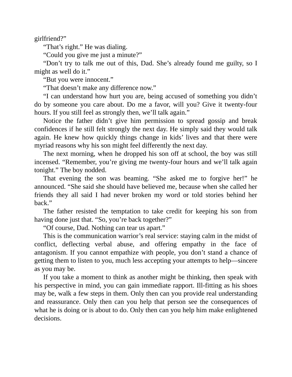girlfriend?"

"That's right." He was dialing.

"Could you give me just a minute?"

"Don't try to talk me out of this, Dad. She's already found me guilty, so I might as well do it."

"But you were innocent."

"That doesn't make any difference now."

"I can understand how hurt you are, being accused of something you didn't do by someone you care about. Do me a favor, will you? Give it twenty-four hours. If you still feel as strongly then, we'll talk again."

Notice the father didn't give him permission to spread gossip and break confidences if he still felt strongly the next day. He simply said they would talk again. He knew how quickly things change in kids' lives and that there were myriad reasons why his son might feel differently the next day.

The next morning, when he dropped his son off at school, the boy was still incensed. "Remember, you're giving me twenty-four hours and we'll talk again tonight." The boy nodded.

That evening the son was beaming. "She asked me to forgive her!" he announced. "She said she should have believed me, because when she called her friends they all said I had never broken my word or told stories behind her back."

The father resisted the temptation to take credit for keeping his son from having done just that. "So, you're back together?"

"Of course, Dad. Nothing can tear us apart."

This is the communication warrior's real service: staying calm in the midst of conflict, deflecting verbal abuse, and offering empathy in the face of antagonism. If you cannot empathize with people, you don't stand a chance of getting them to listen to you, much less accepting your attempts to help—sincere as you may be.

If you take a moment to think as another might be thinking, then speak with his perspective in mind, you can gain immediate rapport. Ill-fitting as his shoes may be, walk a few steps in them. Only then can you provide real understanding and reassurance. Only then can you help that person see the consequences of what he is doing or is about to do. Only then can you help him make enlightened decisions.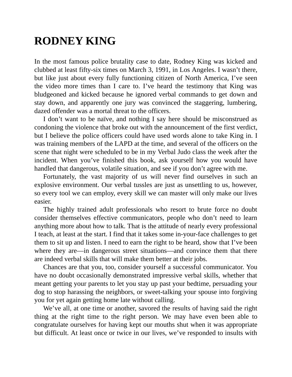### **RODNEY KING**

In the most famous police brutality case to date, Rodney King was kicked and clubbed at least fifty-six times on March 3, 1991, in Los Angeles. I wasn't there, but like just about every fully functioning citizen of North America, I've seen the video more times than I care to. I've heard the testimony that King was bludgeoned and kicked because he ignored verbal commands to get down and stay down, and apparently one jury was convinced the staggering, lumbering, dazed offender was a mortal threat to the officers.

I don't want to be naïve, and nothing I say here should be misconstrued as condoning the violence that broke out with the announcement of the first verdict, but I believe the police officers could have used words alone to take King in. I was training members of the LAPD at the time, and several of the officers on the scene that night were scheduled to be in my Verbal Judo class the week after the incident. When you've finished this book, ask yourself how you would have handled that dangerous, volatile situation, and see if you don't agree with me.

Fortunately, the vast majority of us will never find ourselves in such an explosive environment. Our verbal tussles are just as unsettling to us, however, so every tool we can employ, every skill we can master will only make our lives easier.

The highly trained adult professionals who resort to brute force no doubt consider themselves effective communicators, people who don't need to learn anything more about how to talk. That is the attitude of nearly every professional I teach, at least at the start. I find that it takes some in-your-face challenges to get them to sit up and listen. I need to earn the right to be heard, show that I've been where they are—in dangerous street situations—and convince them that there are indeed verbal skills that will make them better at their jobs.

Chances are that you, too, consider yourself a successful communicator. You have no doubt occasionally demonstrated impressive verbal skills, whether that meant getting your parents to let you stay up past your bedtime, persuading your dog to stop harassing the neighbors, or sweet-talking your spouse into forgiving you for yet again getting home late without calling.

We've all, at one time or another, savored the results of having said the right thing at the right time to the right person. We may have even been able to congratulate ourselves for having kept our mouths shut when it was appropriate but difficult. At least once or twice in our lives, we've responded to insults with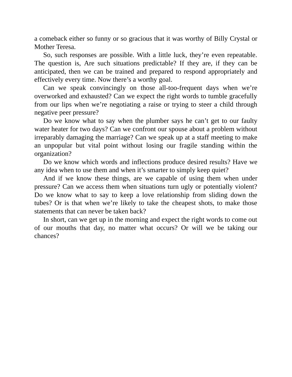a comeback either so funny or so gracious that it was worthy of Billy Crystal or Mother Teresa.

So, such responses are possible. With a little luck, they're even repeatable. The question is, Are such situations predictable? If they are, if they can be anticipated, then we can be trained and prepared to respond appropriately and effectively every time. Now there's a worthy goal.

Can we speak convincingly on those all-too-frequent days when we're overworked and exhausted? Can we expect the right words to tumble gracefully from our lips when we're negotiating a raise or trying to steer a child through negative peer pressure?

Do we know what to say when the plumber says he can't get to our faulty water heater for two days? Can we confront our spouse about a problem without irreparably damaging the marriage? Can we speak up at a staff meeting to make an unpopular but vital point without losing our fragile standing within the organization?

Do we know which words and inflections produce desired results? Have we any idea when to use them and when it's smarter to simply keep quiet?

And if we know these things, are we capable of using them when under pressure? Can we access them when situations turn ugly or potentially violent? Do we know what to say to keep a love relationship from sliding down the tubes? Or is that when we're likely to take the cheapest shots, to make those statements that can never be taken back?

In short, can we get up in the morning and expect the right words to come out of our mouths that day, no matter what occurs? Or will we be taking our chances?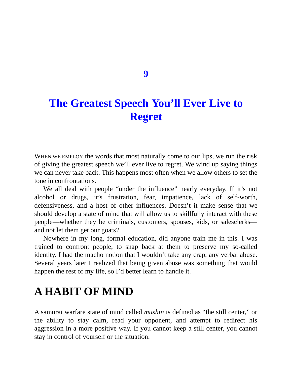**[9](#page-3-3)**

### **The [Greatest](#page-3-3) Speech You'll Ever Live to Regret**

WHEN WE EMPLOY the words that most naturally come to our lips, we run the risk of giving the greatest speech we'll ever live to regret. We wind up saying things we can never take back. This happens most often when we allow others to set the tone in confrontations.

We all deal with people "under the influence" nearly everyday. If it's not alcohol or drugs, it's frustration, fear, impatience, lack of self-worth, defensiveness, and a host of other influences. Doesn't it make sense that we should develop a state of mind that will allow us to skillfully interact with these people—whether they be criminals, customers, spouses, kids, or salesclerks and not let them get our goats?

Nowhere in my long, formal education, did anyone train me in this. I was trained to confront people, to snap back at them to preserve my so-called identity. I had the macho notion that I wouldn't take any crap, any verbal abuse. Several years later I realized that being given abuse was something that would happen the rest of my life, so I'd better learn to handle it.

### **A HABIT OF MIND**

A samurai warfare state of mind called *mushin* is defined as "the still center," or the ability to stay calm, read your opponent, and attempt to redirect his aggression in a more positive way. If you cannot keep a still center, you cannot stay in control of yourself or the situation.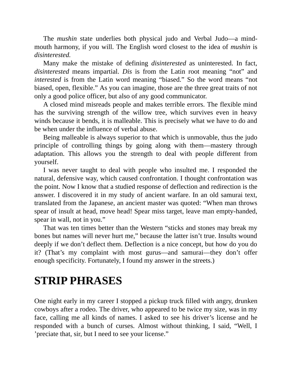The *mushin* state underlies both physical judo and Verbal Judo—a mindmouth harmony, if you will. The English word closest to the idea of *mushin* is *disinterested.*

Many make the mistake of defining *disinterested* as uninterested. In fact, *disinterested* means impartial. *Dis* is from the Latin root meaning "not" and *interested* is from the Latin word meaning "biased." So the word means "not biased, open, flexible." As you can imagine, those are the three great traits of not only a good police officer, but also of any good communicator.

A closed mind misreads people and makes terrible errors. The flexible mind has the surviving strength of the willow tree, which survives even in heavy winds because it bends, it is malleable. This is precisely what we have to do and be when under the influence of verbal abuse.

Being malleable is always superior to that which is unmovable, thus the judo principle of controlling things by going along with them—mastery through adaptation. This allows you the strength to deal with people different from yourself.

I was never taught to deal with people who insulted me. I responded the natural, defensive way, which caused confrontation. I thought confrontation was the point. Now I know that a studied response of deflection and redirection is the answer. I discovered it in my study of ancient warfare. In an old samurai text, translated from the Japanese, an ancient master was quoted: "When man throws spear of insult at head, move head! Spear miss target, leave man empty-handed, spear in wall, not in you."

That was ten times better than the Western "sticks and stones may break my bones but names will never hurt me," because the latter isn't true. Insults wound deeply if we don't deflect them. Deflection is a nice concept, but how do you do it? (That's my complaint with most gurus—and samurai—they don't offer enough specificity. Fortunately, I found my answer in the streets.)

### **STRIP PHRASES**

One night early in my career I stopped a pickup truck filled with angry, drunken cowboys after a rodeo. The driver, who appeared to be twice my size, was in my face, calling me all kinds of names. I asked to see his driver's license and he responded with a bunch of curses. Almost without thinking, I said, "Well, I 'preciate that, sir, but I need to see your license."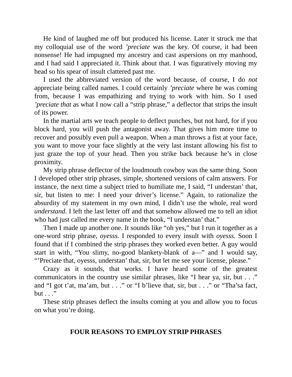He kind of laughed me off but produced his license. Later it struck me that my colloquial use of the word *'preciate* was the key. Of course, it had been nonsense! He had impugned my ancestry and cast aspersions on my manhood, and I had said I appreciated it. Think about that. I was figuratively moving my head so his spear of insult clattered past me.

I used the abbreviated version of the word because, of course, I do *not* appreciate being called names. I could certainly *'preciate* where he was coming from, because I was empathizing and trying to work with him. So I used *'preciate that* as what I now call a "strip phrase," a deflector that strips the insult of its power.

In the martial arts we teach people to deflect punches, but not hard, for if you block hard, you will push the antagonist away. That gives him more time to recover and possibly even pull a weapon. When a man throws a fist at your face, you want to move your face slightly at the very last instant allowing his fist to just graze the top of your head. Then you strike back because he's in close proximity.

My strip phrase deflector of the loudmouth cowboy was the same thing. Soon I developed other strip phrases, simple, shortened versions of calm answers. For instance, the next time a subject tried to humiliate me, I said, "I understan' that, sir, but listen to me: I need your driver's license." Again, to rationalize the absurdity of my statement in my own mind, I didn't use the whole, real word *understand.* I left the last letter off and that somehow allowed me to tell an idiot who had just called me every name in the book, "I understan' that."

Then I made up another one. It sounds like "oh yes," but I run it together as a one-word strip phrase, *oyesss.* I responded to every insult with *oyesss.* Soon I found that if I combined the strip phrases they worked even better. A guy would start in with, "You slimy, no-good blankety-blank of a—" and I would say, "'Preciate that, oyesss, understan' that, sir, but let me see your license, please."

Crazy as it sounds, that works. I have heard some of the greatest communicators in the country use similar phrases, like "I hear ya, sir, but . . ." and "I got t'at, ma'am, but . . ." or "I b'lieve that, sir, but . . ." or "Tha'sa fact, but . . ."

These strip phrases deflect the insults coming at you and allow you to focus on what you're doing.

#### **FOUR REASONS TO EMPLOY STRIP PHRASES**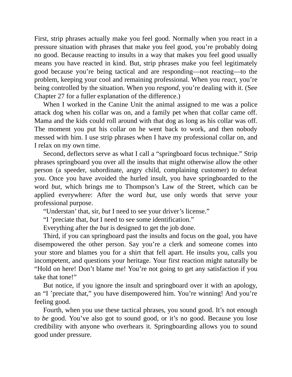First, strip phrases actually make you feel good. Normally when you react in a pressure situation with phrases that make you feel good, you're probably doing no good. Because reacting to insults in a way that makes you feel good usually means you have reacted in kind. But, strip phrases make you feel legitimately good because you're being tactical and are responding—not reacting—to the problem, keeping your cool and remaining professional. When you *react*, you're being controlled by the situation. When you *respond*, you're dealing with it. (See Chapter 27 for a fuller explanation of the difference.)

When I worked in the Canine Unit the animal assigned to me was a police attack dog when his collar was on, and a family pet when that collar came off. Mama and the kids could roll around with that dog as long as his collar was off. The moment you put his collar on he went back to work, and then nobody messed with him. I use strip phrases when I have my professional collar on, and I relax on my own time.

Second, deflectors serve as what I call a "springboard focus technique." Strip phrases springboard you over all the insults that might otherwise allow the other person (a speeder, subordinate, angry child, complaining customer) to defeat you. Once you have avoided the hurled insult, you have springboarded to the word *but*, which brings me to Thompson's Law of the Street, which can be applied everywhere: After the word *but,* use only words that serve your professional purpose.

"Understan' that, sir, *but* I need to see your driver's license."

"I 'preciate that, *but* I need to see some identification."

Everything after the *but* is designed to get the job done.

Third, if you can springboard past the insults and focus on the goal, you have disempowered the other person. Say you're a clerk and someone comes into your store and blames you for a shirt that fell apart. He insults you, calls you incompetent, and questions your heritage. Your first reaction might naturally be "Hold on here! Don't blame me! You're not going to get any satisfaction if you take that tone!"

But notice, if you ignore the insult and springboard over it with an apology, an "I 'preciate that," you have disempowered him. You're winning! And you're feeling good.

Fourth, when you use these tactical phrases, you sound good. It's not enough to *be* good. You've also got to sound good, or it's no good. Because you lose credibility with anyone who overhears it. Springboarding allows you to sound good under pressure.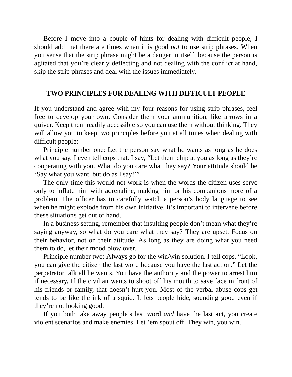Before I move into a couple of hints for dealing with difficult people, I should add that there are times when it is good *not* to use strip phrases. When you sense that the strip phrase might be a danger in itself, because the person is agitated that you're clearly deflecting and not dealing with the conflict at hand, skip the strip phrases and deal with the issues immediately.

#### **TWO PRINCIPLES FOR DEALING WITH DIFFICULT PEOPLE**

If you understand and agree with my four reasons for using strip phrases, feel free to develop your own. Consider them your ammunition, like arrows in a quiver. Keep them readily accessible so you can use them without thinking. They will allow you to keep two principles before you at all times when dealing with difficult people:

Principle number one: Let the person say what he wants as long as he does what you say. I even tell cops that. I say, "Let them chip at you as long as they're cooperating with you. What do you care what they say? Your attitude should be 'Say what you want, but do as I say!'"

The only time this would not work is when the words the citizen uses serve only to inflate him with adrenaline, making him or his companions more of a problem. The officer has to carefully watch a person's body language to see when he might explode from his own initiative. It's important to intervene before these situations get out of hand.

In a business setting, remember that insulting people don't mean what they're saying anyway, so what do you care what they say? They are upset. Focus on their behavior, not on their attitude. As long as they are doing what you need them to do, let their mood blow over.

Principle number two: Always go for the win/win solution. I tell cops, "Look, you can give the citizen the last word because you have the last action." Let the perpetrator talk all he wants. You have the authority and the power to arrest him if necessary. If the civilian wants to shoot off his mouth to save face in front of his friends or family, that doesn't hurt you. Most of the verbal abuse cops get tends to be like the ink of a squid. It lets people hide, sounding good even if they're not looking good.

If you both take away people's last word *and* have the last act, you create violent scenarios and make enemies. Let 'em spout off. They win, you win.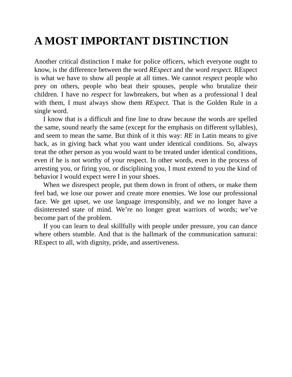## **A MOST IMPORTANT DISTINCTION**

Another critical distinction I make for police officers, which everyone ought to know, is the difference between the word *REspect* and the word *respect.* REspect is what we have to show all people at all times. We cannot *respect* people who prey on others, people who beat their spouses, people who brutalize their children. I have no *respect* for lawbreakers, but when as a professional I deal with them, I must always show them *REspect.* That is the Golden Rule in a single word.

I know that is a difficult and fine line to draw because the words are spelled the same, sound nearly the same (except for the emphasis on different syllables), and seem to mean the same. But think of it this way: *RE* in Latin means to give back, as in giving back what you want under identical conditions. So, always treat the other person as you would want to be treated under identical conditions, even if he is not worthy of your respect. In other words, even in the process of arresting you, or firing you, or disciplining you, I must extend to you the kind of behavior I would expect were I in your shoes.

When we disrespect people, put them down in front of others, or make them feel bad, we lose our power and create more enemies. We lose our professional face. We get upset, we use language irresponsibly, and we no longer have a disinterested state of mind. We're no longer great warriors of words; we've become part of the problem.

If you can learn to deal skillfully with people under pressure, you can dance where others stumble. And that is the hallmark of the communication samurai: REspect to all, with dignity, pride, and assertiveness.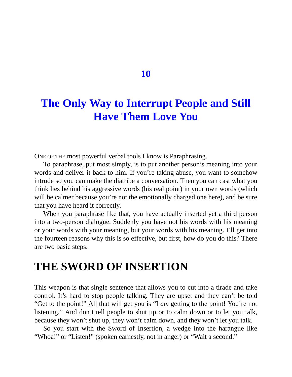### **The Only Way to [Interrupt](#page-3-4) People and Still Have Them Love You**

ONE OF THE most powerful verbal tools I know is Paraphrasing.

To paraphrase, put most simply, is to put another person's meaning into your words and deliver it back to him. If you're taking abuse, you want to somehow intrude so you can make the diatribe a conversation. Then you can cast what you think lies behind his aggressive words (his real point) in your own words (which will be calmer because you're not the emotionally charged one here), and be sure that you have heard it correctly.

When you paraphrase like that, you have actually inserted yet a third person into a two-person dialogue. Suddenly you have not his words with his meaning or your words with your meaning, but your words with his meaning. I'll get into the fourteen reasons why this is so effective, but first, how do you do this? There are two basic steps.

### **THE SWORD OF INSERTION**

This weapon is that single sentence that allows you to cut into a tirade and take control. It's hard to stop people talking. They are upset and they can't be told "Get to the point!" All that will get you is "I *am* getting to the point! You're not listening." And don't tell people to shut up or to calm down or to let you talk, because they won't shut up, they won't calm down, and they won't let you talk.

So you start with the Sword of Insertion, a wedge into the harangue like "Whoa!" or "Listen!" (spoken earnestly, not in anger) or "Wait a second."

**[10](#page-3-4)**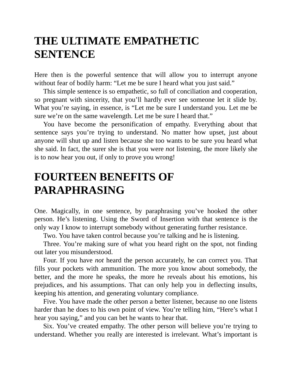### **THE ULTIMATE EMPATHETIC SENTENCE**

Here then is the powerful sentence that will allow you to interrupt anyone without fear of bodily harm: "Let me be sure I heard what you just said."

This simple sentence is so empathetic, so full of conciliation and cooperation, so pregnant with sincerity, that you'll hardly ever see someone let it slide by. What you're saying, in essence, is "Let me be sure I understand you. Let me be sure we're on the same wavelength. Let me be sure I heard that."

You have become the personification of empathy. Everything about that sentence says you're trying to understand. No matter how upset, just about anyone will shut up and listen because she too wants to be sure you heard what she said. In fact, the surer she is that you were *not* listening, the more likely she is to now hear you out, if only to prove you wrong!

### **FOURTEEN BENEFITS OF PARAPHRASING**

One. Magically, in one sentence, by paraphrasing you've hooked the other person. He's listening. Using the Sword of Insertion with that sentence is the only way I know to interrupt somebody without generating further resistance.

Two. You have taken control because you're talking and he is listening.

Three. You're making sure of what you heard right on the spot, not finding out later you misunderstood.

Four. If you have *not* heard the person accurately, he can correct you. That fills your pockets with ammunition. The more you know about somebody, the better, and the more he speaks, the more he reveals about his emotions, his prejudices, and his assumptions. That can only help you in deflecting insults, keeping his attention, and generating voluntary compliance.

Five. You have made the other person a better listener, because no one listens harder than he does to his own point of view. You're telling him, "Here's what I hear you saying," and you can bet he wants to hear that.

Six. You've created empathy. The other person will believe you're trying to understand. Whether you really are interested is irrelevant. What's important is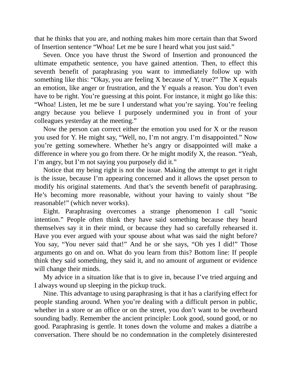that he thinks that you are, and nothing makes him more certain than that Sword of Insertion sentence "Whoa! Let me be sure I heard what you just said."

Seven. Once you have thrust the Sword of Insertion and pronounced the ultimate empathetic sentence, you have gained attention. Then, to effect this seventh benefit of paraphrasing you want to immediately follow up with something like this: "Okay, you are feeling X because of Y, true?" The X equals an emotion, like anger or frustration, and the Y equals a reason. You don't even have to be right. You're guessing at this point. For instance, it might go like this: "Whoa! Listen, let me be sure I understand what you're saying. You're feeling angry because you believe I purposely undermined you in front of your colleagues yesterday at the meeting."

Now the person can correct either the emotion you used for X or the reason you used for Y. He might say, "Well, no, I'm not angry. I'm disappointed." Now you're getting somewhere. Whether he's angry or disappointed will make a difference in where you go from there. Or he might modify X, the reason. "Yeah, I'm angry, but I'm not saying you purposely did it."

Notice that my being right is not the issue. Making the attempt to get it right is the issue, because I'm appearing concerned and it allows the upset person to modify his original statements. And that's the seventh benefit of paraphrasing. He's becoming more reasonable, without your having to vainly shout "Be reasonable!" (which never works).

Eight. Paraphrasing overcomes a strange phenomenon I call "sonic intention." People often think they have said something because they heard themselves say it in their mind, or because they had so carefully rehearsed it. Have you ever argued with your spouse about what was said the night before? You say, "You never said that!" And he or she says, "Oh yes I did!" Those arguments go on and on. What do you learn from this? Bottom line: If people think they said something, they said it, and no amount of argument or evidence will change their minds.

My advice in a situation like that is to give in, because I've tried arguing and I always wound up sleeping in the pickup truck.

Nine. This advantage to using paraphrasing is that it has a clarifying effect for people standing around. When you're dealing with a difficult person in public, whether in a store or an office or on the street, you don't want to be overheard sounding badly. Remember the ancient principle: Look good, sound good, or no good. Paraphrasing is gentle. It tones down the volume and makes a diatribe a conversation. There should be no condemnation in the completely disinterested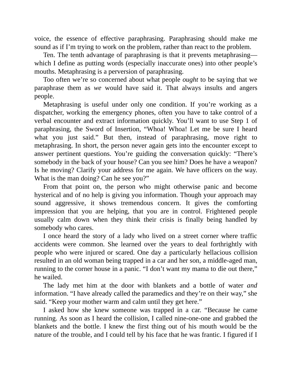voice, the essence of effective paraphrasing. Paraphrasing should make me sound as if I'm trying to work on the problem, rather than react to the problem.

Ten. The tenth advantage of paraphrasing is that it prevents metaphrasing which I define as putting words (especially inaccurate ones) into other people's mouths. Metaphrasing is a perversion of paraphrasing.

Too often we're so concerned about what people *ought* to be saying that we paraphrase them as *we* would have said it. That always insults and angers people.

Metaphrasing is useful under only one condition. If you're working as a dispatcher, working the emergency phones, often you have to take control of a verbal encounter and extract information quickly. You'll want to use Step 1 of paraphrasing, the Sword of Insertion, "Whoa! Whoa! Let me be sure I heard what you just said." But then, instead of paraphrasing, move right to metaphrasing. In short, the person never again gets into the encounter except to answer pertinent questions. You're guiding the conversation quickly: "There's somebody in the back of your house? Can you see him? Does he have a weapon? Is he moving? Clarify your address for me again. We have officers on the way. What is the man doing? Can he see you?"

From that point on, the person who might otherwise panic and become hysterical and of no help is giving you information. Though your approach may sound aggressive, it shows tremendous concern. It gives the comforting impression that you are helping, that you are in control. Frightened people usually calm down when they think their crisis is finally being handled by somebody who cares.

I once heard the story of a lady who lived on a street corner where traffic accidents were common. She learned over the years to deal forthrightly with people who were injured or scared. One day a particularly hellacious collision resulted in an old woman being trapped in a car and her son, a middle-aged man, running to the corner house in a panic. "I don't want my mama to die out there," he wailed.

The lady met him at the door with blankets and a bottle of water *and* information. "I have already called the paramedics and they're on their way," she said. "Keep your mother warm and calm until they get here."

I asked how she knew someone was trapped in a car. "Because he came running. As soon as I heard the collision, I called nine-one-one and grabbed the blankets and the bottle. I knew the first thing out of his mouth would be the nature of the trouble, and I could tell by his face that he was frantic. I figured if I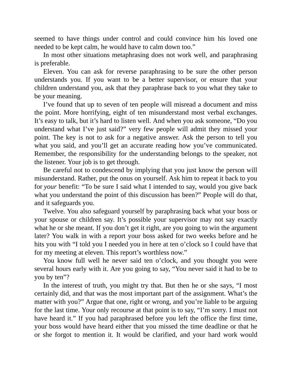seemed to have things under control and could convince him his loved one needed to be kept calm, he would have to calm down too."

In most other situations metaphrasing does not work well, and paraphrasing is preferable.

Eleven. You can ask for reverse paraphrasing to be sure the other person understands you. If you want to be a better supervisor, or ensure that your children understand you, ask that they paraphrase back to you what they take to be your meaning.

I've found that up to seven of ten people will misread a document and miss the point. More horrifying, eight of ten misunderstand most verbal exchanges. It's easy to talk, but it's hard to listen well. And when you ask someone, "Do you understand what I've just said?" very few people will admit they missed your point. The key is not to ask for a negative answer. Ask the person to tell you what you said, and you'll get an accurate reading how you've communicated. Remember, the responsibility for the understanding belongs to the speaker, not the listener. Your job is to get through.

Be careful not to condescend by implying that you just know the person will misunderstand. Rather, put the onus on yourself. Ask him to repeat it back to you for *your* benefit: "To be sure I said what I intended to say, would you give back what you understand the point of this discussion has been?" People will do that, and it safeguards you.

Twelve. You also safeguard yourself by paraphrasing back what your boss or your spouse or children say. It's possible your supervisor may not say exactly what he or she meant. If you don't get it right, are you going to win the argument later? You walk in with a report your boss asked for two weeks before and he hits you with "I told you I needed you in here at ten o'clock so I could have that for my meeting at eleven. This report's worthless now."

You know full well he never said ten o'clock, and you thought you were several hours early with it. Are you going to say, "You never said it had to be to you by ten"?

In the interest of truth, you might try that. But then he or she says, "I most certainly did, and that was the most important part of the assignment. What's the matter with you?" Argue that one, right or wrong, and you're liable to be arguing for the last time. Your only recourse at that point is to say, "I'm sorry. I must not have heard it." If you had paraphrased before you left the office the first time, your boss would have heard either that you missed the time deadline or that he or she forgot to mention it. It would be clarified, and your hard work would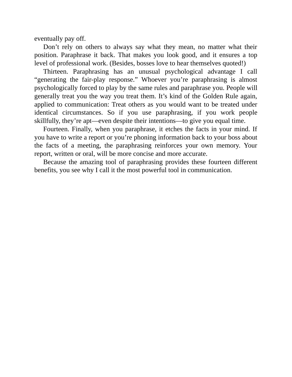eventually pay off.

Don't rely on others to always say what they mean, no matter what their position. Paraphrase it back. That makes you look good, and it ensures a top level of professional work. (Besides, bosses love to hear themselves quoted!)

Thirteen. Paraphrasing has an unusual psychological advantage I call "generating the fair-play response." Whoever you're paraphrasing is almost psychologically forced to play by the same rules and paraphrase you. People will generally treat you the way you treat them. It's kind of the Golden Rule again, applied to communication: Treat others as you would want to be treated under identical circumstances. So if you use paraphrasing, if you work people skillfully, they're apt—even despite their intentions—to give you equal time.

Fourteen. Finally, when you paraphrase, it etches the facts in your mind. If you have to write a report or you're phoning information back to your boss about the facts of a meeting, the paraphrasing reinforces your own memory. Your report, written or oral, will be more concise and more accurate.

Because the amazing tool of paraphrasing provides these fourteen different benefits, you see why I call it the most powerful tool in communication.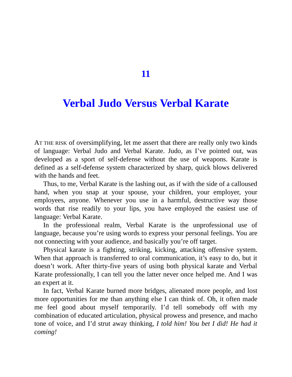**[11](#page-3-5)**

#### **Verbal Judo Versus Verbal [Karate](#page-3-5)**

AT THE RISK of oversimplifying, let me assert that there are really only two kinds of language: Verbal Judo and Verbal Karate. Judo, as I've pointed out, was developed as a sport of self-defense without the use of weapons. Karate is defined as a self-defense system characterized by sharp, quick blows delivered with the hands and feet.

Thus, to me, Verbal Karate is the lashing out, as if with the side of a calloused hand, when you snap at your spouse, your children, your employer, your employees, anyone. Whenever you use in a harmful, destructive way those words that rise readily to your lips, you have employed the easiest use of language: Verbal Karate.

In the professional realm, Verbal Karate is the unprofessional use of language, because you're using words to express your personal feelings. You are not connecting with your audience, and basically you're off target.

Physical karate is a fighting, striking, kicking, attacking offensive system. When that approach is transferred to oral communication, it's easy to do, but it doesn't work. After thirty-five years of using both physical karate and Verbal Karate professionally, I can tell you the latter never once helped me. And I was an expert at it.

In fact, Verbal Karate burned more bridges, alienated more people, and lost more opportunities for me than anything else I can think of. Oh, it often made me feel good about myself temporarily. I'd tell somebody off with my combination of educated articulation, physical prowess and presence, and macho tone of voice, and I'd strut away thinking, *I told him! You bet I did! He had it coming!*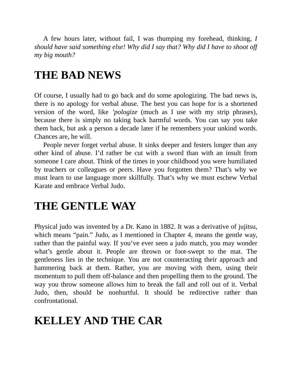A few hours later, without fail, I was thumping my forehead, thinking, *I should have said something else! Why did I say that? Why did I have to shoot off my big mouth?*

### **THE BAD NEWS**

Of course, I usually had to go back and do some apologizing. The bad news is, there is no apology for verbal abuse. The best you can hope for is a shortened version of the word, like *'pologize* (much as I use with my strip phrases), because there is simply no taking back harmful words. You can say you take them back, but ask a person a decade later if he remembers your unkind words. Chances are, he will.

People never forget verbal abuse. It sinks deeper and festers longer than any other kind of abuse. I'd rather be cut with a sword than with an insult from someone I care about. Think of the times in your childhood you were humiliated by teachers or colleagues or peers. Have you forgotten them? That's why we must learn to use language more skillfully. That's why we must eschew Verbal Karate and embrace Verbal Judo.

### **THE GENTLE WAY**

Physical judo was invented by a Dr. Kano in 1882. It was a derivative of jujitsu, which means "pain." Judo, as I mentioned in Chapter 4, means the gentle way, rather than the painful way. If you've ever seen a judo match, you may wonder what's gentle about it. People are thrown or foot-swept to the mat. The gentleness lies in the technique. You are not counteracting their approach and hammering back at them. Rather, you are moving with them, using their momentum to pull them off-balance and then propelling them to the ground. The way you throw someone allows him to break the fall and roll out of it. Verbal Judo, then, should be nonhurtful. It should be redirective rather than confrontational.

### **KELLEY AND THE CAR**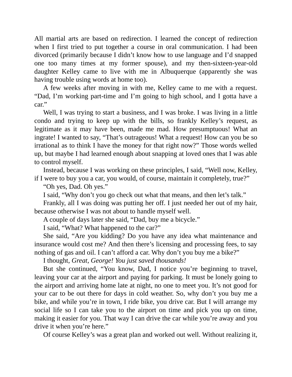All martial arts are based on redirection. I learned the concept of redirection when I first tried to put together a course in oral communication. I had been divorced (primarily because I didn't know how to use language and I'd snapped one too many times at my former spouse), and my then-sixteen-year-old daughter Kelley came to live with me in Albuquerque (apparently she was having trouble using words at home too).

A few weeks after moving in with me, Kelley came to me with a request. "Dad, I'm working part-time and I'm going to high school, and I gotta have a car."

Well, I was trying to start a business, and I was broke. I was living in a little condo and trying to keep up with the bills, so frankly Kelley's request, as legitimate as it may have been, made me mad. How presumptuous! What an ingrate! I wanted to say, "That's outrageous! What a request! How can you be so irrational as to think I have the money for that right now?" Those words welled up, but maybe I had learned enough about snapping at loved ones that I was able to control myself.

Instead, because I was working on these principles, I said, "Well now, Kelley, if I were to buy you a car, you would, of course, maintain it completely, true?"

"Oh yes, Dad. Oh yes."

I said, "Why don't you go check out what that means, and then let's talk."

Frankly, all I was doing was putting her off. I just needed her out of my hair, because otherwise I was not about to handle myself well.

A couple of days later she said, "Dad, buy me a bicycle."

I said, "What? What happened to the car?"

She said, "Are you kidding? Do you have any idea what maintenance and insurance would cost me? And then there's licensing and processing fees, to say nothing of gas and oil. I can't afford a car. Why don't you buy me a bike?"

I thought, *Great, George! You just saved thousands!*

But she continued, "You know, Dad, I notice you're beginning to travel, leaving your car at the airport and paying for parking. It must be lonely going to the airport and arriving home late at night, no one to meet you. It's not good for your car to be out there for days in cold weather. So, why don't you buy me a bike, and while you're in town, I ride bike, you drive car. But I will arrange my social life so I can take you to the airport on time and pick you up on time, making it easier for you. That way I can drive the car while you're away and you drive it when you're here."

Of course Kelley's was a great plan and worked out well. Without realizing it,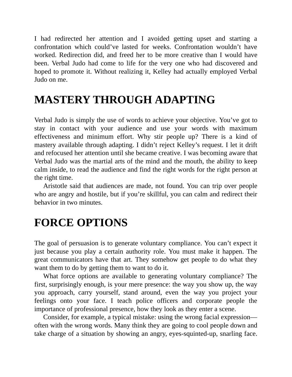I had redirected her attention and I avoided getting upset and starting a confrontation which could've lasted for weeks. Confrontation wouldn't have worked. Redirection did, and freed her to be more creative than I would have been. Verbal Judo had come to life for the very one who had discovered and hoped to promote it. Without realizing it, Kelley had actually employed Verbal Judo on me.

# **MASTERY THROUGH ADAPTING**

Verbal Judo is simply the use of words to achieve your objective. You've got to stay in contact with your audience and use your words with maximum effectiveness and minimum effort. Why stir people up? There is a kind of mastery available through adapting. I didn't reject Kelley's request. I let it drift and refocused her attention until she became creative. I was becoming aware that Verbal Judo was the martial arts of the mind and the mouth, the ability to keep calm inside, to read the audience and find the right words for the right person at the right time.

Aristotle said that audiences are made, not found. You can trip over people who are angry and hostile, but if you're skillful, you can calm and redirect their behavior in two minutes.

## **FORCE OPTIONS**

The goal of persuasion is to generate voluntary compliance. You can't expect it just because you play a certain authority role. You must make it happen. The great communicators have that art. They somehow get people to do what they want them to do by getting them to want to do it.

What force options are available to generating voluntary compliance? The first, surprisingly enough, is your mere presence: the way you show up, the way you approach, carry yourself, stand around, even the way you project your feelings onto your face. I teach police officers and corporate people the importance of professional presence, how they look as they enter a scene.

Consider, for example, a typical mistake: using the wrong facial expression often with the wrong words. Many think they are going to cool people down and take charge of a situation by showing an angry, eyes-squinted-up, snarling face.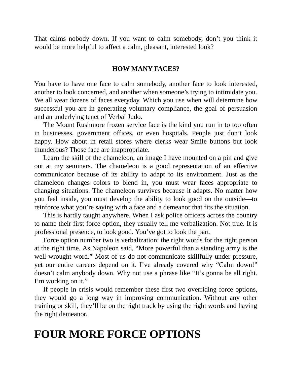That calms nobody down. If you want to calm somebody, don't you think it would be more helpful to affect a calm, pleasant, interested look?

#### **HOW MANY FACES?**

You have to have one face to calm somebody, another face to look interested, another to look concerned, and another when someone's trying to intimidate you. We all wear dozens of faces everyday. Which you use when will determine how successful you are in generating voluntary compliance, the goal of persuasion and an underlying tenet of Verbal Judo.

The Mount Rushmore frozen service face is the kind you run in to too often in businesses, government offices, or even hospitals. People just don't look happy. How about in retail stores where clerks wear Smile buttons but look thunderous? Those face are inappropriate.

Learn the skill of the chameleon, an image I have mounted on a pin and give out at my seminars. The chameleon is a good representation of an effective communicator because of its ability to adapt to its environment. Just as the chameleon changes colors to blend in, you must wear faces appropriate to changing situations. The chameleon survives because it adapts. No matter how you feel inside, you must develop the ability to look good on the outside—to reinforce what you're saying with a face and a demeanor that fits the situation.

This is hardly taught anywhere. When I ask police officers across the country to name their first force option, they usually tell me verbalization. Not true. It is professional presence, to look good. You've got to look the part.

Force option number two is verbalization: the right words for the right person at the right time. As Napoleon said, "More powerful than a standing army is the well-wrought word." Most of us do not communicate skillfully under pressure, yet our entire careers depend on it. I've already covered why "Calm down!" doesn't calm anybody down. Why not use a phrase like "It's gonna be all right. I'm working on it."

If people in crisis would remember these first two overriding force options, they would go a long way in improving communication. Without any other training or skill, they'll be on the right track by using the right words and having the right demeanor.

## **FOUR MORE FORCE OPTIONS**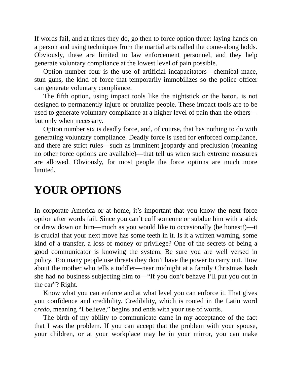If words fail, and at times they do, go then to force option three: laying hands on a person and using techniques from the martial arts called the come-along holds. Obviously, these are limited to law enforcement personnel, and they help generate voluntary compliance at the lowest level of pain possible.

Option number four is the use of artificial incapacitators—chemical mace, stun guns, the kind of force that temporarily immobilizes so the police officer can generate voluntary compliance.

The fifth option, using impact tools like the nightstick or the baton, is not designed to permanently injure or brutalize people. These impact tools are to be used to generate voluntary compliance at a higher level of pain than the others but only when necessary.

Option number six is deadly force, and, of course, that has nothing to do with generating voluntary compliance. Deadly force is used for enforced compliance, and there are strict rules—such as imminent jeopardy and preclusion (meaning no other force options are available)—that tell us when such extreme measures are allowed. Obviously, for most people the force options are much more limited.

## **YOUR OPTIONS**

In corporate America or at home, it's important that you know the next force option after words fail. Since you can't cuff someone or subdue him with a stick or draw down on him—much as you would like to occasionally (be honest!)—it is crucial that your next move has some teeth in it. Is it a written warning, some kind of a transfer, a loss of money or privilege? One of the secrets of being a good communicator is knowing the system. Be sure you are well versed in policy. Too many people use threats they don't have the power to carry out. How about the mother who tells a toddler—near midnight at a family Christmas bash she had no business subjecting him to—"If you don't behave I'll put you out in the car"? Right.

Know what you can enforce and at what level you can enforce it. That gives you confidence and credibility. Credibility, which is rooted in the Latin word *credo*, meaning "I believe," begins and ends with your use of words.

The birth of my ability to communicate came in my acceptance of the fact that I was the problem. If you can accept that the problem with your spouse, your children, or at your workplace may be in your mirror, you can make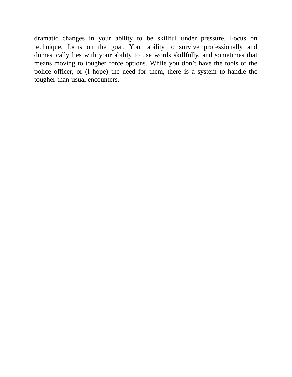dramatic changes in your ability to be skillful under pressure. Focus on technique, focus on the goal. Your ability to survive professionally and domestically lies with your ability to use words skillfully, and sometimes that means moving to tougher force options. While you don't have the tools of the police officer, or (I hope) the need for them, there is a system to handle the tougher-than-usual encounters.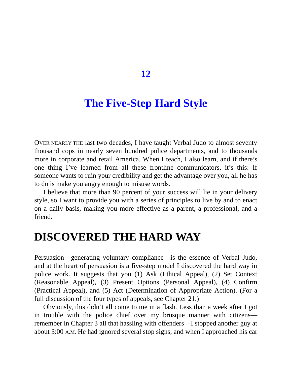**[12](#page-3-0)**

### **The [Five-Step](#page-3-0) Hard Style**

OVER NEARLY THE last two decades, I have taught Verbal Judo to almost seventy thousand cops in nearly seven hundred police departments, and to thousands more in corporate and retail America. When I teach, I also learn, and if there's one thing I've learned from all these frontline communicators, it's this: If someone wants to ruin your credibility and get the advantage over you, all he has to do is make you angry enough to misuse words.

I believe that more than 90 percent of your success will lie in your delivery style, so I want to provide you with a series of principles to live by and to enact on a daily basis, making you more effective as a parent, a professional, and a friend.

### **DISCOVERED THE HARD WAY**

Persuasion—generating voluntary compliance—is the essence of Verbal Judo, and at the heart of persuasion is a five-step model I discovered the hard way in police work. It suggests that you (1) Ask (Ethical Appeal), (2) Set Context (Reasonable Appeal), (3) Present Options (Personal Appeal), (4) Confirm (Practical Appeal), and (5) Act (Determination of Appropriate Action). (For a full discussion of the four types of appeals, see Chapter 21.)

Obviously, this didn't all come to me in a flash. Less than a week after I got in trouble with the police chief over my brusque manner with citizens remember in Chapter 3 all that hassling with offenders—I stopped another guy at about 3:00 A.M. He had ignored several stop signs, and when I approached his car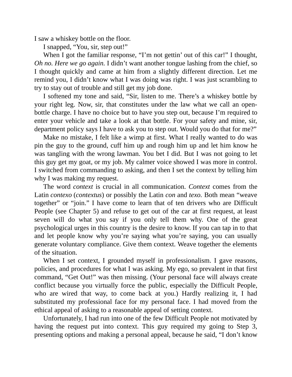I saw a whiskey bottle on the floor.

I snapped, "You, sir, step out!"

When I got the familiar response, "I'm not gettin' out of this car!" I thought, *Oh no. Here we go again.* I didn't want another tongue lashing from the chief, so I thought quickly and came at him from a slightly different direction. Let me remind you, I didn't know what I was doing was right. I was just scrambling to try to stay out of trouble and still get my job done.

I softened my tone and said, "Sir, listen to me. There's a whiskey bottle by your right leg. Now, sir, that constitutes under the law what we call an openbottle charge. I have no choice but to have you step out, because I'm required to enter your vehicle and take a look at that bottle. For your safety and mine, sir, department policy says I have to ask you to step out. Would you do that for me?"

Make no mistake, I felt like a wimp at first. What I really wanted to do was pin the guy to the ground, cuff him up and rough him up and let him know he was tangling with the wrong lawman. You bet I did. But I was not going to let this guy get my goat, or my job. My calmer voice showed I was more in control. I switched from commanding to asking, and then I set the context by telling him why I was making my request.

The word *context* is crucial in all communication. *Context* comes from the Latin *contexo* (*contextus*) or possibly the Latin *con* and *texo.* Both mean "weave together" or "join." I have come to learn that of ten drivers who are Difficult People (see Chapter 5) and refuse to get out of the car at first request, at least seven will do what you say if you only tell them why. One of the great psychological urges in this country is the desire to know. If you can tap in to that and let people know why you're saying what you're saying, you can usually generate voluntary compliance. Give them context. Weave together the elements of the situation.

When I set context, I grounded myself in professionalism. I gave reasons, policies, and procedures for what I was asking. My ego, so prevalent in that first command, "Get Out!" was then missing. (Your personal face will always create conflict because you virtually force the public, especially the Difficult People, who are wired that way, to come back at you.) Hardly realizing it, I had substituted my professional face for my personal face. I had moved from the ethical appeal of asking to a reasonable appeal of setting context.

Unfortunately, I had run into one of the few Difficult People not motivated by having the request put into context. This guy required my going to Step 3, presenting options and making a personal appeal, because he said, "I don't know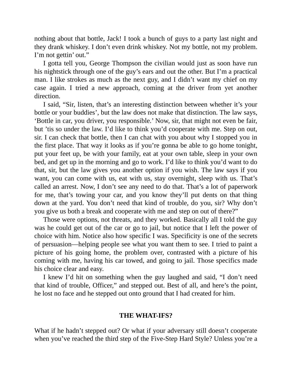nothing about that bottle, Jack! I took a bunch of guys to a party last night and they drank whiskey. I don't even drink whiskey. Not my bottle, not my problem. I'm not gettin' out."

I gotta tell you, George Thompson the civilian would just as soon have run his nightstick through one of the guy's ears and out the other. But I'm a practical man. I like strokes as much as the next guy, and I didn't want my chief on my case again. I tried a new approach, coming at the driver from yet another direction.

I said, "Sir, listen, that's an interesting distinction between whether it's your bottle or your buddies', but the law does not make that distinction. The law says, 'Bottle in car, you driver, you responsible.' Now, sir, that might not even be fair, but 'tis so under the law. I'd like to think you'd cooperate with me. Step on out, sir. I can check that bottle, then I can chat with you about why I stopped you in the first place. That way it looks as if you're gonna be able to go home tonight, put your feet up, be with your family, eat at your own table, sleep in your own bed, and get up in the morning and go to work. I'd like to think you'd want to do that, sir, but the law gives you another option if you wish. The law says if you want, you can come with us, eat with us, stay overnight, sleep with us. That's called an arrest. Now, I don't see any need to do that. That's a lot of paperwork for me, that's towing your car, and you know they'll put dents on that thing down at the yard. You don't need that kind of trouble, do you, sir? Why don't you give us both a break and cooperate with me and step on out of there?"

Those were options, not threats, and they worked. Basically all I told the guy was he could get out of the car or go to jail, but notice that I left the power of choice with him. Notice also how specific I was. Specificity is one of the secrets of persuasion—helping people see what you want them to see. I tried to paint a picture of his going home, the problem over, contrasted with a picture of his coming with me, having his car towed, and going to jail. Those specifics made his choice clear and easy.

I knew I'd hit on something when the guy laughed and said, "I don't need that kind of trouble, Officer," and stepped out. Best of all, and here's the point, he lost no face and he stepped out onto ground that I had created for him.

#### **THE WHAT-IFS?**

What if he hadn't stepped out? Or what if your adversary still doesn't cooperate when you've reached the third step of the Five-Step Hard Style? Unless you're a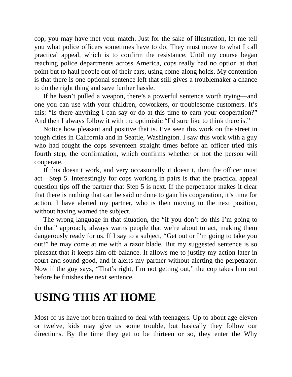cop, you may have met your match. Just for the sake of illustration, let me tell you what police officers sometimes have to do. They must move to what I call practical appeal, which is to confirm the resistance. Until my course began reaching police departments across America, cops really had no option at that point but to haul people out of their cars, using come-along holds. My contention is that there is one optional sentence left that still gives a troublemaker a chance to do the right thing and save further hassle.

If he hasn't pulled a weapon, there's a powerful sentence worth trying—and one you can use with your children, coworkers, or troublesome customers. It's this: "Is there anything I can say or do at this time to earn your cooperation?" And then I always follow it with the optimistic "I'd sure like to think there is."

Notice how pleasant and positive that is. I've seen this work on the street in tough cities in California and in Seattle, Washington. I saw this work with a guy who had fought the cops seventeen straight times before an officer tried this fourth step, the confirmation, which confirms whether or not the person will cooperate.

If this doesn't work, and very occasionally it doesn't, then the officer must act—Step 5. Interestingly for cops working in pairs is that the practical appeal question tips off the partner that Step 5 is next. If the perpetrator makes it clear that there is nothing that can be said or done to gain his cooperation, it's time for action. I have alerted my partner, who is then moving to the next position, without having warned the subject.

The wrong language in that situation, the "if you don't do this I'm going to do that" approach, always warns people that we're about to act, making them dangerously ready for us. If I say to a subject, "Get out or I'm going to take you out!" he may come at me with a razor blade. But my suggested sentence is so pleasant that it keeps him off-balance. It allows me to justify my action later in court and sound good, and it alerts my partner without alerting the perpetrator. Now if the guy says, "That's right, I'm not getting out," the cop takes him out before he finishes the next sentence.

## **USING THIS AT HOME**

Most of us have not been trained to deal with teenagers. Up to about age eleven or twelve, kids may give us some trouble, but basically they follow our directions. By the time they get to be thirteen or so, they enter the Why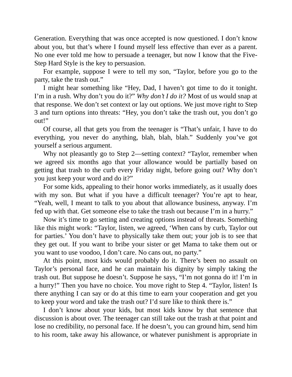Generation. Everything that was once accepted is now questioned. I don't know about you, but that's where I found myself less effective than ever as a parent. No one ever told me how to persuade a teenager, but now I know that the Five-Step Hard Style is the key to persuasion.

For example, suppose I were to tell my son, "Taylor, before you go to the party, take the trash out."

I might hear something like "Hey, Dad, I haven't got time to do it tonight. I'm in a rush. Why don't you do it?" *Why don't I do it?* Most of us would snap at that response. We don't set context or lay out options. We just move right to Step 3 and turn options into threats: "Hey, you don't take the trash out, you don't go out!"

Of course, all that gets you from the teenager is "That's unfair, I have to do everything, you never do anything, blah, blah, blah." Suddenly you've got yourself a serious argument.

Why not pleasantly go to Step 2—setting context? "Taylor, remember when we agreed six months ago that your allowance would be partially based on getting that trash to the curb every Friday night, before going out? Why don't you just keep your word and do it?"

For some kids, appealing to their honor works immediately, as it usually does with my son. But what if you have a difficult teenager? You're apt to hear, "Yeah, well, I meant to talk to you about that allowance business, anyway. I'm fed up with that. Get someone else to take the trash out because I'm in a hurry."

Now it's time to go setting and creating options instead of threats. Something like this might work: "Taylor, listen, we agreed, 'When cans by curb, Taylor out for parties.' You don't have to physically take them out; your job is to see that they get out. If you want to bribe your sister or get Mama to take them out or you want to use voodoo, I don't care. No cans out, no party."

At this point, most kids would probably do it. There's been no assault on Taylor's personal face, and he can maintain his dignity by simply taking the trash out. But suppose he doesn't. Suppose he says, "I'm not gonna do it! I'm in a hurry!" Then you have no choice. You move right to Step 4. "Taylor, listen! Is there anything I can say or do at this time to earn your cooperation and get you to keep your word and take the trash out? I'd sure like to think there is."

I don't know about your kids, but most kids know by that sentence that discussion is about over. The teenager can still take out the trash at that point and lose no credibility, no personal face. If he doesn't, you can ground him, send him to his room, take away his allowance, or whatever punishment is appropriate in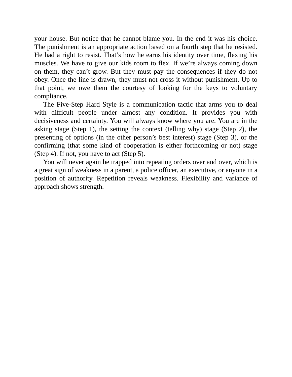your house. But notice that he cannot blame you. In the end it was his choice. The punishment is an appropriate action based on a fourth step that he resisted. He had a right to resist. That's how he earns his identity over time, flexing his muscles. We have to give our kids room to flex. If we're always coming down on them, they can't grow. But they must pay the consequences if they do not obey. Once the line is drawn, they must not cross it without punishment. Up to that point, we owe them the courtesy of looking for the keys to voluntary compliance.

The Five-Step Hard Style is a communication tactic that arms you to deal with difficult people under almost any condition. It provides you with decisiveness and certainty. You will always know where you are. You are in the asking stage (Step 1), the setting the context (telling why) stage (Step 2), the presenting of options (in the other person's best interest) stage (Step 3), or the confirming (that some kind of cooperation is either forthcoming or not) stage (Step 4). If not, you have to act (Step 5).

You will never again be trapped into repeating orders over and over, which is a great sign of weakness in a parent, a police officer, an executive, or anyone in a position of authority. Repetition reveals weakness. Flexibility and variance of approach shows strength.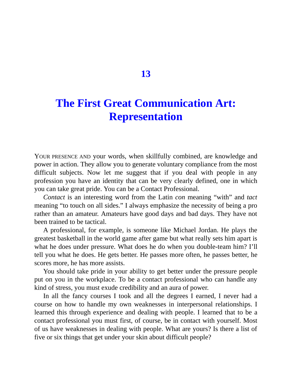**[13](#page-3-1)**

## **The First Great [Communication](#page-3-1) Art: Representation**

YOUR PRESENCE AND your words, when skillfully combined, are knowledge and power in action. They allow you to generate voluntary compliance from the most difficult subjects. Now let me suggest that if you deal with people in any profession you have an identity that can be very clearly defined, one in which you can take great pride. You can be a Contact Professional.

*Contact* is an interesting word from the Latin *con* meaning "with" and *tact* meaning "to touch on all sides." I always emphasize the necessity of being a pro rather than an amateur. Amateurs have good days and bad days. They have not been trained to be tactical.

A professional, for example, is someone like Michael Jordan. He plays the greatest basketball in the world game after game but what really sets him apart is what he does under pressure. What does he do when you double-team him? I'll tell you what he does. He gets better. He passes more often, he passes better, he scores more, he has more assists.

You should take pride in your ability to get better under the pressure people put on you in the workplace. To be a contact professional who can handle any kind of stress, you must exude credibility and an aura of power.

In all the fancy courses I took and all the degrees I earned, I never had a course on how to handle my own weaknesses in interpersonal relationships. I learned this through experience and dealing with people. I learned that to be a contact professional you must first, of course, be in contact with yourself. Most of us have weaknesses in dealing with people. What are yours? Is there a list of five or six things that get under your skin about difficult people?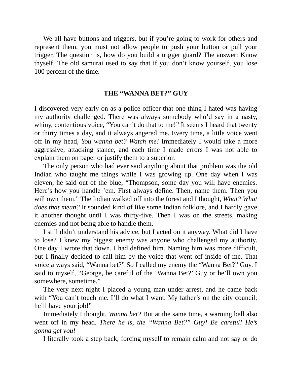We all have buttons and triggers, but if you're going to work for others and represent them, you must not allow people to push your button or pull your trigger. The question is, how do you build a trigger guard? The answer: Know thyself. The old samurai used to say that if you don't know yourself, you lose 100 percent of the time.

#### **THE "WANNA BET?" GUY**

I discovered very early on as a police officer that one thing I hated was having my authority challenged. There was always somebody who'd say in a nasty, whiny, contentious voice, "You can't do that to me!" It seems I heard that twenty or thirty times a day, and it always angered me. Every time, a little voice went off in my head, *You wanna bet? Watch me!* Immediately I would take a more aggressive, attacking stance, and each time I made errors I was not able to explain them on paper or justify them to a superior.

The only person who had ever said anything about that problem was the old Indian who taught me things while I was growing up. One day when I was eleven, he said out of the blue, "Thompson, some day you will have enemies. Here's how you handle 'em. First always define. Then, name them. Then you will own them." The Indian walked off into the forest and I thought, *What? What does that mean?* It sounded kind of like some Indian folklore, and I hardly gave it another thought until I was thirty-five. Then I was on the streets, making enemies and not being able to handle them.

I still didn't understand his advice, but I acted on it anyway. What did I have to lose? I knew my biggest enemy was anyone who challenged my authority. One day I wrote that down. I had defined him. Naming him was more difficult, but I finally decided to call him by the voice that went off inside of me. That voice always said, "Wanna bet?" So I called my enemy the "Wanna Bet?" Guy. I said to myself, "George, be careful of the 'Wanna Bet?' Guy or he'll own you somewhere, sometime."

The very next night I placed a young man under arrest, and he came back with "You can't touch me. I'll do what I want. My father's on the city council; he'll have your job!"

Immediately I thought, *Wanna bet?* But at the same time, a warning bell also went off in my head. *There he is, the "Wanna Bet?" Guy! Be careful! He's gonna get you!*

I literally took a step back, forcing myself to remain calm and not say or do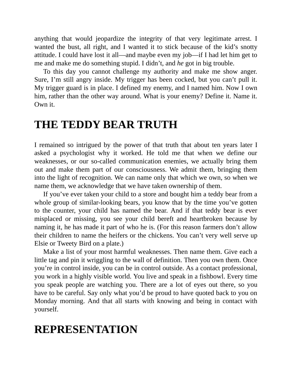anything that would jeopardize the integrity of that very legitimate arrest. I wanted the bust, all right, and I wanted it to stick because of the kid's snotty attitude. I could have lost it all—and maybe even my job—if I had let him get to me and make me do something stupid. I didn't, and *he* got in big trouble.

To this day you cannot challenge my authority and make me show anger. Sure, I'm still angry inside. My trigger has been cocked, but you can't pull it. My trigger guard is in place. I defined my enemy, and I named him. Now I own him, rather than the other way around. What is your enemy? Define it. Name it. Own it.

### **THE TEDDY BEAR TRUTH**

I remained so intrigued by the power of that truth that about ten years later I asked a psychologist why it worked. He told me that when we define our weaknesses, or our so-called communication enemies, we actually bring them out and make them part of our consciousness. We admit them, bringing them into the light of recognition. We can name only that which we own, so when we name them, we acknowledge that we have taken ownership of them.

If you've ever taken your child to a store and bought him a teddy bear from a whole group of similar-looking bears, you know that by the time you've gotten to the counter, your child has named the bear. And if that teddy bear is ever misplaced or missing, you see your child bereft and heartbroken because by naming it, he has made it part of who he is. (For this reason farmers don't allow their children to name the heifers or the chickens. You can't very well serve up Elsie or Tweety Bird on a plate.)

Make a list of your most harmful weaknesses. Then name them. Give each a little tag and pin it wriggling to the wall of definition. Then you own them. Once you're in control inside, you can be in control outside. As a contact professional, you work in a highly visible world. You live and speak in a fishbowl. Every time you speak people are watching you. There are a lot of eyes out there, so you have to be careful. Say only what you'd be proud to have quoted back to you on Monday morning. And that all starts with knowing and being in contact with yourself.

## **REPRESENTATION**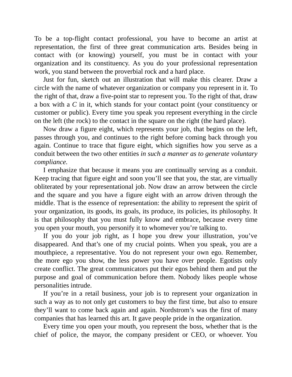To be a top-flight contact professional, you have to become an artist at representation, the first of three great communication arts. Besides being in contact with (or knowing) yourself, you must be in contact with your organization and its constituency. As you do your professional representation work, you stand between the proverbial rock and a hard place.

Just for fun, sketch out an illustration that will make this clearer. Draw a circle with the name of whatever organization or company you represent in it. To the right of that, draw a five-point star to represent you. To the right of that, draw a box with a *C* in it, which stands for your contact point (your constituency or customer or public). Every time you speak you represent everything in the circle on the left (the rock) to the contact in the square on the right (the hard place).

Now draw a figure eight, which represents your job, that begins on the left, passes through you, and continues to the right before coming back through you again. Continue to trace that figure eight, which signifies how you serve as a conduit between the two other entities *in such a manner as to generate voluntary compliance.*

I emphasize that because it means you are continually serving as a conduit. Keep tracing that figure eight and soon you'll see that you, the star, are virtually obliterated by your representational job. Now draw an arrow between the circle and the square and you have a figure eight with an arrow driven through the middle. That is the essence of representation: the ability to represent the spirit of your organization, its goods, its goals, its produce, its policies, its philosophy. It is that philosophy that you must fully know and embrace, because every time you open your mouth, you personify it to whomever you're talking to.

If you do your job right, as I hope you drew your illustration, you've disappeared. And that's one of my crucial points. When you speak, you are a mouthpiece, a representative. You do not represent your own ego. Remember, the more ego you show, the less power you have over people. Egotists only create conflict. The great communicators put their egos behind them and put the purpose and goal of communication before them. Nobody likes people whose personalities intrude.

If you're in a retail business, your job is to represent your organization in such a way as to not only get customers to buy the first time, but also to ensure they'll want to come back again and again. Nordstrom's was the first of many companies that has learned this art. It gave people pride in the organization.

Every time you open your mouth, you represent the boss, whether that is the chief of police, the mayor, the company president or CEO, or whoever. You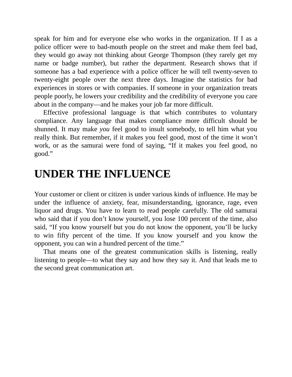speak for him and for everyone else who works in the organization. If I as a police officer were to bad-mouth people on the street and make them feel bad, they would go away not thinking about George Thompson (they rarely get my name or badge number), but rather the department. Research shows that if someone has a bad experience with a police officer he will tell twenty-seven to twenty-eight people over the next three days. Imagine the statistics for bad experiences in stores or with companies. If someone in your organization treats people poorly, he lowers your credibility and the credibility of everyone you care about in the company—and he makes your job far more difficult.

Effective professional language is that which contributes to voluntary compliance. Any language that makes compliance more difficult should be shunned. It may make *you* feel good to insult somebody, to tell him what you really think. But remember, if it makes you feel good, most of the time it won't work, or as the samurai were fond of saying, "If it makes you feel good, no good."

## **UNDER THE INFLUENCE**

Your customer or client or citizen is under various kinds of influence. He may be under the influence of anxiety, fear, misunderstanding, ignorance, rage, even liquor and drugs. You have to learn to read people carefully. The old samurai who said that if you don't know yourself, you lose 100 percent of the time, also said, "If you know yourself but you do not know the opponent, you'll be lucky to win fifty percent of the time. If you know yourself and you know the opponent, you can win a hundred percent of the time."

That means one of the greatest communication skills is listening, really listening to people—to what they say and how they say it. And that leads me to the second great communication art.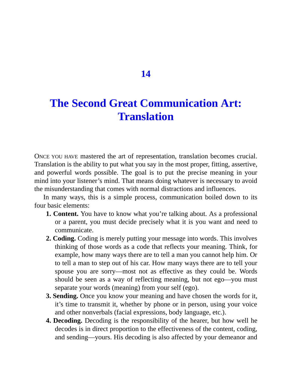**[14](#page-3-2)**

## **The Second Great [Communication](#page-3-2) Art: Translation**

ONCE YOU HAVE mastered the art of representation, translation becomes crucial. Translation is the ability to put what you say in the most proper, fitting, assertive, and powerful words possible. The goal is to put the precise meaning in your mind into your listener's mind. That means doing whatever is necessary to avoid the misunderstanding that comes with normal distractions and influences.

In many ways, this is a simple process, communication boiled down to its four basic elements:

- **1. Content.** You have to know what you're talking about. As a professional or a parent, you must decide precisely what it is you want and need to communicate.
- **2. Coding.** Coding is merely putting your message into words. This involves thinking of those words as a code that reflects your meaning. Think, for example, how many ways there are to tell a man you cannot help him. Or to tell a man to step out of his car. How many ways there are to tell your spouse you are sorry—most not as effective as they could be. Words should be seen as a way of reflecting meaning, but not ego—you must separate your words (meaning) from your self (ego).
- **3. Sending.** Once you know your meaning and have chosen the words for it, it's time to transmit it, whether by phone or in person, using your voice and other nonverbals (facial expressions, body language, etc.).
- **4. Decoding.** Decoding is the responsibility of the hearer, but how well he decodes is in direct proportion to the effectiveness of the content, coding, and sending—yours. His decoding is also affected by your demeanor and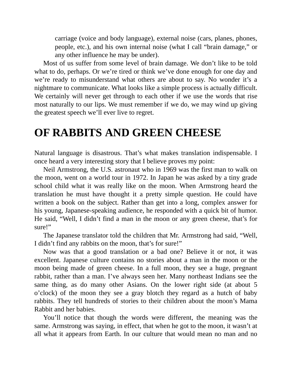carriage (voice and body language), external noise (cars, planes, phones, people, etc.), and his own internal noise (what I call "brain damage," or any other influence he may be under).

Most of us suffer from some level of brain damage. We don't like to be told what to do, perhaps. Or we're tired or think we've done enough for one day and we're ready to misunderstand what others are about to say. No wonder it's a nightmare to communicate. What looks like a simple process is actually difficult. We certainly will never get through to each other if we use the words that rise most naturally to our lips. We must remember if we do, we may wind up giving the greatest speech we'll ever live to regret.

## **OF RABBITS AND GREEN CHEESE**

Natural language is disastrous. That's what makes translation indispensable. I once heard a very interesting story that I believe proves my point:

Neil Armstrong, the U.S. astronaut who in 1969 was the first man to walk on the moon, went on a world tour in 1972. In Japan he was asked by a tiny grade school child what it was really like on the moon. When Armstrong heard the translation he must have thought it a pretty simple question. He could have written a book on the subject. Rather than get into a long, complex answer for his young, Japanese-speaking audience, he responded with a quick bit of humor. He said, "Well, I didn't find a man in the moon or any green cheese, that's for sure!"

The Japanese translator told the children that Mr. Armstrong had said, "Well, I didn't find any rabbits on the moon, that's for sure!"

Now was that a good translation or a bad one? Believe it or not, it was excellent. Japanese culture contains no stories about a man in the moon or the moon being made of green cheese. In a full moon, they see a huge, pregnant rabbit, rather than a man. I've always seen her. Many northeast Indians see the same thing, as do many other Asians. On the lower right side (at about 5 o'clock) of the moon they see a gray blotch they regard as a hutch of baby rabbits. They tell hundreds of stories to their children about the moon's Mama Rabbit and her babies.

You'll notice that though the words were different, the meaning was the same. Armstrong was saying, in effect, that when he got to the moon, it wasn't at all what it appears from Earth. In our culture that would mean no man and no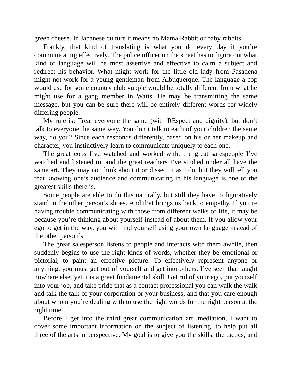green cheese. In Japanese culture it means no Mama Rabbit or baby rabbits.

Frankly, that kind of translating is what you do every day if you're communicating effectively. The police officer on the street has to figure out what kind of language will be most assertive and effective to calm a subject and redirect his behavior. What might work for the little old lady from Pasadena might not work for a young gentleman from Albuquerque. The language a cop would use for some country club yuppie would be totally different from what he might use for a gang member in Watts. He may be transmitting the same message, but you can be sure there will be entirely different words for widely differing people.

My rule is: Treat everyone the same (with REspect and dignity), but don't talk to everyone the same way. You don't talk to each of your children the same way, do you? Since each responds differently, based on his or her makeup and character, you instinctively learn to communicate uniquely to each one.

The great cops I've watched and worked with, the great salespeople I've watched and listened to, and the great teachers I've studied under all have the same art. They may not think about it or dissect it as I do, but they will tell you that knowing one's audience and communicating in his language is one of the greatest skills there is.

Some people are able to do this naturally, but still they have to figuratively stand in the other person's shoes. And that brings us back to empathy. If you're having trouble communicating with those from different walks of life, it may be because you're thinking about yourself instead of about them. If you allow your ego to get in the way, you will find yourself using your own language instead of the other person's.

The great salesperson listens to people and interacts with them awhile, then suddenly begins to use the right kinds of words, whether they be emotional or pictorial, to paint an effective picture. To effectively represent anyone or anything, you must get out of yourself and get into others. I've seen that taught nowhere else, yet it is a great fundamental skill. Get rid of your ego, put yourself into your job, and take pride that as a contact professional you can walk the walk and talk the talk of your corporation or your business, and that you care enough about whom you're dealing with to use the right words for the right person at the right time.

Before I get into the third great communication art, mediation, I want to cover some important information on the subject of listening, to help put all three of the arts in perspective. My goal is to give you the skills, the tactics, and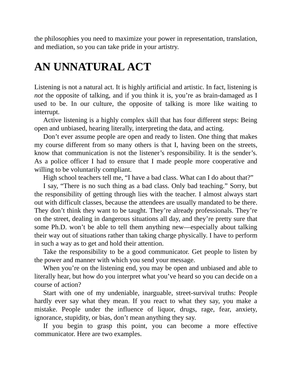the philosophies you need to maximize your power in representation, translation, and mediation, so you can take pride in your artistry.

## **AN UNNATURAL ACT**

Listening is not a natural act. It is highly artificial and artistic. In fact, listening is *not* the opposite of talking, and if you think it is, you're as brain-damaged as I used to be. In our culture, the opposite of talking is more like waiting to interrupt.

Active listening is a highly complex skill that has four different steps: Being open and unbiased, hearing literally, interpreting the data, and acting.

Don't ever assume people are open and ready to listen. One thing that makes my course different from so many others is that I, having been on the streets, know that communication is not the listener's responsibility. It is the sender's. As a police officer I had to ensure that I made people more cooperative and willing to be voluntarily compliant.

High school teachers tell me, "I have a bad class. What can I do about that?"

I say, "There is no such thing as a bad class. Only bad teaching." Sorry, but the responsibility of getting through lies with the teacher. I almost always start out with difficult classes, because the attendees are usually mandated to be there. They don't think they want to be taught. They're already professionals. They're on the street, dealing in dangerous situations all day, and they're pretty sure that some Ph.D. won't be able to tell them anything new—especially about talking their way out of situations rather than taking charge physically. I have to perform in such a way as to get and hold their attention.

Take the responsibility to be a good communicator. Get people to listen by the power and manner with which you send your message.

When you're on the listening end, you may be open and unbiased and able to literally hear, but how do you interpret what you've heard so you can decide on a course of action?

Start with one of my undeniable, inarguable, street-survival truths: People hardly ever say what they mean. If you react to what they say, you make a mistake. People under the influence of liquor, drugs, rage, fear, anxiety, ignorance, stupidity, or bias, don't mean anything they say.

If you begin to grasp this point, you can become a more effective communicator. Here are two examples.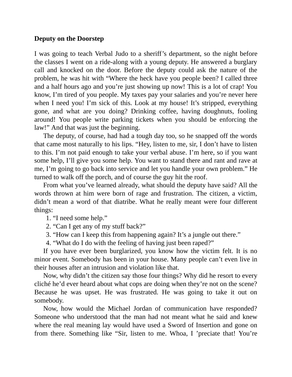#### **Deputy on the Doorstep**

I was going to teach Verbal Judo to a sheriff's department, so the night before the classes I went on a ride-along with a young deputy. He answered a burglary call and knocked on the door. Before the deputy could ask the nature of the problem, he was hit with "Where the heck have you people been? I called three and a half hours ago and you're just showing up now! This is a lot of crap! You know, I'm tired of you people. My taxes pay your salaries and you're never here when I need you! I'm sick of this. Look at my house! It's stripped, everything gone, and what are you doing? Drinking coffee, having doughnuts, fooling around! You people write parking tickets when you should be enforcing the law!" And that was just the beginning.

The deputy, of course, had had a tough day too, so he snapped off the words that came most naturally to his lips. "Hey, listen to me, sir, I don't have to listen to this. I'm not paid enough to take your verbal abuse. I'm here, so if you want some help, I'll give you some help. You want to stand there and rant and rave at me, I'm going to go back into service and let you handle your own problem." He turned to walk off the porch, and of course the guy hit the roof.

From what you've learned already, what should the deputy have said? All the words thrown at him were born of rage and frustration. The citizen, a victim, didn't mean a word of that diatribe. What he really meant were four different things:

1. "I need some help."

- 2. "Can I get any of my stuff back?"
- 3. "How can I keep this from happening again? It's a jungle out there."
- 4. "What do I do with the feeling of having just been raped?"

If you have ever been burglarized, you know how the victim felt. It is no minor event. Somebody has been in your house. Many people can't even live in their houses after an intrusion and violation like that.

Now, why didn't the citizen say those four things? Why did he resort to every cliché he'd ever heard about what cops are doing when they're not on the scene? Because he was upset. He was frustrated. He was going to take it out on somebody.

Now, how would the Michael Jordan of communication have responded? Someone who understood that the man had not meant what he said and knew where the real meaning lay would have used a Sword of Insertion and gone on from there. Something like "Sir, listen to me. Whoa, I 'preciate that! You're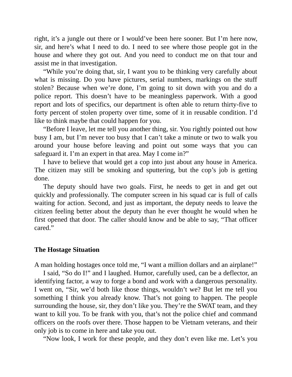right, it's a jungle out there or I would've been here sooner. But I'm here now, sir, and here's what I need to do. I need to see where those people got in the house and where they got out. And you need to conduct me on that tour and assist me in that investigation.

"While you're doing that, sir, I want you to be thinking very carefully about what is missing. Do you have pictures, serial numbers, markings on the stuff stolen? Because when we're done, I'm going to sit down with you and do a police report. This doesn't have to be meaningless paperwork. With a good report and lots of specifics, our department is often able to return thirty-five to forty percent of stolen property over time, some of it in reusable condition. I'd like to think maybe that could happen for you.

"Before I leave, let me tell you another thing, sir. You rightly pointed out how busy I am, but I'm never too busy that I can't take a minute or two to walk you around your house before leaving and point out some ways that you can safeguard it. I'm an expert in that area. May I come in?"

I have to believe that would get a cop into just about any house in America. The citizen may still be smoking and sputtering, but the cop's job is getting done.

The deputy should have two goals. First, he needs to get in and get out quickly and professionally. The computer screen in his squad car is full of calls waiting for action. Second, and just as important, the deputy needs to leave the citizen feeling better about the deputy than he ever thought he would when he first opened that door. The caller should know and be able to say, "That officer cared."

#### **The Hostage Situation**

A man holding hostages once told me, "I want a million dollars and an airplane!"

I said, "So do I!" and I laughed. Humor, carefully used, can be a deflector, an identifying factor, a way to forge a bond and work with a dangerous personality. I went on, "Sir, we'd both like those things, wouldn't we? But let me tell you something I think you already know. That's not going to happen. The people surrounding the house, sir, they don't like you. They're the SWAT team, and they want to kill you. To be frank with you, that's not the police chief and command officers on the roofs over there. Those happen to be Vietnam veterans, and their only job is to come in here and take you out.

"Now look, I work for these people, and they don't even like me. Let's you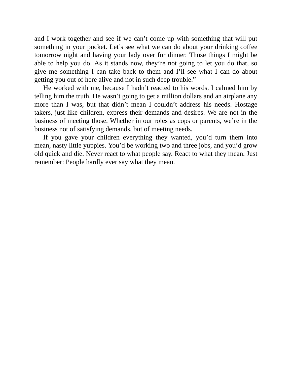and I work together and see if we can't come up with something that will put something in your pocket. Let's see what we can do about your drinking coffee tomorrow night and having your lady over for dinner. Those things I might be able to help you do. As it stands now, they're not going to let you do that, so give me something I can take back to them and I'll see what I can do about getting you out of here alive and not in such deep trouble."

He worked with me, because I hadn't reacted to his words. I calmed him by telling him the truth. He wasn't going to get a million dollars and an airplane any more than I was, but that didn't mean I couldn't address his needs. Hostage takers, just like children, express their demands and desires. We are not in the business of meeting those. Whether in our roles as cops or parents, we're in the business not of satisfying demands, but of meeting needs.

If you gave your children everything they wanted, you'd turn them into mean, nasty little yuppies. You'd be working two and three jobs, and you'd grow old quick and die. Never react to what people say. React to what they mean. Just remember: People hardly ever say what they mean.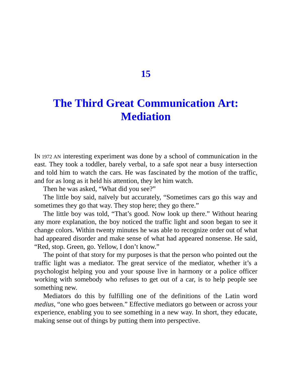**[15](#page-3-3)**

## **The Third Great [Communication](#page-3-3) Art: Mediation**

IN 1972 AN interesting experiment was done by a school of communication in the east. They took a toddler, barely verbal, to a safe spot near a busy intersection and told him to watch the cars. He was fascinated by the motion of the traffic, and for as long as it held his attention, they let him watch.

Then he was asked, "What did you see?"

The little boy said, naïvely but accurately, "Sometimes cars go this way and sometimes they go that way. They stop here; they go there."

The little boy was told, "That's good. Now look up there." Without hearing any more explanation, the boy noticed the traffic light and soon began to see it change colors. Within twenty minutes he was able to recognize order out of what had appeared disorder and make sense of what had appeared nonsense. He said, "Red, stop. Green, go. Yellow, I don't know."

The point of that story for my purposes is that the person who pointed out the traffic light was a mediator. The great service of the mediator, whether it's a psychologist helping you and your spouse live in harmony or a police officer working with somebody who refuses to get out of a car, is to help people see something new.

Mediators do this by fulfilling one of the definitions of the Latin word *medius*, "one who goes between." Effective mediators go between or across your experience, enabling you to see something in a new way. In short, they educate, making sense out of things by putting them into perspective.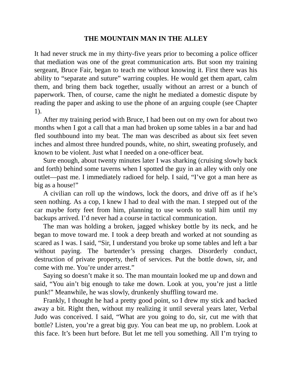#### **THE MOUNTAIN MAN IN THE ALLEY**

It had never struck me in my thirty-five years prior to becoming a police officer that mediation was one of the great communication arts. But soon my training sergeant, Bruce Fair, began to teach me without knowing it. First there was his ability to "separate and suture" warring couples. He would get them apart, calm them, and bring them back together, usually without an arrest or a bunch of paperwork. Then, of course, came the night he mediated a domestic dispute by reading the paper and asking to use the phone of an arguing couple (see Chapter 1).

After my training period with Bruce, I had been out on my own for about two months when I got a call that a man had broken up some tables in a bar and had fled southbound into my beat. The man was described as about six feet seven inches and almost three hundred pounds, white, no shirt, sweating profusely, and known to be violent. Just what I needed on a one-officer beat.

Sure enough, about twenty minutes later I was sharking (cruising slowly back and forth) behind some taverns when I spotted the guy in an alley with only one outlet—past me. I immediately radioed for help. I said, "I've got a man here as big as a house!"

A civilian can roll up the windows, lock the doors, and drive off as if he's seen nothing. As a cop, I knew I had to deal with the man. I stepped out of the car maybe forty feet from him, planning to use words to stall him until my backups arrived. I'd never had a course in tactical communication.

The man was holding a broken, jagged whiskey bottle by its neck, and he began to move toward me. I took a deep breath and worked at not sounding as scared as I was. I said, "Sir, I understand you broke up some tables and left a bar without paying. The bartender's pressing charges. Disorderly conduct, destruction of private property, theft of services. Put the bottle down, sir, and come with me. You're under arrest."

Saying so doesn't make it so. The man mountain looked me up and down and said, "You ain't big enough to take me down. Look at you, you're just a little punk!" Meanwhile, he was slowly, drunkenly shuffling toward me.

Frankly, I thought he had a pretty good point, so I drew my stick and backed away a bit. Right then, without my realizing it until several years later, Verbal Judo was conceived. I said, "What are you going to do, sir, cut me with that bottle? Listen, you're a great big guy. You can beat me up, no problem. Look at this face. It's been hurt before. But let me tell you something. All I'm trying to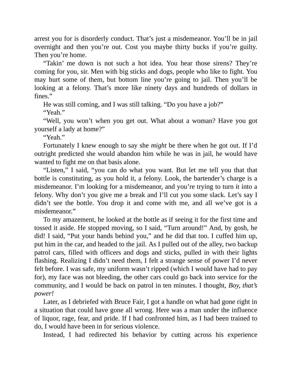arrest you for is disorderly conduct. That's just a misdemeanor. You'll be in jail overnight and then you're out. Cost you maybe thirty bucks if you're guilty. Then you're home.

"Takin' me down is not such a hot idea. You hear those sirens? They're coming for you, sir. Men with big sticks and dogs, people who like to fight. You may hurt some of them, but bottom line you're going to jail. Then you'll be looking at a felony. That's more like ninety days and hundreds of dollars in fines."

He was still coming, and I was still talking. "Do you have a job?"

"Yeah."

"Well, you won't when you get out. What about a woman? Have you got yourself a lady at home?"

"Yeah."

Fortunately I knew enough to say she *might* be there when he got out. If I'd outright predicted she would abandon him while he was in jail, he would have wanted to fight me on that basis alone.

"Listen," I said, "you can do what you want. But let me tell you that that bottle is constituting, as you hold it, a felony. Look, the bartender's charge is a misdemeanor. I'm looking for a misdemeanor, and you're trying to turn it into a felony. Why don't you give me a break and I'll cut you some slack. Let's say I didn't see the bottle. You drop it and come with me, and all we've got is a misdemeanor."

To my amazement, he looked at the bottle as if seeing it for the first time and tossed it aside. He stopped moving, so I said, "Turn around!" And, by gosh, he did! I said, "Put your hands behind you," and he did that too. I cuffed him up, put him in the car, and headed to the jail. As I pulled out of the alley, two backup patrol cars, filled with officers and dogs and sticks, pulled in with their lights flashing. Realizing I didn't need them, I felt a strange sense of power I'd never felt before. I was safe, my uniform wasn't ripped (which I would have had to pay for), my face was not bleeding, the other cars could go back into service for the community, and I would be back on patrol in ten minutes. I thought, *Boy, that's power!*

Later, as I debriefed with Bruce Fair, I got a handle on what had gone right in a situation that could have gone all wrong. Here was a man under the influence of liquor, rage, fear, and pride. If I had confronted him, as I had been trained to do, I would have been in for serious violence.

Instead, I had redirected his behavior by cutting across his experience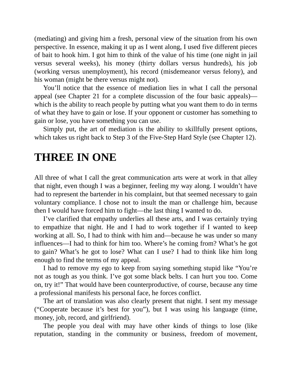(mediating) and giving him a fresh, personal view of the situation from his own perspective. In essence, making it up as I went along, I used five different pieces of bait to hook him. I got him to think of the value of his time (one night in jail versus several weeks), his money (thirty dollars versus hundreds), his job (working versus unemployment), his record (misdemeanor versus felony), and his woman (might be there versus might not).

You'll notice that the essence of mediation lies in what I call the personal appeal (see Chapter 21 for a complete discussion of the four basic appeals) which is the ability to reach people by putting what you want them to do in terms of what they have to gain or lose. If your opponent or customer has something to gain or lose, you have something you can use.

Simply put, the art of mediation is the ability to skillfully present options, which takes us right back to Step 3 of the Five-Step Hard Style (see Chapter 12).

### **THREE IN ONE**

All three of what I call the great communication arts were at work in that alley that night, even though I was a beginner, feeling my way along. I wouldn't have had to represent the bartender in his complaint, but that seemed necessary to gain voluntary compliance. I chose not to insult the man or challenge him, because then I would have forced him to fight—the last thing I wanted to do.

I've clarified that empathy underlies all these arts, and I was certainly trying to empathize that night. He and I had to work together if I wanted to keep working at all. So, I had to think with him and—because he was under so many influences—I had to think for him too. Where's he coming from? What's he got to gain? What's he got to lose? What can I use? I had to think like him long enough to find the terms of my appeal.

I had to remove my ego to keep from saying something stupid like "You're not as tough as you think. I've got some black belts. I can hurt you too. Come on, try it!" That would have been counterproductive, of course, because any time a professional manifests his personal face, he forces conflict.

The art of translation was also clearly present that night. I sent my message ("Cooperate because it's best for you"), but I was using his language (time, money, job, record, and girlfriend).

The people you deal with may have other kinds of things to lose (like reputation, standing in the community or business, freedom of movement,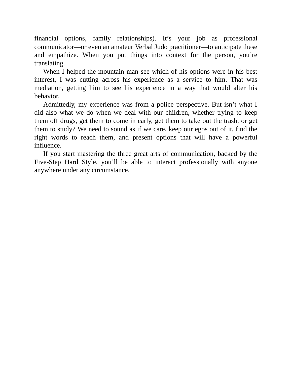financial options, family relationships). It's your job as professional communicator—or even an amateur Verbal Judo practitioner—to anticipate these and empathize. When you put things into context for the person, you're translating.

When I helped the mountain man see which of his options were in his best interest, I was cutting across his experience as a service to him. That was mediation, getting him to see his experience in a way that would alter his behavior.

Admittedly, my experience was from a police perspective. But isn't what I did also what we do when we deal with our children, whether trying to keep them off drugs, get them to come in early, get them to take out the trash, or get them to study? We need to sound as if we care, keep our egos out of it, find the right words to reach them, and present options that will have a powerful influence.

If you start mastering the three great arts of communication, backed by the Five-Step Hard Style, you'll be able to interact professionally with anyone anywhere under any circumstance.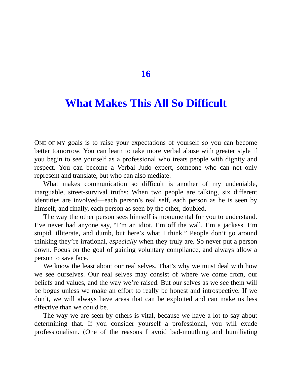**[16](#page-3-4)**

### **What Makes This All So [Difficult](#page-3-4)**

ONE OF MY goals is to raise your expectations of yourself so you can become better tomorrow. You can learn to take more verbal abuse with greater style if you begin to see yourself as a professional who treats people with dignity and respect. You can become a Verbal Judo expert, someone who can not only represent and translate, but who can also mediate.

What makes communication so difficult is another of my undeniable, inarguable, street-survival truths: When two people are talking, six different identities are involved—each person's real self, each person as he is seen by himself, and finally, each person as seen by the other, doubled.

The way the other person sees himself is monumental for you to understand. I've never had anyone say, "I'm an idiot. I'm off the wall. I'm a jackass. I'm stupid, illiterate, and dumb, but here's what I think." People don't go around thinking they're irrational, *especially* when they truly are. So never put a person down. Focus on the goal of gaining voluntary compliance, and always allow a person to save face.

We know the least about our real selves. That's why we must deal with how we see ourselves. Our real selves may consist of where we come from, our beliefs and values, and the way we're raised. But our selves as we see them will be bogus unless we make an effort to really be honest and introspective. If we don't, we will always have areas that can be exploited and can make us less effective than we could be.

The way we are seen by others is vital, because we have a lot to say about determining that. If you consider yourself a professional, you will exude professionalism. (One of the reasons I avoid bad-mouthing and humiliating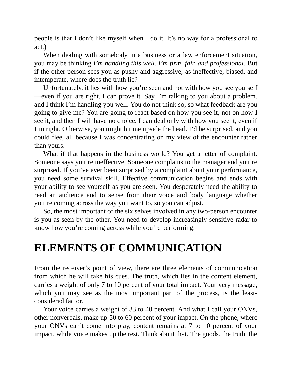people is that I don't like myself when I do it. It's no way for a professional to act.)

When dealing with somebody in a business or a law enforcement situation, you may be thinking *I'm handling this well. I'm firm, fair, and professional.* But if the other person sees you as pushy and aggressive, as ineffective, biased, and intemperate, where does the truth lie?

Unfortunately, it lies with how you're seen and not with how you see yourself —even if you are right. I can prove it. Say I'm talking to you about a problem, and I think I'm handling you well. You do not think so, so what feedback are you going to give me? You are going to react based on how you see it, not on how I see it, and then I will have no choice. I can deal only with how you see it, even if I'm right. Otherwise, you might hit me upside the head. I'd be surprised, and you could flee, all because I was concentrating on my view of the encounter rather than yours.

What if that happens in the business world? You get a letter of complaint. Someone says you're ineffective. Someone complains to the manager and you're surprised. If you've ever been surprised by a complaint about your performance, you need some survival skill. Effective communication begins and ends with your ability to see yourself as you are seen. You desperately need the ability to read an audience and to sense from their voice and body language whether you're coming across the way you want to, so you can adjust.

So, the most important of the six selves involved in any two-person encounter is you as seen by the other. You need to develop increasingly sensitive radar to know how you're coming across while you're performing.

## **ELEMENTS OF COMMUNICATION**

From the receiver's point of view, there are three elements of communication from which he will take his cues. The truth, which lies in the content element, carries a weight of only 7 to 10 percent of your total impact. Your very message, which you may see as the most important part of the process, is the leastconsidered factor.

Your voice carries a weight of 33 to 40 percent. And what I call your ONVs, other nonverbals, make up 50 to 60 percent of your impact. On the phone, where your ONVs can't come into play, content remains at 7 to 10 percent of your impact, while voice makes up the rest. Think about that. The goods, the truth, the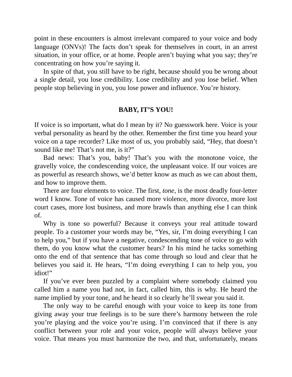point in these encounters is almost irrelevant compared to your voice and body language (ONVs)! The facts don't speak for themselves in court, in an arrest situation, in your office, or at home. People aren't buying what you say; they're concentrating on how you're saying it.

In spite of that, you still have to be right, because should you be wrong about a single detail, you lose credibility. Lose credibility and you lose belief. When people stop believing in you, you lose power and influence. You're history.

#### **BABY, IT'S YOU!**

If voice is so important, what do I mean by it? No guesswork here. Voice is your verbal personality as heard by the other. Remember the first time you heard your voice on a tape recorder? Like most of us, you probably said, "Hey, that doesn't sound like me! That's not me, is it?"

Bad news: That's you, baby! That's you with the monotone voice, the gravelly voice, the condescending voice, the unpleasant voice. If our voices are as powerful as research shows, we'd better know as much as we can about them, and how to improve them.

There are four elements to voice. The first, *tone,* is the most deadly four-letter word I know. Tone of voice has caused more violence, more divorce, more lost court cases, more lost business, and more brawls than anything else I can think of.

Why is tone so powerful? Because it conveys your real attitude toward people. To a customer your words may be, "Yes, sir, I'm doing everything I can to help you," but if you have a negative, condescending tone of voice to go with them, do you know what the customer hears? In his mind he tacks something onto the end of that sentence that has come through so loud and clear that he believes you said it. He hears, "I'm doing everything I can to help you, you idiot!"

If you've ever been puzzled by a complaint where somebody claimed you called him a name you had not, in fact, called him, this is why. He heard the name implied by your tone, and he heard it so clearly he'll swear you said it.

The only way to be careful enough with your voice to keep its tone from giving away your true feelings is to be sure there's harmony between the role you're playing and the voice you're using. I'm convinced that if there is any conflict between your role and your voice, people will always believe your voice. That means you must harmonize the two, and that, unfortunately, means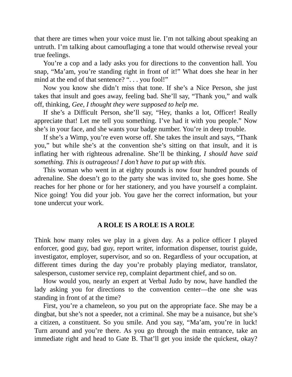that there are times when your voice must lie. I'm not talking about speaking an untruth. I'm talking about camouflaging a tone that would otherwise reveal your true feelings.

You're a cop and a lady asks you for directions to the convention hall. You snap, "Ma'am, you're standing right in front of it!" What does she hear in her mind at the end of that sentence? ". . . you fool!"

Now you know she didn't miss that tone. If she's a Nice Person, she just takes that insult and goes away, feeling bad. She'll say, "Thank you," and walk off, thinking, *Gee, I thought they were supposed to help me.*

If she's a Difficult Person, she'll say, "Hey, thanks a lot, Officer! Really appreciate that! Let me tell you something. I've had it with you people." Now she's in your face, and she wants your badge number. You're in deep trouble.

If she's a Wimp, you're even worse off. She takes the insult and says, "Thank you," but while she's at the convention she's sitting on that insult, and it is inflating her with righteous adrenaline. She'll be thinking, *I should have said something. This is outrageous! I don't have to put up with this.*

This woman who went in at eighty pounds is now four hundred pounds of adrenaline. She doesn't go to the party she was invited to, she goes home. She reaches for her phone or for her stationery, and you have yourself a complaint. Nice going! You did your job. You gave her the correct information, but your tone undercut your work.

#### **A ROLE IS A ROLE IS A ROLE**

Think how many roles we play in a given day. As a police officer I played enforcer, good guy, bad guy, report writer, information dispenser, tourist guide, investigator, employer, supervisor, and so on. Regardless of your occupation, at different times during the day you're probably playing mediator, translator, salesperson, customer service rep, complaint department chief, and so on.

How would you, nearly an expert at Verbal Judo by now, have handled the lady asking you for directions to the convention center—the one she was standing in front of at the time?

First, you're a chameleon, so you put on the appropriate face. She may be a dingbat, but she's not a speeder, not a criminal. She may be a nuisance, but she's a citizen, a constituent. So you smile. And you say, "Ma'am, you're in luck! Turn around and you're there. As you go through the main entrance, take an immediate right and head to Gate B. That'll get you inside the quickest, okay?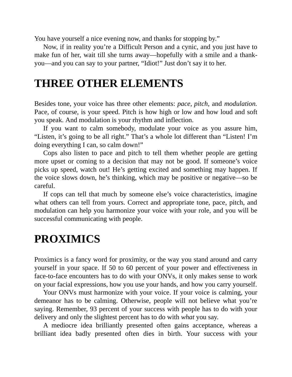You have yourself a nice evening now, and thanks for stopping by."

Now, if in reality you're a Difficult Person and a cynic, and you just have to make fun of her, wait till she turns away—hopefully with a smile and a thankyou—and you can say to your partner, "Idiot!" Just don't say it to her.

## **THREE OTHER ELEMENTS**

Besides tone, your voice has three other elements: *pace, pitch,* and *modulation.* Pace, of course, is your speed. Pitch is how high or low and how loud and soft you speak. And modulation is your rhythm and inflection.

If you want to calm somebody, modulate your voice as you assure him, "Listen, it's going to be all right." That's a whole lot different than "Listen! I'm doing everything I can, so calm down!"

Cops also listen to pace and pitch to tell them whether people are getting more upset or coming to a decision that may not be good. If someone's voice picks up speed, watch out! He's getting excited and something may happen. If the voice slows down, he's thinking, which may be positive or negative—so be careful.

If cops can tell that much by someone else's voice characteristics, imagine what others can tell from yours. Correct and appropriate tone, pace, pitch, and modulation can help you harmonize your voice with your role, and you will be successful communicating with people.

# **PROXIMICS**

Proximics is a fancy word for proximity, or the way you stand around and carry yourself in your space. If 50 to 60 percent of your power and effectiveness in face-to-face encounters has to do with your ONVs, it only makes sense to work on your facial expressions, how you use your hands, and how you carry yourself.

Your ONVs must harmonize with your voice. If your voice is calming, your demeanor has to be calming. Otherwise, people will not believe what you're saying. Remember, 93 percent of your success with people has to do with your delivery and only the slightest percent has to do with *what* you say.

A mediocre idea brilliantly presented often gains acceptance, whereas a brilliant idea badly presented often dies in birth. Your success with your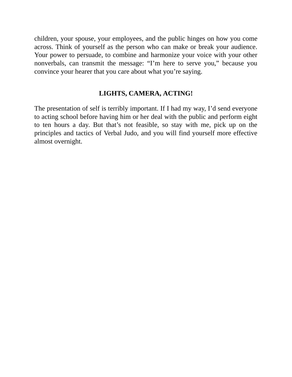children, your spouse, your employees, and the public hinges on how you come across. Think of yourself as the person who can make or break your audience. Your power to persuade, to combine and harmonize your voice with your other nonverbals, can transmit the message: "I'm here to serve you," because you convince your hearer that you care about what you're saying.

#### **LIGHTS, CAMERA, ACTING!**

The presentation of self is terribly important. If I had my way, I'd send everyone to acting school before having him or her deal with the public and perform eight to ten hours a day. But that's not feasible, so stay with me, pick up on the principles and tactics of Verbal Judo, and you will find yourself more effective almost overnight.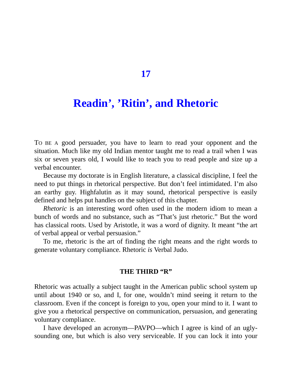**[17](#page-4-0)**

## **Readin' , 'Ritin' , and [Rhetoric](#page-4-0)**

TO BE A good persuader, you have to learn to read your opponent and the situation. Much like my old Indian mentor taught me to read a trail when I was six or seven years old, I would like to teach you to read people and size up a verbal encounter.

Because my doctorate is in English literature, a classical discipline, I feel the need to put things in rhetorical perspective. But don't feel intimidated. I'm also an earthy guy. Highfalutin as it may sound, rhetorical perspective is easily defined and helps put handles on the subject of this chapter.

*Rhetoric* is an interesting word often used in the modern idiom to mean a bunch of words and no substance, such as "That's just rhetoric." But the word has classical roots. Used by Aristotle, it was a word of dignity. It meant "the art of verbal appeal or verbal persuasion."

To me, rhetoric is the art of finding the right means and the right words to generate voluntary compliance. Rhetoric *is* Verbal Judo.

#### **THE THIRD "R"**

Rhetoric was actually a subject taught in the American public school system up until about 1940 or so, and I, for one, wouldn't mind seeing it return to the classroom. Even if the concept is foreign to you, open your mind to it. I want to give you a rhetorical perspective on communication, persuasion, and generating voluntary compliance.

I have developed an acronym—PAVPO—which I agree is kind of an uglysounding one, but which is also very serviceable. If you can lock it into your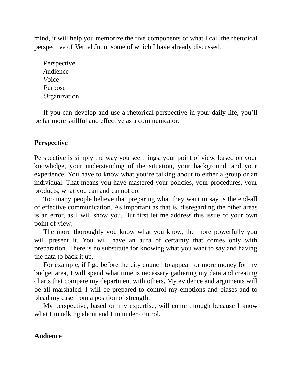mind, it will help you memorize the five components of what I call the rhetorical perspective of Verbal Judo, some of which I have already discussed:

*P*erspective *A*udience *V*oice *P*urpose *O*rganization

If you can develop and use a rhetorical perspective in your daily life, you'll be far more skillful and effective as a communicator.

#### **Perspective**

Perspective is simply the way you see things, your point of view, based on your knowledge, your understanding of the situation, your background, and your experience. You have to know what you're talking about to either a group or an individual. That means you have mastered your policies, your procedures, your products, what you can and cannot do.

Too many people believe that preparing what they want to say is the end-all of effective communication. As important as that is, disregarding the other areas is an error, as I will show you. But first let me address this issue of your own point of view.

The more thoroughly you know what you know, the more powerfully you will present it. You will have an aura of certainty that comes only with preparation. There is no substitute for knowing what you want to say and having the data to back it up.

For example, if I go before the city council to appeal for more money for my budget area, I will spend what time is necessary gathering my data and creating charts that compare my department with others. My evidence and arguments will be all marshaled. I will be prepared to control my emotions and biases and to plead my case from a position of strength.

My perspective, based on my expertise, will come through because I know what I'm talking about and I'm under control.

#### **Audience**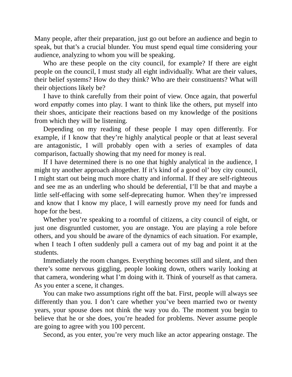Many people, after their preparation, just go out before an audience and begin to speak, but that's a crucial blunder. You must spend equal time considering your audience, analyzing to whom you will be speaking.

Who are these people on the city council, for example? If there are eight people on the council, I must study all eight individually. What are their values, their belief systems? How do they think? Who are their constituents? What will their objections likely be?

I have to think carefully from their point of view. Once again, that powerful word *empathy* comes into play. I want to think like the others, put myself into their shoes, anticipate their reactions based on my knowledge of the positions from which they will be listening.

Depending on my reading of these people I may open differently. For example, if I know that they're highly analytical people or that at least several are antagonistic, I will probably open with a series of examples of data comparison, factually showing that my need for money is real.

If I have determined there is no one that highly analytical in the audience, I might try another approach altogether. If it's kind of a good ol' boy city council, I might start out being much more chatty and informal. If they are self-righteous and see me as an underling who should be deferential, I'll be that and maybe a little self-effacing with some self-deprecating humor. When they're impressed and know that I know my place, I will earnestly prove my need for funds and hope for the best.

Whether you're speaking to a roomful of citizens, a city council of eight, or just one disgruntled customer, you are onstage. You are playing a role before others, and you should be aware of the dynamics of each situation. For example, when I teach I often suddenly pull a camera out of my bag and point it at the students.

Immediately the room changes. Everything becomes still and silent, and then there's some nervous giggling, people looking down, others warily looking at that camera, wondering what I'm doing with it. Think of yourself as that camera. As you enter a scene, it changes.

You can make two assumptions right off the bat. First, people will always see differently than you. I don't care whether you've been married two or twenty years, your spouse does not think the way you do. The moment you begin to believe that he or she does, you're headed for problems. Never assume people are going to agree with you 100 percent.

Second, as you enter, you're very much like an actor appearing onstage. The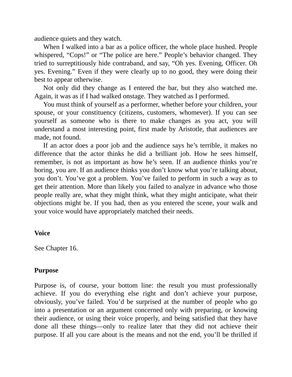audience quiets and they watch.

When I walked into a bar as a police officer, the whole place hushed. People whispered, "Cops!" or "The police are here." People's behavior changed. They tried to surreptitiously hide contraband, and say, "Oh yes. Evening, Officer. Oh yes. Evening." Even if they were clearly up to no good, they were doing their best to appear otherwise.

Not only did they change as I entered the bar, but they also watched me. Again, it was as if I had walked onstage. They watched as I performed.

You must think of yourself as a performer, whether before your children, your spouse, or your constituency (citizens, customers, whomever). If you can see yourself as someone who is there to make changes as you act, you will understand a most interesting point, first made by Aristotle, that audiences are made, not found.

If an actor does a poor job and the audience says he's terrible, it makes no difference that the actor thinks he did a brilliant job. How he sees himself, remember, is not as important as how he's seen. If an audience thinks you're boring, you are. If an audience thinks you don't know what you're talking about, you don't. You've got a problem. You've failed to perform in such a way as to get their attention. More than likely you failed to analyze in advance who those people really are, what they might think, what they might anticipate, what their objections might be. If you had, then as you entered the scene, your walk and your voice would have appropriately matched their needs.

#### **Voice**

See Chapter 16.

#### **Purpose**

Purpose is, of course, your bottom line: the result you must professionally achieve. If you do everything else right and don't achieve your purpose, obviously, you've failed. You'd be surprised at the number of people who go into a presentation or an argument concerned only with preparing, or knowing their audience, or using their voice properly, and being satisfied that they have done all these things—only to realize later that they did not achieve their purpose. If all you care about is the means and not the end, you'll be thrilled if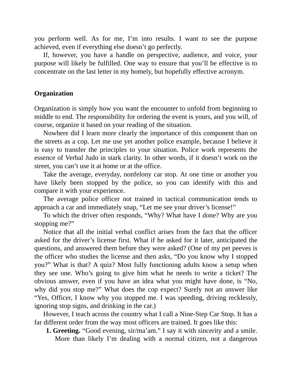you perform well. As for me, I'm into results. I want to see the purpose achieved, even if everything else doesn't go perfectly.

If, however, you have a handle on perspective, audience, and voice, your purpose will likely be fulfilled. One way to ensure that you'll be effective is to concentrate on the last letter in my homely, but hopefully effective acronym.

#### **Organization**

Organization is simply how you want the encounter to unfold from beginning to middle to end. The responsibility for ordering the event is yours, and you will, of course, organize it based on your reading of the situation.

Nowhere did I learn more clearly the importance of this component than on the streets as a cop. Let me use yet another police example, because I believe it is easy to transfer the principles to your situation. Police work represents the essence of Verbal Judo in stark clarity. In other words, if it doesn't work on the street, you can't use it at home or at the office.

Take the average, everyday, nonfelony car stop. At one time or another you have likely been stopped by the police, so you can identify with this and compare it with your experience.

The average police officer not trained in tactical communication tends to approach a car and immediately snap, "Let me see your driver's license!"

To which the driver often responds, "Why? What have I done? Why are you stopping me?"

Notice that all the initial verbal conflict arises from the fact that the officer asked for the driver's license first. What if he asked for it later, anticipated the questions, and answered them before they were asked? (One of my pet peeves is the officer who studies the license and then asks, "Do you know why I stopped you?" What is that? A quiz? Most fully functioning adults know a setup when they see one. Who's going to give him what he needs to write a ticket? The obvious answer, even if you have an idea what you might have done, is "No, why did you stop me?" What does the cop expect? Surely not an answer like "Yes, Officer, I know why you stopped me. I was speeding, driving recklessly, ignoring stop signs, and drinking in the car.)

However, I teach across the country what I call a Nine-Step Car Stop. It has a far different order from the way most officers are trained. It goes like this:

**1. Greeting.** "Good evening, sir/ma'am." I say it with sincerity and a smile. More than likely I'm dealing with a normal citizen, not a dangerous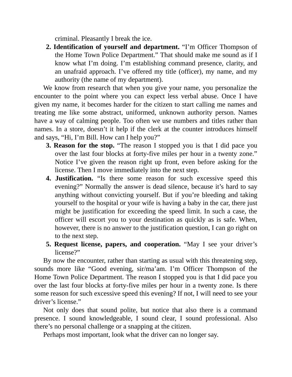criminal. Pleasantly I break the ice.

**2. Identification of yourself and department.** "I'm Officer Thompson of the Home Town Police Department." That should make me sound as if I know what I'm doing. I'm establishing command presence, clarity, and an unafraid approach. I've offered my title (officer), my name, and my authority (the name of my department).

We know from research that when you give your name, you personalize the encounter to the point where you can expect less verbal abuse. Once I have given my name, it becomes harder for the citizen to start calling me names and treating me like some abstract, uniformed, unknown authority person. Names have a way of calming people. Too often we use numbers and titles rather than names. In a store, doesn't it help if the clerk at the counter introduces himself and says, "Hi, I'm Bill. How can I help you?"

- **3. Reason for the stop.** "The reason I stopped you is that I did pace you over the last four blocks at forty-five miles per hour in a twenty zone." Notice I've given the reason right up front, even before asking for the license. Then I move immediately into the next step.
- **4. Justification.** "Is there some reason for such excessive speed this evening?" Normally the answer is dead silence, because it's hard to say anything without convicting yourself. But if you're bleeding and taking yourself to the hospital or your wife is having a baby in the car, there just might be justification for exceeding the speed limit. In such a case, the officer will escort you to your destination as quickly as is safe. When, however, there is no answer to the justification question, I can go right on to the next step.
- **5. Request license, papers, and cooperation.** "May I see your driver's license?"

By now the encounter, rather than starting as usual with this threatening step, sounds more like "Good evening, sir/ma'am. I'm Officer Thompson of the Home Town Police Department. The reason I stopped you is that I did pace you over the last four blocks at forty-five miles per hour in a twenty zone. Is there some reason for such excessive speed this evening? If not, I will need to see your driver's license."

Not only does that sound polite, but notice that also there is a command presence. I sound knowledgeable, I sound clear, I sound professional. Also there's no personal challenge or a snapping at the citizen.

Perhaps most important, look what the driver can no longer say.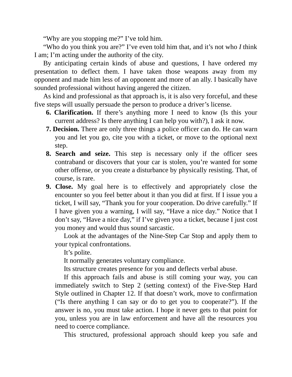"Why are you stopping me?" I've told him.

"Who do you think you are?" I've even told him that, and it's not who *I* think I am; I'm acting under the authority of the city.

By anticipating certain kinds of abuse and questions, I have ordered my presentation to deflect them. I have taken those weapons away from my opponent and made him less of an opponent and more of an ally. I basically have sounded professional without having angered the citizen.

As kind and professional as that approach is, it is also very forceful, and these five steps will usually persuade the person to produce a driver's license.

- **6. Clarification.** If there's anything more I need to know (Is this your current address? Is there anything I can help you with?), I ask it now.
- **7. Decision.** There are only three things a police officer can do. He can warn you and let you go, cite you with a ticket, or move to the optional next step.
- **8. Search and seize.** This step is necessary only if the officer sees contraband or discovers that your car is stolen, you're wanted for some other offense, or you create a disturbance by physically resisting. That, of course, is rare.
- **9. Close.** My goal here is to effectively and appropriately close the encounter so you feel better about it than you did at first. If I issue you a ticket, I will say, "Thank you for your cooperation. Do drive carefully." If I have given you a warning, I will say, "Have a nice day." Notice that I don't say, "Have a nice day," if I've given you a ticket, because I just cost you money and would thus sound sarcastic.

Look at the advantages of the Nine-Step Car Stop and apply them to your typical confrontations.

It's polite.

It normally generates voluntary compliance.

Its structure creates presence for you and deflects verbal abuse.

If this approach fails and abuse is still coming your way, you can immediately switch to Step 2 (setting context) of the Five-Step Hard Style outlined in Chapter 12. If that doesn't work, move to confirmation ("Is there anything I can say or do to get you to cooperate?"). If the answer is no, you must take action. I hope it never gets to that point for you, unless you are in law enforcement and have all the resources you need to coerce compliance.

This structured, professional approach should keep you safe and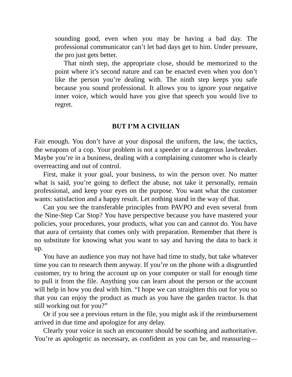sounding good, even when you may be having a bad day. The professional communicator can't let bad days get to him. Under pressure, the pro just gets better.

That ninth step, the appropriate close, should be memorized to the point where it's second nature and can be enacted even when you don't like the person you're dealing with. The ninth step keeps you safe because you sound professional. It allows you to ignore your negative inner voice, which would have you give that speech you would live to regret.

#### **BUT I'M A CIVILIAN**

Fair enough. You don't have at your disposal the uniform, the law, the tactics, the weapons of a cop. Your problem is not a speeder or a dangerous lawbreaker. Maybe you're in a business, dealing with a complaining customer who is clearly overreacting and out of control.

First, make it your goal, your business, to win the person over. No matter what is said, you're going to deflect the abuse, not take it personally, remain professional, and keep your eyes on the purpose. You want what the customer wants: satisfaction and a happy result. Let nothing stand in the way of that.

Can you see the transferable principles from PAVPO and even several from the Nine-Step Car Stop? You have perspective because you have mastered your policies, your procedures, your products, what you can and cannot do. You have that aura of certainty that comes only with preparation. Remember that there is no substitute for knowing what you want to say and having the data to back it up.

You have an audience you may not have had time to study, but take whatever time you can to research them anyway. If you're on the phone with a disgruntled customer, try to bring the account up on your computer or stall for enough time to pull it from the file. Anything you can learn about the person or the account will help in how you deal with him. "I hope we can straighten this out for you so that you can enjoy the product as much as you have the garden tractor. Is that still working out for you?"

Or if you see a previous return in the file, you might ask if the reimbursement arrived in due time and apologize for any delay.

Clearly your voice in such an encounter should be soothing and authoritative. You're as apologetic as necessary, as confident as you can be, and reassuring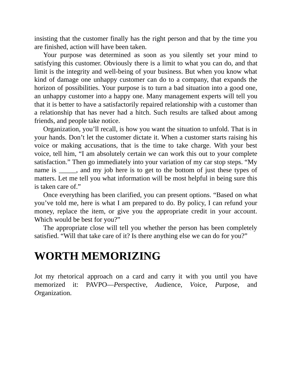insisting that the customer finally has the right person and that by the time you are finished, action will have been taken.

Your purpose was determined as soon as you silently set your mind to satisfying this customer. Obviously there is a limit to what you can do, and that limit is the integrity and well-being of your business. But when you know what kind of damage one unhappy customer can do to a company, that expands the horizon of possibilities. Your purpose is to turn a bad situation into a good one, an unhappy customer into a happy one. Many management experts will tell you that it is better to have a satisfactorily repaired relationship with a customer than a relationship that has never had a hitch. Such results are talked about among friends, and people take notice.

Organization, you'll recall, is how you want the situation to unfold. That is in your hands. Don't let the customer dictate it. When a customer starts raising his voice or making accusations, that is the time to take charge. With your best voice, tell him, "I am absolutely certain we can work this out to your complete satisfaction." Then go immediately into your variation of my car stop steps. "My name is \_\_\_\_\_, and my job here is to get to the bottom of just these types of matters. Let me tell you what information will be most helpful in being sure this is taken care of."

Once everything has been clarified, you can present options. "Based on what you've told me, here is what I am prepared to do. By policy, I can refund your money, replace the item, or give you the appropriate credit in your account. Which would be best for you?"

The appropriate close will tell you whether the person has been completely satisfied. "Will that take care of it? Is there anything else we can do for you?"

## **WORTH MEMORIZING**

Jot my rhetorical approach on a card and carry it with you until you have memorized it: PAVPO—*P*erspective, *A*udience, *V*oice, *P*urpose, and *O*rganization.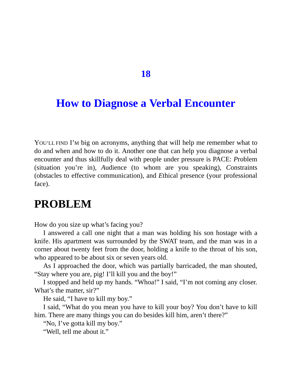**[18](#page-4-0)**

### **How to Diagnose a Verbal [Encounter](#page-4-0)**

YOU'LL FIND I'M big on acronyms, anything that will help me remember what to do and when and how to do it. Another one that can help you diagnose a verbal encounter and thus skillfully deal with people under pressure is PACE: *P*roblem (situation you're in), *A*udience (to whom are you speaking), *C*onstraints (obstacles to effective communication), and *E*thical presence (your professional face).

### **PROBLEM**

How do you size up what's facing you?

I answered a call one night that a man was holding his son hostage with a knife. His apartment was surrounded by the SWAT team, and the man was in a corner about twenty feet from the door, holding a knife to the throat of his son, who appeared to be about six or seven years old.

As I approached the door, which was partially barricaded, the man shouted, "Stay where you are, pig! I'll kill you and the boy!"

I stopped and held up my hands. "Whoa!" I said, "I'm not coming any closer. What's the matter, sir?"

He said, "I have to kill my boy."

I said, "What do you mean you have to kill your boy? You don't have to kill him. There are many things you can do besides kill him, aren't there?"

"No, I've gotta kill my boy."

"Well, tell me about it."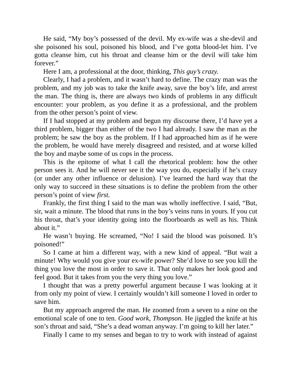He said, "My boy's possessed of the devil. My ex-wife was a she-devil and she poisoned his soul, poisoned his blood, and I've gotta blood-let him. I've gotta cleanse him, cut his throat and cleanse him or the devil will take him forever."

Here I am, a professional at the door, thinking, *This guy's crazy.*

Clearly, I had a problem, and it wasn't hard to define. The crazy man was the problem, and my job was to take the knife away, save the boy's life, and arrest the man. The thing is, there are always two kinds of problems in any difficult encounter: your problem, as you define it as a professional, and the problem from the other person's point of view.

If I had stopped at my problem and begun my discourse there, I'd have yet a third problem, bigger than either of the two I had already. I saw the man as the problem; he saw the boy as the problem. If I had approached him as if he were the problem, he would have merely disagreed and resisted, and at worse killed the boy and maybe some of us cops in the process.

This is the epitome of what I call the rhetorical problem: how the other person sees it. And he will never see it the way you do, especially if he's crazy (or under any other influence or delusion). I've learned the hard way that the only way to succeed in these situations is to define the problem from the other person's point of view *first.*

Frankly, the first thing I said to the man was wholly ineffective. I said, "But, sir, wait a minute. The blood that runs in the boy's veins runs in yours. If you cut his throat, that's your identity going into the floorboards as well as his. Think about it."

He wasn't buying. He screamed, "No! I said the blood was poisoned. It's poisoned!"

So I came at him a different way, with a new kind of appeal. "But wait a minute! Why would you give your ex-wife power? She'd love to see you kill the thing you love the most in order to save it. That only makes her look good and feel good. But it takes from you the very thing you love."

I thought that was a pretty powerful argument because I was looking at it from only my point of view. I certainly wouldn't kill someone I loved in order to save him.

But my approach angered the man. He zoomed from a seven to a nine on the emotional scale of one to ten. *Good work, Thompson.* He jiggled the knife at his son's throat and said, "She's a dead woman anyway. I'm going to kill her later."

Finally I came to my senses and began to try to work with instead of against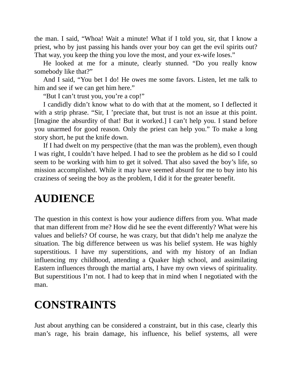the man. I said, "Whoa! Wait a minute! What if I told you, sir, that I know a priest, who by just passing his hands over your boy can get the evil spirits out? That way, you keep the thing you love the most, and your ex-wife loses."

He looked at me for a minute, clearly stunned. "Do you really know somebody like that?"

And I said, "You bet I do! He owes me some favors. Listen, let me talk to him and see if we can get him here."

"But I can't trust you, you're a cop!"

I candidly didn't know what to do with that at the moment, so I deflected it with a strip phrase. "Sir, I 'preciate that, but trust is not an issue at this point. [Imagine the absurdity of that! But it worked.] I can't help you. I stand before you unarmed for good reason. Only the priest can help you." To make a long story short, he put the knife down.

If I had dwelt on my perspective (that the man was the problem), even though I was right, I couldn't have helped. I had to see the problem as he did so I could seem to be working with him to get it solved. That also saved the boy's life, so mission accomplished. While it may have seemed absurd for me to buy into his craziness of seeing the boy as the problem, I did it for the greater benefit.

## **AUDIENCE**

The question in this context is how your audience differs from you. What made that man different from me? How did he see the event differently? What were his values and beliefs? Of course, he was crazy, but that didn't help me analyze the situation. The big difference between us was his belief system. He was highly superstitious. I have my superstitions, and with my history of an Indian influencing my childhood, attending a Quaker high school, and assimilating Eastern influences through the martial arts, I have my own views of spirituality. But superstitious I'm not. I had to keep that in mind when I negotiated with the man.

# **CONSTRAINTS**

Just about anything can be considered a constraint, but in this case, clearly this man's rage, his brain damage, his influence, his belief systems, all were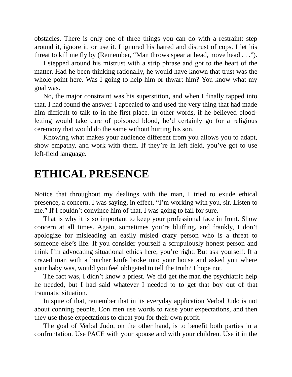obstacles. There is only one of three things you can do with a restraint: step around it, ignore it, or use it. I ignored his hatred and distrust of cops. I let his threat to kill me fly by (Remember, "Man throws spear at head, move head . . .").

I stepped around his mistrust with a strip phrase and got to the heart of the matter. Had he been thinking rationally, he would have known that trust was the whole point here. Was I going to help him or thwart him? You know what my goal was.

No, the major constraint was his superstition, and when I finally tapped into that, I had found the answer. I appealed to and used the very thing that had made him difficult to talk to in the first place. In other words, if he believed bloodletting would take care of poisoned blood, he'd certainly go for a religious ceremony that would do the same without hurting his son.

Knowing what makes your audience different from you allows you to adapt, show empathy, and work with them. If they're in left field, you've got to use left-field language.

### **ETHICAL PRESENCE**

Notice that throughout my dealings with the man, I tried to exude ethical presence, a concern. I was saying, in effect, "I'm working with you, sir. Listen to me." If I couldn't convince him of that, I was going to fail for sure.

That is why it is so important to keep your professional face in front. Show concern at all times. Again, sometimes you're bluffing, and frankly, I don't apologize for misleading an easily misled crazy person who is a threat to someone else's life. If you consider yourself a scrupulously honest person and think I'm advocating situational ethics here, you're right. But ask yourself: If a crazed man with a butcher knife broke into your house and asked you where your baby was, would you feel obligated to tell the truth? I hope not.

The fact was, I didn't know a priest. We did get the man the psychiatric help he needed, but I had said whatever I needed to to get that boy out of that traumatic situation.

In spite of that, remember that in its everyday application Verbal Judo is not about conning people. Con men use words to raise your expectations, and then they use those expectations to cheat you for their own profit.

The goal of Verbal Judo, on the other hand, is to benefit both parties in a confrontation. Use PACE with your spouse and with your children. Use it in the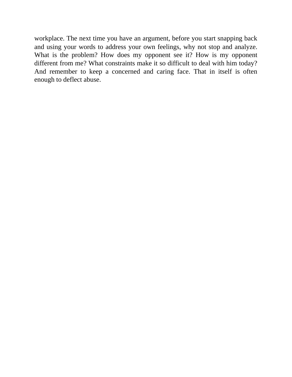workplace. The next time you have an argument, before you start snapping back and using your words to address your own feelings, why not stop and analyze. What is the problem? How does my opponent see it? How is my opponent different from me? What constraints make it so difficult to deal with him today? And remember to keep a concerned and caring face. That in itself is often enough to deflect abuse.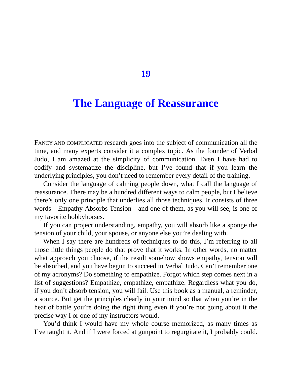**[19](#page-4-1)**

### **The Language of [Reassurance](#page-4-1)**

FANCY AND COMPLICATED research goes into the subject of communication all the time, and many experts consider it a complex topic. As the founder of Verbal Judo, I am amazed at the simplicity of communication. Even I have had to codify and systematize the discipline, but I've found that if you learn the underlying principles, you don't need to remember every detail of the training.

Consider the language of calming people down, what I call the language of reassurance. There may be a hundred different ways to calm people, but I believe there's only one principle that underlies all those techniques. It consists of three words—Empathy Absorbs Tension—and one of them, as you will see, is one of my favorite hobbyhorses.

If you can project understanding, empathy, you will absorb like a sponge the tension of your child, your spouse, or anyone else you're dealing with.

When I say there are hundreds of techniques to do this, I'm referring to all those little things people do that prove that it works. In other words, no matter what approach you choose, if the result somehow shows empathy, tension will be absorbed, and you have begun to succeed in Verbal Judo. Can't remember one of my acronyms? Do something to empathize. Forgot which step comes next in a list of suggestions? Empathize, empathize, empathize. Regardless what you do, if you don't absorb tension, you will fail. Use this book as a manual, a reminder, a source. But get the principles clearly in your mind so that when you're in the heat of battle you're doing the right thing even if you're not going about it the precise way I or one of my instructors would.

You'd think I would have my whole course memorized, as many times as I've taught it. And if I were forced at gunpoint to regurgitate it, I probably could.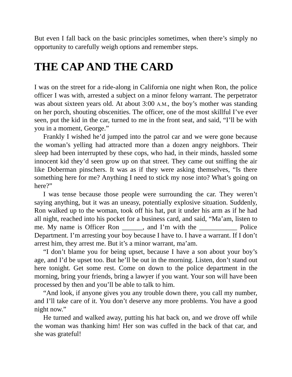But even I fall back on the basic principles sometimes, when there's simply no opportunity to carefully weigh options and remember steps.

## **THE CAP AND THE CARD**

I was on the street for a ride-along in California one night when Ron, the police officer I was with, arrested a subject on a minor felony warrant. The perpetrator was about sixteen years old. At about 3:00 A.M., the boy's mother was standing on her porch, shouting obscenities. The officer, one of the most skillful I've ever seen, put the kid in the car, turned to me in the front seat, and said, "I'll be with you in a moment, George."

Frankly I wished he'd jumped into the patrol car and we were gone because the woman's yelling had attracted more than a dozen angry neighbors. Their sleep had been interrupted by these cops, who had, in their minds, hassled some innocent kid they'd seen grow up on that street. They came out sniffing the air like Doberman pinschers. It was as if they were asking themselves, "Is there something here for me? Anything I need to stick my nose into? What's going on here?"

I was tense because those people were surrounding the car. They weren't saying anything, but it was an uneasy, potentially explosive situation. Suddenly, Ron walked up to the woman, took off his hat, put it under his arm as if he had all night, reached into his pocket for a business card, and said, "Ma'am, listen to me. My name is Officer Ron \_\_\_\_\_\_, and I'm with the \_\_\_\_\_\_\_\_\_\_\_\_\_\_\_ Police Department. I'm arresting your boy because I have to. I have a warrant. If I don't arrest him, they arrest me. But it's a minor warrant, ma'am.

"I don't blame you for being upset, because I have a son about your boy's age, and I'd be upset too. But he'll be out in the morning. Listen, don't stand out here tonight. Get some rest. Come on down to the police department in the morning, bring your friends, bring a lawyer if you want. Your son will have been processed by then and you'll be able to talk to him.

"And look, if anyone gives you any trouble down there, you call my number, and I'll take care of it. You don't deserve any more problems. You have a good night now."

He turned and walked away, putting his hat back on, and we drove off while the woman was thanking him! Her son was cuffed in the back of that car, and she was grateful!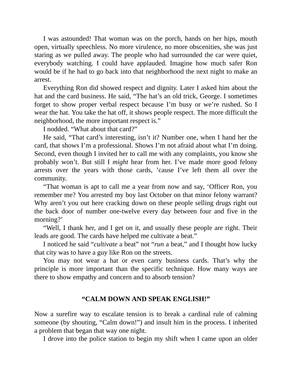I was astounded! That woman was on the porch, hands on her hips, mouth open, virtually speechless. No more virulence, no more obscenities, she was just staring as we pulled away. The people who had surrounded the car were quiet, everybody watching. I could have applauded. Imagine how much safer Ron would be if he had to go back into that neighborhood the next night to make an arrest.

Everything Ron did showed respect and dignity. Later I asked him about the hat and the card business. He said, "The hat's an old trick, George. I sometimes forget to show proper verbal respect because I'm busy or we're rushed. So I wear the hat. You take the hat off, it shows people respect. The more difficult the neighborhood, the more important respect is."

I nodded. "What about that card?"

He said, "That card's interesting, isn't it? Number one, when I hand her the card, that shows I'm a professional. Shows I'm not afraid about what I'm doing. Second, even though I invited her to call me with any complaints, you know she probably won't. But still I *might* hear from her. I've made more good felony arrests over the years with those cards, 'cause I've left them all over the community.

"That woman is apt to call me a year from now and say, 'Officer Ron, you remember me? You arrested my boy last October on that minor felony warrant? Why aren't you out here cracking down on these people selling drugs right out the back door of number one-twelve every day between four and five in the morning?'

"Well, I thank her, and I get on it, and usually these people are right. Their leads are good. The cards have helped me cultivate a beat."

I noticed he said "*cultivate* a beat" not "*run* a beat," and I thought how lucky that city was to have a guy like Ron on the streets.

You may not wear a hat or even carry business cards. That's why the principle is more important than the specific technique. How many ways are there to show empathy and concern and to absorb tension?

#### **"CALM DOWN AND SPEAK ENGLISH!"**

Now a surefire way to escalate tension is to break a cardinal rule of calming someone (by shouting, "Calm down!") and insult him in the process. I inherited a problem that began that way one night.

I drove into the police station to begin my shift when I came upon an older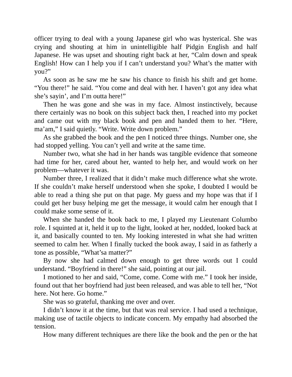officer trying to deal with a young Japanese girl who was hysterical. She was crying and shouting at him in unintelligible half Pidgin English and half Japanese. He was upset and shouting right back at her, "Calm down and speak English! How can I help you if I can't understand you? What's the matter with you?"

As soon as he saw me he saw his chance to finish his shift and get home. "You there!" he said. "You come and deal with her. I haven't got any idea what she's sayin', and I'm outta here!"

Then he was gone and she was in my face. Almost instinctively, because there certainly was no book on this subject back then, I reached into my pocket and came out with my black book and pen and handed them to her. "Here, ma'am," I said quietly. "Write. Write down problem."

As she grabbed the book and the pen I noticed three things. Number one, she had stopped yelling. You can't yell and write at the same time.

Number two, what she had in her hands was tangible evidence that someone had time for her, cared about her, wanted to help her, and would work on her problem—whatever it was.

Number three, I realized that it didn't make much difference what she wrote. If she couldn't make herself understood when she spoke, I doubted I would be able to read a thing she put on that page. My guess and my hope was that if I could get her busy helping me get the message, it would calm her enough that I could make some sense of it.

When she handed the book back to me, I played my Lieutenant Columbo role. I squinted at it, held it up to the light, looked at her, nodded, looked back at it, and basically counted to ten. My looking interested in what she had written seemed to calm her. When I finally tucked the book away, I said in as fatherly a tone as possible, "What'sa matter?"

By now she had calmed down enough to get three words out I could understand. "Boyfriend in there!" she said, pointing at our jail.

I motioned to her and said, "Come, come. Come with me." I took her inside, found out that her boyfriend had just been released, and was able to tell her, "Not here. Not here. Go home."

She was so grateful, thanking me over and over.

I didn't know it at the time, but that was real service. I had used a technique, making use of tactile objects to indicate concern. My empathy had absorbed the tension.

How many different techniques are there like the book and the pen or the hat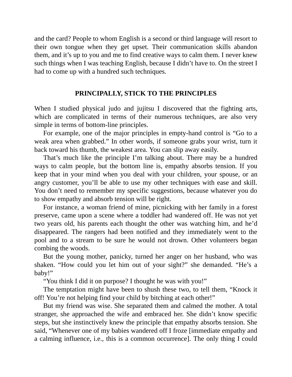and the card? People to whom English is a second or third language will resort to their own tongue when they get upset. Their communication skills abandon them, and it's up to you and me to find creative ways to calm them. I never knew such things when I was teaching English, because I didn't have to. On the street I had to come up with a hundred such techniques.

### **PRINCIPALLY, STICK TO THE PRINCIPLES**

When I studied physical judo and jujitsu I discovered that the fighting arts, which are complicated in terms of their numerous techniques, are also very simple in terms of bottom-line principles.

For example, one of the major principles in empty-hand control is "Go to a weak area when grabbed." In other words, if someone grabs your wrist, turn it back toward his thumb, the weakest area. You can slip away easily.

That's much like the principle I'm talking about. There may be a hundred ways to calm people, but the bottom line is, empathy absorbs tension. If you keep that in your mind when you deal with your children, your spouse, or an angry customer, you'll be able to use my other techniques with ease and skill. You don't need to remember my specific suggestions, because whatever you do to show empathy and absorb tension will be right.

For instance, a woman friend of mine, picnicking with her family in a forest preserve, came upon a scene where a toddler had wandered off. He was not yet two years old, his parents each thought the other was watching him, and he'd disappeared. The rangers had been notified and they immediately went to the pool and to a stream to be sure he would not drown. Other volunteers began combing the woods.

But the young mother, panicky, turned her anger on her husband, who was shaken. "How could you let him out of your sight?" she demanded. "He's a baby!"

"You think I did it on purpose? I thought he was with you!"

The temptation might have been to shush these two, to tell them, "Knock it off! You're not helping find your child by bitching at each other!"

But my friend was wise. She separated them and calmed the mother. A total stranger, she approached the wife and embraced her. She didn't know specific steps, but she instinctively knew the principle that empathy absorbs tension. She said, "Whenever one of my babies wandered off I froze [immediate empathy and a calming influence, i.e., this is a common occurrence]. The only thing I could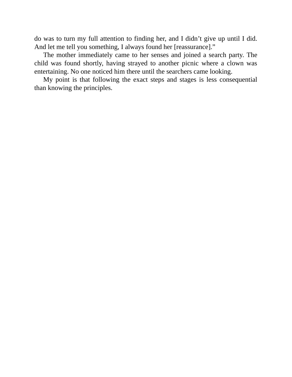do was to turn my full attention to finding her, and I didn't give up until I did. And let me tell you something, I always found her [reassurance]."

The mother immediately came to her senses and joined a search party. The child was found shortly, having strayed to another picnic where a clown was entertaining. No one noticed him there until the searchers came looking.

My point is that following the exact steps and stages is less consequential than knowing the principles.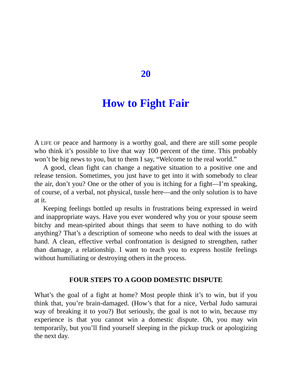**[20](#page-4-2)**

### **How to [Fight](#page-4-2) Fair**

A LIFE OF peace and harmony is a worthy goal, and there are still some people who think it's possible to live that way 100 percent of the time. This probably won't be big news to you, but to them I say, "Welcome to the real world."

A good, clean fight can change a negative situation to a positive one and release tension. Sometimes, you just have to get into it with somebody to clear the air, don't you? One or the other of you is itching for a fight—I'm speaking, of course, of a verbal, not physical, tussle here—and the only solution is to have at it.

Keeping feelings bottled up results in frustrations being expressed in weird and inappropriate ways. Have you ever wondered why you or your spouse seem bitchy and mean-spirited about things that seem to have nothing to do with anything? That's a description of someone who needs to deal with the issues at hand. A clean, effective verbal confrontation is designed to strengthen, rather than damage, a relationship. I want to teach you to express hostile feelings without humiliating or destroying others in the process.

#### **FOUR STEPS TO A GOOD DOMESTIC DISPUTE**

What's the goal of a fight at home? Most people think it's to win, but if you think that, you're brain-damaged. (How's that for a nice, Verbal Judo samurai way of breaking it to you?) But seriously, the goal is not to win, because my experience is that you cannot win a domestic dispute. Oh, you may win temporarily, but you'll find yourself sleeping in the pickup truck or apologizing the next day.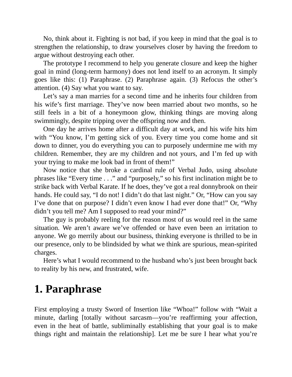No, think about it. Fighting is not bad, if you keep in mind that the goal is to strengthen the relationship, to draw yourselves closer by having the freedom to argue without destroying each other.

The prototype I recommend to help you generate closure and keep the higher goal in mind (long-term harmony) does not lend itself to an acronym. It simply goes like this: (1) Paraphrase. (2) Paraphrase again. (3) Refocus the other's attention. (4) Say what you want to say.

Let's say a man marries for a second time and he inherits four children from his wife's first marriage. They've now been married about two months, so he still feels in a bit of a honeymoon glow, thinking things are moving along swimmingly, despite tripping over the offspring now and then.

One day he arrives home after a difficult day at work, and his wife hits him with "You know, I'm getting sick of you. Every time you come home and sit down to dinner, you do everything you can to purposely undermine me with my children. Remember, they are my children and not yours, and I'm fed up with your trying to make me look bad in front of them!"

Now notice that she broke a cardinal rule of Verbal Judo, using absolute phrases like "Every time . . ." and "purposely," so his first inclination might be to strike back with Verbal Karate. If he does, they've got a real donnybrook on their hands. He could say, "I do not! I didn't do that last night." Or, "How can you say I've done that on purpose? I didn't even know I had ever done that!" Or, "Why didn't you tell me? Am I supposed to read your mind?"

The guy is probably reeling for the reason most of us would reel in the same situation. We aren't aware we've offended or have even been an irritation to anyone. We go merrily about our business, thinking everyone is thrilled to be in our presence, only to be blindsided by what we think are spurious, mean-spirited charges.

Here's what I would recommend to the husband who's just been brought back to reality by his new, and frustrated, wife.

# **1. Paraphrase**

First employing a trusty Sword of Insertion like "Whoa!" follow with "Wait a minute, darling [totally without sarcasm—you're reaffirming your affection, even in the heat of battle, subliminally establishing that your goal is to make things right and maintain the relationship]. Let me be sure I hear what you're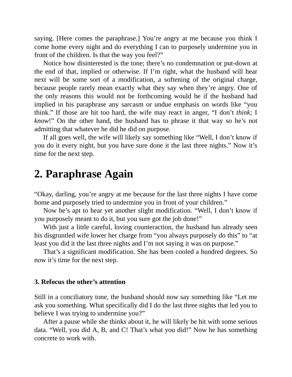saying. [Here comes the paraphrase.] You're angry at me because you think I come home every night and do everything I can to purposely undermine you in front of the children. Is that the way you feel?"

Notice how disinterested is the tone; there's no condemnation or put-down at the end of that, implied or otherwise. If I'm right, what the husband will hear next will be some sort of a modification, a softening of the original charge, because people rarely mean exactly what they say when they're angry. One of the only reasons this would not be forthcoming would be if the husband had implied in his paraphrase any sarcasm or undue emphasis on words like "you think." If those are hit too hard, the wife may react in anger, "I don't *think;* I *know*!" On the other hand, the husband has to phrase it that way so he's not admitting that whatever he did he did on purpose.

If all goes well, the wife will likely say something like "Well, I don't know if you do it every night, but you have sure done it the last three nights." Now it's time for the next step.

### **2. Paraphrase Again**

"Okay, darling, you're angry at me because for the last three nights I have come home and purposely tried to undermine you in front of your children."

Now he's apt to hear yet another slight modification. "Well, I don't know if you purposely meant to do it, but you sure got the job done!"

With just a little careful, loving counteraction, the husband has already seen his disgruntled wife lower her charge from "you always purposely do this" to "at least you did it the last three nights and I'm not saying it was on purpose."

That's a significant modification. She has been cooled a hundred degrees. So now it's time for the next step.

#### **3. Refocus the other's attention**

Still in a conciliatory tone, the husband should now say something like "Let me ask you something. What specifically did I do the last three nights that led you to believe I was trying to undermine you?"

After a pause while she thinks about it, he will likely be hit with some serious data. "Well, you did A, B, and C! That's what you did!" Now he has something concrete to work with.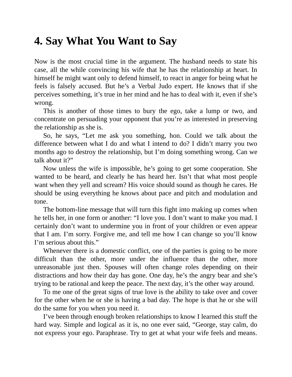## **4. Say What You Want to Say**

Now is the most crucial time in the argument. The husband needs to state his case, all the while convincing his wife that he has the relationship at heart. In himself he might want only to defend himself, to react in anger for being what he feels is falsely accused. But he's a Verbal Judo expert. He knows that if she perceives something, it's true in her mind and he has to deal with it, even if she's wrong.

This is another of those times to bury the ego, take a lump or two, and concentrate on persuading your opponent that you're as interested in preserving the relationship as she is.

So, he says, "Let me ask you something, hon. Could we talk about the difference between what I do and what I intend to do? I didn't marry you two months ago to destroy the relationship, but I'm doing something wrong. Can we talk about it?"

Now unless the wife is impossible, he's going to get some cooperation. She wanted to be heard, and clearly he has heard her. Isn't that what most people want when they yell and scream? His voice should sound as though he cares. He should be using everything he knows about pace and pitch and modulation and tone.

The bottom-line message that will turn this fight into making up comes when he tells her, in one form or another: "I love you. I don't want to make you mad. I certainly don't want to undermine you in front of your children or even appear that I am. I'm sorry. Forgive me, and tell me how I can change so you'll know I'm serious about this."

Whenever there is a domestic conflict, one of the parties is going to be more difficult than the other, more under the influence than the other, more unreasonable just then. Spouses will often change roles depending on their distractions and how their day has gone. One day, he's the angry bear and she's trying to be rational and keep the peace. The next day, it's the other way around.

To me one of the great signs of true love is the ability to take over and cover for the other when he or she is having a bad day. The hope is that he or she will do the same for you when you need it.

I've been through enough broken relationships to know I learned this stuff the hard way. Simple and logical as it is, no one ever said, "George, stay calm, do not express your ego. Paraphrase. Try to get at what your wife feels and means.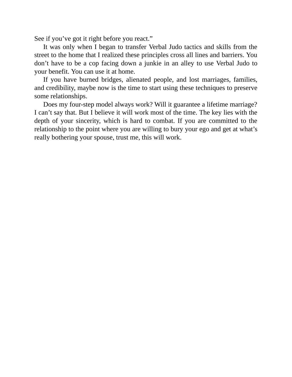See if you've got it right before you react."

It was only when I began to transfer Verbal Judo tactics and skills from the street to the home that I realized these principles cross all lines and barriers. You don't have to be a cop facing down a junkie in an alley to use Verbal Judo to your benefit. You can use it at home.

If you have burned bridges, alienated people, and lost marriages, families, and credibility, maybe now is the time to start using these techniques to preserve some relationships.

Does my four-step model always work? Will it guarantee a lifetime marriage? I can't say that. But I believe it will work most of the time. The key lies with the depth of your sincerity, which is hard to combat. If you are committed to the relationship to the point where you are willing to bury your ego and get at what's really bothering your spouse, trust me, this will work.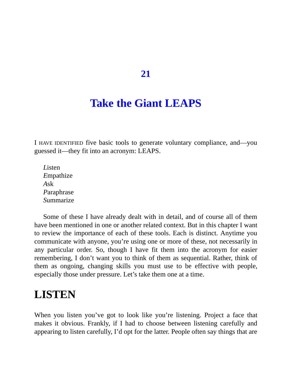**[21](#page-4-3)**

### **Take the Giant [LEAPS](#page-4-3)**

I HAVE IDENTIFIED five basic tools to generate voluntary compliance, and—you guessed it—they fit into an acronym: LEAPS.

*L*isten *E*mpathize *A*sk *P*araphrase *S*ummarize

Some of these I have already dealt with in detail, and of course all of them have been mentioned in one or another related context. But in this chapter I want to review the importance of each of these tools. Each is distinct. Anytime you communicate with anyone, you're using one or more of these, not necessarily in any particular order. So, though I have fit them into the acronym for easier remembering, I don't want you to think of them as sequential. Rather, think of them as ongoing, changing skills you must use to be effective with people, especially those under pressure. Let's take them one at a time.

## **LISTEN**

When you listen you've got to look like you're listening. Project a face that makes it obvious. Frankly, if I had to choose between listening carefully and appearing to listen carefully, I'd opt for the latter. People often say things that are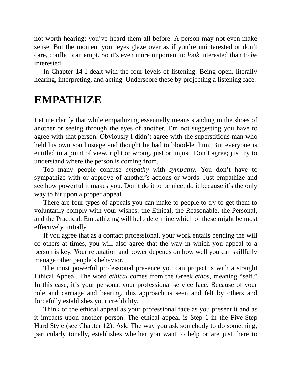not worth hearing; you've heard them all before. A person may not even make sense. But the moment your eyes glaze over as if you're uninterested or don't care, conflict can erupt. So it's even more important to *look* interested than to *be* interested.

In Chapter 14 I dealt with the four levels of listening: Being open, literally hearing, interpreting, and acting. Underscore these by projecting a listening face.

## **EMPATHIZE**

Let me clarify that while empathizing essentially means standing in the shoes of another or seeing through the eyes of another, I'm not suggesting you have to agree with that person. Obviously I didn't agree with the superstitious man who held his own son hostage and thought he had to blood-let him. But everyone is entitled to a point of view, right or wrong, just or unjust. Don't agree; just try to understand where the person is coming from.

Too many people confuse *empathy* with *sympathy.* You don't have to sympathize with or approve of another's actions or words. Just empathize and see how powerful it makes you. Don't do it to be nice; do it because it's the only way to hit upon a proper appeal.

There are four types of appeals you can make to people to try to get them to voluntarily comply with your wishes: the Ethical, the Reasonable, the Personal, and the Practical. Empathizing will help determine which of these might be most effectively initially.

If you agree that as a contact professional, your work entails bending the will of others at times, you will also agree that the way in which you appeal to a person is key. Your reputation and power depends on how well you can skillfully manage other people's behavior.

The most powerful professional presence you can project is with a straight Ethical Appeal. The word *ethical* comes from the Greek *ethos,* meaning "self." In this case, it's your persona, your professional service face. Because of your role and carriage and bearing, this approach is seen and felt by others and forcefully establishes your credibility.

Think of the ethical appeal as your professional face as you present it and as it impacts upon another person. The ethical appeal is Step 1 in the Five-Step Hard Style (see Chapter 12): Ask. The way you ask somebody to do something, particularly tonally, establishes whether you want to help or are just there to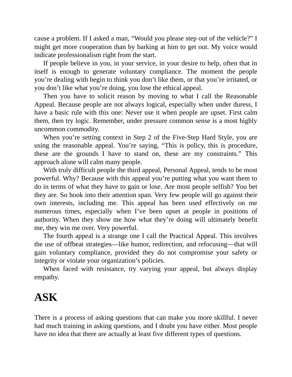cause a problem. If I asked a man, "Would you please step out of the vehicle?" I might get more cooperation than by barking at him to get out. My voice would indicate professionalism right from the start.

If people believe in you, in your service, in your desire to help, often that in itself is enough to generate voluntary compliance. The moment the people you're dealing with begin to think you don't like them, or that you're irritated, or you don't like what you're doing, you lose the ethical appeal.

Then you have to solicit reason by moving to what I call the Reasonable Appeal. Because people are not always logical, especially when under duress, I have a basic rule with this one: Never use it when people are upset. First calm them, then try logic. Remember, under pressure common sense is a most highly uncommon commodity.

When you're setting context in Step 2 of the Five-Step Hard Style, you are using the reasonable appeal. You're saying, "This is policy, this is procedure, these are the grounds I have to stand on, these are my constraints." This approach alone will calm many people.

With truly difficult people the third appeal, Personal Appeal, tends to be most powerful. Why? Because with this appeal you're putting what you want them to do in terms of what they have to gain or lose. Are most people selfish? You bet they are. So hook into their attention span. Very few people will go against their own interests, including me. This appeal has been used effectively on me numerous times, especially when I've been upset at people in positions of authority. When they show me how what they're doing will ultimately benefit me, they win me over. Very powerful.

The fourth appeal is a strange one I call the Practical Appeal. This involves the use of offbeat strategies—like humor, redirection, and refocusing—that will gain voluntary compliance, provided they do not compromise your safety or integrity or violate your organization's policies.

When faced with resistance, try varying your appeal, but always display empathy.

# **ASK**

There is a process of asking questions that can make you more skillful. I never had much training in asking questions, and I doubt you have either. Most people have no idea that there are actually at least five different types of questions.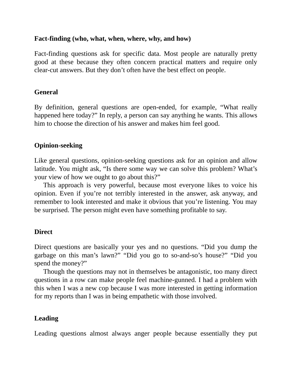### **Fact-finding (who, what, when, where, why, and how)**

Fact-finding questions ask for specific data. Most people are naturally pretty good at these because they often concern practical matters and require only clear-cut answers. But they don't often have the best effect on people.

### **General**

By definition, general questions are open-ended, for example, "What really happened here today?" In reply, a person can say anything he wants. This allows him to choose the direction of his answer and makes him feel good.

### **Opinion-seeking**

Like general questions, opinion-seeking questions ask for an opinion and allow latitude. You might ask, "Is there some way we can solve this problem? What's your view of how we ought to go about this?"

This approach is very powerful, because most everyone likes to voice his opinion. Even if you're not terribly interested in the answer, ask anyway, and remember to look interested and make it obvious that you're listening. You may be surprised. The person might even have something profitable to say.

#### **Direct**

Direct questions are basically your yes and no questions. "Did you dump the garbage on this man's lawn?" "Did you go to so-and-so's house?" "Did you spend the money?"

Though the questions may not in themselves be antagonistic, too many direct questions in a row can make people feel machine-gunned. I had a problem with this when I was a new cop because I was more interested in getting information for my reports than I was in being empathetic with those involved.

### **Leading**

Leading questions almost always anger people because essentially they put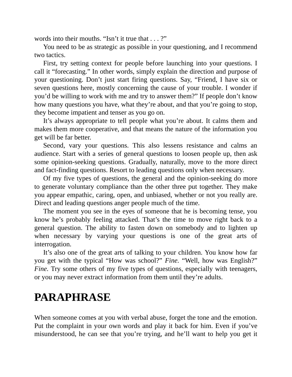words into their mouths. "Isn't it true that . . . ?"

You need to be as strategic as possible in your questioning, and I recommend two tactics.

First, try setting context for people before launching into your questions. I call it "forecasting." In other words, simply explain the direction and purpose of your questioning. Don't just start firing questions. Say, "Friend, I have six or seven questions here, mostly concerning the cause of your trouble. I wonder if you'd be willing to work with me and try to answer them?" If people don't know how many questions you have, what they're about, and that you're going to stop, they become impatient and tenser as you go on.

It's always appropriate to tell people what you're about. It calms them and makes them more cooperative, and that means the nature of the information you get will be far better.

Second, vary your questions. This also lessens resistance and calms an audience. Start with a series of general questions to loosen people up, then ask some opinion-seeking questions. Gradually, naturally, move to the more direct and fact-finding questions. Resort to leading questions only when necessary.

Of my five types of questions, the general and the opinion-seeking do more to generate voluntary compliance than the other three put together. They make you appear empathic, caring, open, and unbiased, whether or not you really are. Direct and leading questions anger people much of the time.

The moment you see in the eyes of someone that he is becoming tense, you know he's probably feeling attacked. That's the time to move right back to a general question. The ability to fasten down on somebody and to lighten up when necessary by varying your questions is one of the great arts of interrogation.

It's also one of the great arts of talking to your children. You know how far you get with the typical "How was school?" *Fine.* "Well, how was English?" *Fine.* Try some others of my five types of questions, especially with teenagers, or you may never extract information from them until they're adults.

# **PARAPHRASE**

When someone comes at you with verbal abuse, forget the tone and the emotion. Put the complaint in your own words and play it back for him. Even if you've misunderstood, he can see that you're trying, and he'll want to help you get it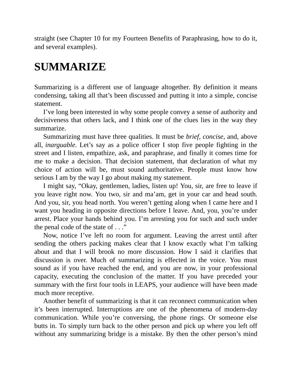straight (see Chapter 10 for my Fourteen Benefits of Paraphrasing, how to do it, and several examples).

## **SUMMARIZE**

Summarizing is a different use of language altogether. By definition it means condensing, taking all that's been discussed and putting it into a simple, concise statement.

I've long been interested in why some people convey a sense of authority and decisiveness that others lack, and I think one of the clues lies in the way they summarize.

Summarizing must have three qualities. It must be *brief, concise,* and, above all, *inarguable.* Let's say as a police officer I stop five people fighting in the street and I listen, empathize, ask, and paraphrase, and finally it comes time for me to make a decision. That decision statement, that declaration of what my choice of action will be, must sound authoritative. People must know how serious I am by the way I go about making my statement.

I might say, "Okay, gentlemen, ladies, listen up! You, sir, are free to leave if you leave right now. You two, sir and ma'am, get in your car and head south. And you, sir, you head north. You weren't getting along when I came here and I want you heading in opposite directions before I leave. And, you, you're under arrest. Place your hands behind you. I'm arresting you for such and such under the penal code of the state of . . ."

Now, notice I've left no room for argument. Leaving the arrest until after sending the others packing makes clear that I know exactly what I'm talking about and that I will brook no more discussion. How I said it clarifies that discussion is over. Much of summarizing is effected in the voice. You must sound as if you have reached the end, and you are now, in your professional capacity, executing the conclusion of the matter. If you have preceded your summary with the first four tools in LEAPS, your audience will have been made much more receptive.

Another benefit of summarizing is that it can reconnect communication when it's been interrupted. Interruptions are one of the phenomena of modern-day communication. While you're conversing, the phone rings. Or someone else butts in. To simply turn back to the other person and pick up where you left off without any summarizing bridge is a mistake. By then the other person's mind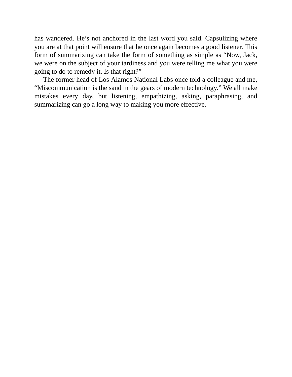has wandered. He's not anchored in the last word you said. Capsulizing where you are at that point will ensure that he once again becomes a good listener. This form of summarizing can take the form of something as simple as "Now, Jack, we were on the subject of your tardiness and you were telling me what you were going to do to remedy it. Is that right?"

The former head of Los Alamos National Labs once told a colleague and me, "Miscommunication is the sand in the gears of modern technology." We all make mistakes every day, but listening, empathizing, asking, paraphrasing, and summarizing can go a long way to making you more effective.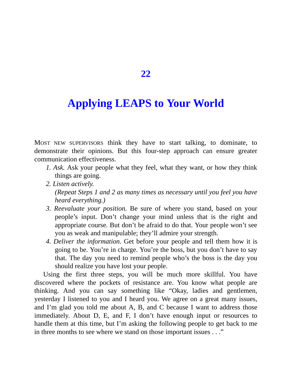**[22](#page-4-4)**

## **[Applying](#page-4-4) LEAPS to Your World**

MOST NEW SUPERVISORS think they have to start talking, to dominate, to demonstrate their opinions. But this four-step approach can ensure greater communication effectiveness.

- *1. Ask.* Ask your people what they feel, what they want, or how they think things are going.
- *2. Listen actively. (Repeat Steps 1 and 2 as many times as necessary until you feel you have heard everything.)*
- *3. Reevaluate your position.* Be sure of where you stand, based on your people's input. Don't change your mind unless that is the right and appropriate course. But don't be afraid to do that. Your people won't see you as weak and manipulable; they'll admire your strength.
- *4. Deliver the information.* Get before your people and tell them how it is going to be. You're in charge. You're the boss, but you don't have to say that. The day you need to remind people who's the boss is the day you should realize you have lost your people.

Using the first three steps, you will be much more skillful. You have discovered where the pockets of resistance are. You know what people are thinking. And you can say something like "Okay, ladies and gentlemen, yesterday I listened to you and I heard you. We agree on a great many issues, and I'm glad you told me about A, B, and C because I want to address those immediately. About D, E, and F, I don't have enough input or resources to handle them at this time, but I'm asking the following people to get back to me in three months to see where we stand on those important issues . . ."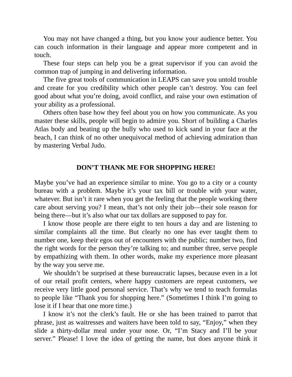You may not have changed a thing, but you know your audience better. You can couch information in their language and appear more competent and in touch.

These four steps can help you be a great supervisor if you can avoid the common trap of jumping in and delivering information.

The five great tools of communication in LEAPS can save you untold trouble and create for you credibility which other people can't destroy. You can feel good about what you're doing, avoid conflict, and raise your own estimation of your ability as a professional.

Others often base how they feel about you on how you communicate. As you master these skills, people will begin to admire you. Short of building a Charles Atlas body and beating up the bully who used to kick sand in your face at the beach, I can think of no other unequivocal method of achieving admiration than by mastering Verbal Judo.

#### **DON'T THANK ME FOR SHOPPING HERE!**

Maybe you've had an experience similar to mine. You go to a city or a county bureau with a problem. Maybe it's your tax bill or trouble with your water, whatever. But isn't it rare when you get the feeling that the people working there care about serving you? I mean, that's not only their job—their sole reason for being there—but it's also what our tax dollars are supposed to pay for.

I know those people are there eight to ten hours a day and are listening to similar complaints all the time. But clearly no one has ever taught them to number one, keep their egos out of encounters with the public; number two, find the right words for the person they're talking to; and number three, serve people by empathizing with them. In other words, make my experience more pleasant by the way you serve me.

We shouldn't be surprised at these bureaucratic lapses, because even in a lot of our retail profit centers, where happy customers are repeat customers, we receive very little good personal service. That's why we tend to teach formulas to people like "Thank you for shopping here." (Sometimes I think I'm going to lose it if I hear that one more time.)

I know it's not the clerk's fault. He or she has been trained to parrot that phrase, just as waitresses and waiters have been told to say, "Enjoy," when they slide a thirty-dollar meal under your nose. Or, "I'm Stacy and I'll be your server." Please! I love the idea of getting the name, but does anyone think it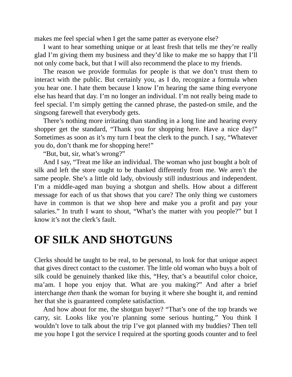makes me feel special when I get the same patter as everyone else?

I want to hear something unique or at least fresh that tells me they're really glad I'm giving them my business and they'd like to make me so happy that I'll not only come back, but that I will also recommend the place to my friends.

The reason we provide formulas for people is that we don't trust them to interact with the public. But certainly you, as I do, recognize a formula when you hear one. I hate them because I know I'm hearing the same thing everyone else has heard that day. I'm no longer an individual. I'm not really being made to feel special. I'm simply getting the canned phrase, the pasted-on smile, and the singsong farewell that everybody gets.

There's nothing more irritating than standing in a long line and hearing every shopper get the standard, "Thank you for shopping here. Have a nice day!" Sometimes as soon as it's my turn I beat the clerk to the punch. I say, "Whatever you do, don't thank me for shopping here!"

"But, but, sir, what's wrong?"

And I say, "Treat me like an individual. The woman who just bought a bolt of silk and left the store ought to be thanked differently from me. We aren't the same people. She's a little old lady, obviously still industrious and independent. I'm a middle-aged man buying a shotgun and shells. How about a different message for each of us that shows that you care? The only thing we customers have in common is that we shop here and make you a profit and pay your salaries." In truth I want to shout, "What's the matter with you people?" but I know it's not the clerk's fault.

### **OF SILK AND SHOTGUNS**

Clerks should be taught to be real, to be personal, to look for that unique aspect that gives direct contact to the customer. The little old woman who buys a bolt of silk could be genuinely thanked like this, "Hey, that's a beautiful color choice, ma'am. I hope you enjoy that. What are you making?" And after a brief interchange *then* thank the woman for buying it where she bought it, and remind her that she is guaranteed complete satisfaction.

And how about for me, the shotgun buyer? "That's one of the top brands we carry, sir. Looks like you're planning some serious hunting." You think I wouldn't love to talk about the trip I've got planned with my buddies? Then tell me you hope I got the service I required at the sporting goods counter and to feel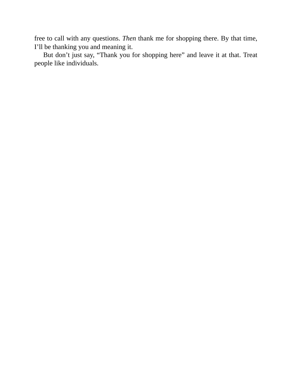free to call with any questions. *Then* thank me for shopping there. By that time, I'll be thanking you and meaning it.

But don't just say, "Thank you for shopping here" and leave it at that. Treat people like individuals.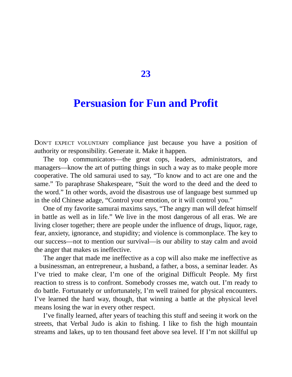**[23](#page-4-5)**

### **[Persuasion](#page-4-5) for Fun and Profit**

DON'T EXPECT VOLUNTARY compliance just because you have a position of authority or responsibility. Generate it. Make it happen.

The top communicators—the great cops, leaders, administrators, and managers—know the art of putting things in such a way as to make people more cooperative. The old samurai used to say, "To know and to act are one and the same." To paraphrase Shakespeare, "Suit the word to the deed and the deed to the word." In other words, avoid the disastrous use of language best summed up in the old Chinese adage, "Control your emotion, or it will control you."

One of my favorite samurai maxims says, "The angry man will defeat himself in battle as well as in life." We live in the most dangerous of all eras. We are living closer together; there are people under the influence of drugs, liquor, rage, fear, anxiety, ignorance, and stupidity; and violence is commonplace. The key to our success—not to mention our survival—is our ability to stay calm and avoid the anger that makes us ineffective.

The anger that made me ineffective as a cop will also make me ineffective as a businessman, an entrepreneur, a husband, a father, a boss, a seminar leader. As I've tried to make clear, I'm one of the original Difficult People. My first reaction to stress is to confront. Somebody crosses me, watch out. I'm ready to do battle. Fortunately or unfortunately, I'm well trained for physical encounters. I've learned the hard way, though, that winning a battle at the physical level means losing the war in every other respect.

I've finally learned, after years of teaching this stuff and seeing it work on the streets, that Verbal Judo is akin to fishing. I like to fish the high mountain streams and lakes, up to ten thousand feet above sea level. If I'm not skillful up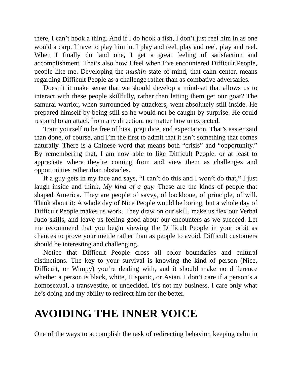there, I can't hook a thing. And if I do hook a fish, I don't just reel him in as one would a carp. I have to play him in. I play and reel, play and reel, play and reel. When I finally do land one, I get a great feeling of satisfaction and accomplishment. That's also how I feel when I've encountered Difficult People, people like me. Developing the *mushin* state of mind, that calm center, means regarding Difficult People as a challenge rather than as combative adversaries.

Doesn't it make sense that we should develop a mind-set that allows us to interact with these people skillfully, rather than letting them get our goat? The samurai warrior, when surrounded by attackers, went absolutely still inside. He prepared himself by being still so he would not be caught by surprise. He could respond to an attack from any direction, no matter how unexpected.

Train yourself to be free of bias, prejudice, and expectation. That's easier said than done, of course, and I'm the first to admit that it isn't something that comes naturally. There is a Chinese word that means both "crisis" and "opportunity." By remembering that, I am now able to like Difficult People, or at least to appreciate where they're coming from and view them as challenges and opportunities rather than obstacles.

If a guy gets in my face and says, "I can't do this and I won't do that," I just laugh inside and think, *My kind of a guy.* These are the kinds of people that shaped America. They are people of savvy, of backbone, of principle, of will. Think about it: A whole day of Nice People would be boring, but a whole day of Difficult People makes us work. They draw on our skill, make us flex our Verbal Judo skills, and leave us feeling good about our encounters as we succeed. Let me recommend that you begin viewing the Difficult People in your orbit as chances to prove your mettle rather than as people to avoid. Difficult customers should be interesting and challenging.

Notice that Difficult People cross all color boundaries and cultural distinctions. The key to your survival is knowing the kind of person (Nice, Difficult, or Wimpy) you're dealing with, and it should make no difference whether a person is black, white, Hispanic, or Asian. I don't care if a person's a homosexual, a transvestite, or undecided. It's not my business. I care only what he's doing and my ability to redirect him for the better.

# **AVOIDING THE INNER VOICE**

One of the ways to accomplish the task of redirecting behavior, keeping calm in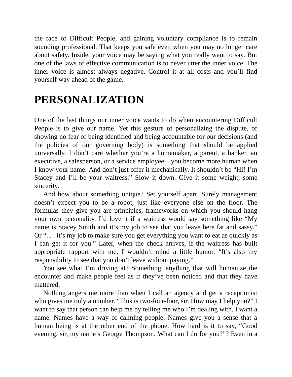the face of Difficult People, and gaining voluntary compliance is to remain sounding professional. That keeps you safe even when you may no longer care about safety. Inside, your voice may be saying what you really want to say. But one of the laws of effective communication is to never utter the inner voice. The inner voice is almost always negative. Control it at all costs and you'll find yourself way ahead of the game.

# **PERSONALIZATION**

One of the last things our inner voice wants to do when encountering Difficult People is to give our name. Yet this gesture of personalizing the dispute, of showing no fear of being identified and being accountable for our decisions (and the policies of our governing body) is something that should be applied universally. I don't care whether you're a homemaker, a parent, a banker, an executive, a salesperson, or a service employee—you become more human when I know your name. And don't just offer it mechanically. It shouldn't be "Hi! I'm Stacey and I'll be your waitress." Slow it down. Give it some weight, some sincerity.

And how about something unique? Set yourself apart. Surely management doesn't expect you to be a robot, just like everyone else on the floor. The formulas they give you are principles, frameworks on which you should hang your own personality. I'd love it if a waitress would say something like "My name is Stacey Smith and it's my job to see that you leave here fat and sassy." Or ". . . it's my job to make sure you get everything you want to eat as quickly as I can get it for you." Later, when the check arrives, if the waitress has built appropriate rapport with me, I wouldn't mind a little humor. "It's also my responsibility to see that you don't leave without paying."

You see what I'm driving at? Something, anything that will humanize the encounter and make people feel as if they've been noticed and that they have mattered.

Nothing angers me more than when I call an agency and get a receptionist who gives me only a number. "This is two-four-four, sir. How may I help you?" I want to say that person can help me by telling me who I'm dealing with. I want a name. Names have a way of calming people. Names give you a sense that a human being is at the other end of the phone. How hard is it to say, "Good evening, sir, my name's George Thompson. What can I do for you?"? Even in a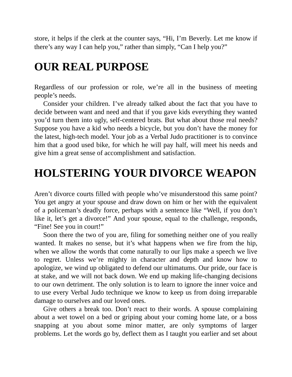store, it helps if the clerk at the counter says, "Hi, I'm Beverly. Let me know if there's any way I can help you," rather than simply, "Can I help you?"

### **OUR REAL PURPOSE**

Regardless of our profession or role, we're all in the business of meeting people's needs.

Consider your children. I've already talked about the fact that you have to decide between want and need and that if you gave kids everything they wanted you'd turn them into ugly, self-centered brats. But what about those real needs? Suppose you have a kid who needs a bicycle, but you don't have the money for the latest, high-tech model. Your job as a Verbal Judo practitioner is to convince him that a good used bike, for which he will pay half, will meet his needs and give him a great sense of accomplishment and satisfaction.

# **HOLSTERING YOUR DIVORCE WEAPON**

Aren't divorce courts filled with people who've misunderstood this same point? You get angry at your spouse and draw down on him or her with the equivalent of a policeman's deadly force, perhaps with a sentence like "Well, if you don't like it, let's get a divorce!" And your spouse, equal to the challenge, responds, "Fine! See you in court!"

Soon there the two of you are, filing for something neither one of you really wanted. It makes no sense, but it's what happens when we fire from the hip, when we allow the words that come naturally to our lips make a speech we live to regret. Unless we're mighty in character and depth and know how to apologize, we wind up obligated to defend our ultimatums. Our pride, our face is at stake, and we will not back down. We end up making life-changing decisions to our own detriment. The only solution is to learn to ignore the inner voice and to use every Verbal Judo technique we know to keep us from doing irreparable damage to ourselves and our loved ones.

Give others a break too. Don't react to their words. A spouse complaining about a wet towel on a bed or griping about your coming home late, or a boss snapping at you about some minor matter, are only symptoms of larger problems. Let the words go by, deflect them as I taught you earlier and set about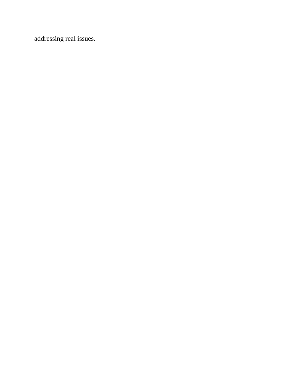addressing real issues.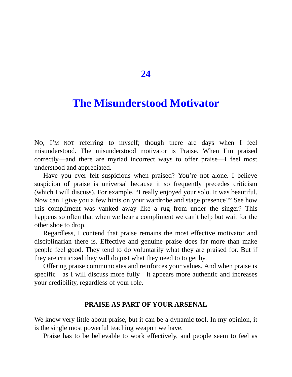**[24](#page-4-0)**

### **The [Misunderstood](#page-4-0) Motivator**

NO, I'M NOT referring to myself; though there are days when I feel misunderstood. The misunderstood motivator is Praise. When I'm praised correctly—and there are myriad incorrect ways to offer praise—I feel most understood and appreciated.

Have you ever felt suspicious when praised? You're not alone. I believe suspicion of praise is universal because it so frequently precedes criticism (which I will discuss). For example, "I really enjoyed your solo. It was beautiful. Now can I give you a few hints on your wardrobe and stage presence?" See how this compliment was yanked away like a rug from under the singer? This happens so often that when we hear a compliment we can't help but wait for the other shoe to drop.

Regardless, I contend that praise remains the most effective motivator and disciplinarian there is. Effective and genuine praise does far more than make people feel good. They tend to do voluntarily what they are praised for. But if they are criticized they will do just what they need to to get by.

Offering praise communicates and reinforces your values. And when praise is specific—as I will discuss more fully—it appears more authentic and increases your credibility, regardless of your role.

#### **PRAISE AS PART OF YOUR ARSENAL**

We know very little about praise, but it can be a dynamic tool. In my opinion, it is the single most powerful teaching weapon we have.

Praise has to be believable to work effectively, and people seem to feel as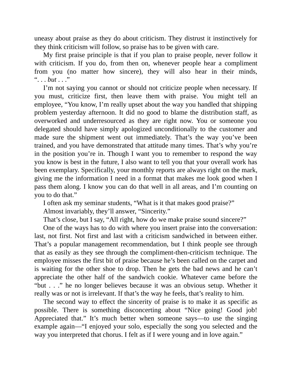uneasy about praise as they do about criticism. They distrust it instinctively for they think criticism will follow, so praise has to be given with care.

My first praise principle is that if you plan to praise people, never follow it with criticism. If you do, from then on, whenever people hear a compliment from you (no matter how sincere), they will also hear in their minds, ". . . *but* . . ."

I'm not saying you cannot or should not criticize people when necessary. If you must, criticize first, then leave them with praise. You might tell an employee, "You know, I'm really upset about the way you handled that shipping problem yesterday afternoon. It did no good to blame the distribution staff, as overworked and underresourced as they are right now. You or someone you delegated should have simply apologized unconditionally to the customer and made sure the shipment went out immediately. That's the way you've been trained, and you have demonstrated that attitude many times. That's why you're in the position you're in. Though I want you to remember to respond the way you know is best in the future, I also want to tell you that your overall work has been exemplary. Specifically, your monthly reports are always right on the mark, giving me the information I need in a format that makes me look good when I pass them along. I know you can do that well in all areas, and I'm counting on you to do that."

I often ask my seminar students, "What is it that makes good praise?"

Almost invariably, they'll answer, "Sincerity."

That's close, but I say, "All right, how do we make praise sound sincere?"

One of the ways has to do with where you insert praise into the conversation: last, not first. Not first and last with a criticism sandwiched in between either. That's a popular management recommendation, but I think people see through that as easily as they see through the compliment-then-criticism technique. The employee misses the first bit of praise because he's been called on the carpet and is waiting for the other shoe to drop. Then he gets the bad news and he can't appreciate the other half of the sandwich cookie. Whatever came before the "but . . ." he no longer believes because it was an obvious setup. Whether it really was or not is irrelevant. If that's the way he feels, that's reality to him.

The second way to effect the sincerity of praise is to make it as specific as possible. There is something disconcerting about "Nice going! Good job! Appreciated that." It's much better when someone says—to use the singing example again—"I enjoyed your solo, especially the song you selected and the way you interpreted that chorus. I felt as if I were young and in love again."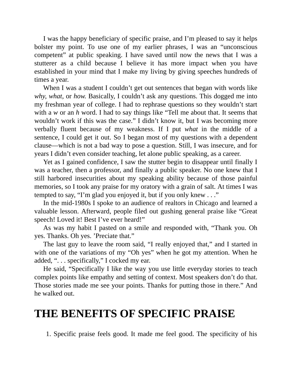I was the happy beneficiary of specific praise, and I'm pleased to say it helps bolster my point. To use one of my earlier phrases, I was an "unconscious competent" at public speaking. I have saved until now the news that I was a stutterer as a child because I believe it has more impact when you have established in your mind that I make my living by giving speeches hundreds of times a year.

When I was a student I couldn't get out sentences that began with words like *why, what,* or *how.* Basically, I couldn't ask any questions. This dogged me into my freshman year of college. I had to rephrase questions so they wouldn't start with a *w* or an *h* word. I had to say things like "Tell me about that. It seems that wouldn't work if this was the case." I didn't know it, but I was becoming more verbally fluent because of my weakness. If I put *what* in the middle of a sentence, I could get it out. So I began most of my questions with a dependent clause—which is not a bad way to pose a question. Still, I was insecure, and for years I didn't even consider teaching, let alone public speaking, as a career.

Yet as I gained confidence, I saw the stutter begin to disappear until finally I was a teacher, then a professor, and finally a public speaker. No one knew that I still harbored insecurities about my speaking ability because of those painful memories, so I took any praise for my oratory with a grain of salt. At times I was tempted to say, "I'm glad you enjoyed it, but if you only knew . . ."

In the mid-1980s I spoke to an audience of realtors in Chicago and learned a valuable lesson. Afterward, people filed out gushing general praise like "Great speech! Loved it! Best I've ever heard!"

As was my habit I pasted on a smile and responded with, "Thank you. Oh yes. Thanks. Oh yes. 'Preciate that."

The last guy to leave the room said, "I really enjoyed that," and I started in with one of the variations of my "Oh yes" when he got my attention. When he added, ". . . specifically," I cocked my ear.

He said, "Specifically I like the way you use little everyday stories to teach complex points like empathy and setting of context. Most speakers don't do that. Those stories made me see your points. Thanks for putting those in there." And he walked out.

### **THE BENEFITS OF SPECIFIC PRAISE**

1. Specific praise feels good. It made me feel good. The specificity of his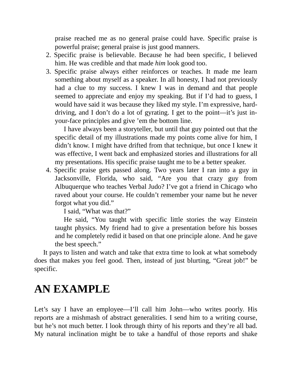praise reached me as no general praise could have. Specific praise is powerful praise; general praise is just good manners.

- 2. Specific praise is believable. Because he had been specific, I believed him. He was credible and that made *him* look good too.
- 3. Specific praise always either reinforces or teaches. It made me learn something about myself as a speaker. In all honesty, I had not previously had a clue to my success. I knew I was in demand and that people seemed to appreciate and enjoy my speaking. But if I'd had to guess, I would have said it was because they liked my style. I'm expressive, harddriving, and I don't do a lot of gyrating. I get to the point—it's just inyour-face principles and give 'em the bottom line.

I have always been a storyteller, but until that guy pointed out that the specific detail of my illustrations made my points come alive for him, I didn't know. I might have drifted from that technique, but once I knew it was effective, I went back and emphasized stories and illustrations for all my presentations. His specific praise taught me to be a better speaker.

4. Specific praise gets passed along. Two years later I ran into a guy in Jacksonville, Florida, who said, "Are you that crazy guy from Albuquerque who teaches Verbal Judo? I've got a friend in Chicago who raved about your course. He couldn't remember your name but he never forgot what you did."

I said, "What was that?"

He said, "You taught with specific little stories the way Einstein taught physics. My friend had to give a presentation before his bosses and he completely redid it based on that one principle alone. And he gave the best speech."

It pays to listen and watch and take that extra time to look at what somebody does that makes you feel good. Then, instead of just blurting, "Great job!" be specific.

### **AN EXAMPLE**

Let's say I have an employee—I'll call him John—who writes poorly. His reports are a mishmash of abstract generalities. I send him to a writing course, but he's not much better. I look through thirty of his reports and they're all bad. My natural inclination might be to take a handful of those reports and shake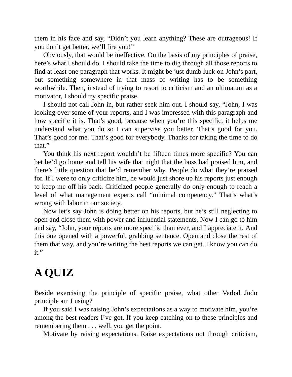them in his face and say, "Didn't you learn anything? These are outrageous! If you don't get better, we'll fire you!"

Obviously, that would be ineffective. On the basis of my principles of praise, here's what I should do. I should take the time to dig through all those reports to find at least one paragraph that works. It might be just dumb luck on John's part, but something somewhere in that mass of writing has to be something worthwhile. Then, instead of trying to resort to criticism and an ultimatum as a motivator, I should try specific praise.

I should not call John in, but rather seek him out. I should say, "John, I was looking over some of your reports, and I was impressed with this paragraph and how specific it is. That's good, because when you're this specific, it helps me understand what you do so I can supervise you better. That's good for you. That's good for me. That's good for everybody. Thanks for taking the time to do that."

You think his next report wouldn't be fifteen times more specific? You can bet he'd go home and tell his wife that night that the boss had praised him, and there's little question that he'd remember why. People do what they're praised for. If I were to only criticize him, he would just shore up his reports just enough to keep me off his back. Criticized people generally do only enough to reach a level of what management experts call "minimal competency." That's what's wrong with labor in our society.

Now let's say John is doing better on his reports, but he's still neglecting to open and close them with power and influential statements. Now I can go to him and say, "John, your reports are more specific than ever, and I appreciate it. And this one opened with a powerful, grabbing sentence. Open and close the rest of them that way, and you're writing the best reports we can get. I know you can do it."

# **A QUIZ**

Beside exercising the principle of specific praise, what other Verbal Judo principle am I using?

If you said I was raising John's expectations as a way to motivate him, you're among the best readers I've got. If you keep catching on to these principles and remembering them . . . well, you get the point.

Motivate by raising expectations. Raise expectations not through criticism,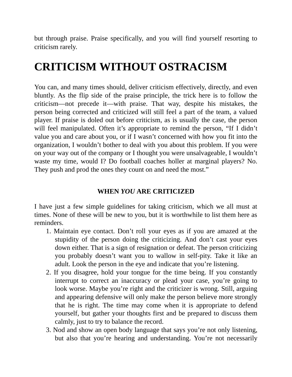but through praise. Praise specifically, and you will find yourself resorting to criticism rarely.

# **CRITICISM WITHOUT OSTRACISM**

You can, and many times should, deliver criticism effectively, directly, and even bluntly. As the flip side of the praise principle, the trick here is to follow the criticism—not precede it—with praise. That way, despite his mistakes, the person being corrected and criticized will still feel a part of the team, a valued player. If praise is doled out before criticism, as is usually the case, the person will feel manipulated. Often it's appropriate to remind the person, "If I didn't value you and care about you, or if I wasn't concerned with how you fit into the organization, I wouldn't bother to deal with you about this problem. If you were on your way out of the company or I thought you were unsalvageable, I wouldn't waste my time, would I? Do football coaches holler at marginal players? No. They push and prod the ones they count on and need the most."

#### **WHEN** *YOU* **ARE CRITICIZED**

I have just a few simple guidelines for taking criticism, which we all must at times. None of these will be new to you, but it is worthwhile to list them here as reminders.

- 1. Maintain eye contact. Don't roll your eyes as if you are amazed at the stupidity of the person doing the criticizing. And don't cast your eyes down either. That is a sign of resignation or defeat. The person criticizing you probably doesn't want you to wallow in self-pity. Take it like an adult. Look the person in the eye and indicate that you're listening.
- 2. If you disagree, hold your tongue for the time being. If you constantly interrupt to correct an inaccuracy or plead your case, you're going to look worse. Maybe you're right and the criticizer is wrong. Still, arguing and appearing defensive will only make the person believe more strongly that he is right. The time may come when it is appropriate to defend yourself, but gather your thoughts first and be prepared to discuss them calmly, just to try to balance the record.
- 3. Nod and show an open body language that says you're not only listening, but also that you're hearing and understanding. You're not necessarily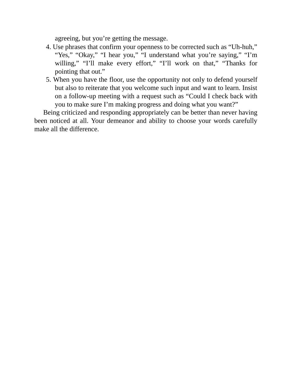agreeing, but you're getting the message.

- 4. Use phrases that confirm your openness to be corrected such as "Uh-huh," "Yes," "Okay," "I hear you," "I understand what you're saying," "I'm willing," "I'll make every effort," "I'll work on that," "Thanks for pointing that out."
- 5. When you have the floor, use the opportunity not only to defend yourself but also to reiterate that you welcome such input and want to learn. Insist on a follow-up meeting with a request such as "Could I check back with you to make sure I'm making progress and doing what you want?"

Being criticized and responding appropriately can be better than never having been noticed at all. Your demeanor and ability to choose your words carefully make all the difference.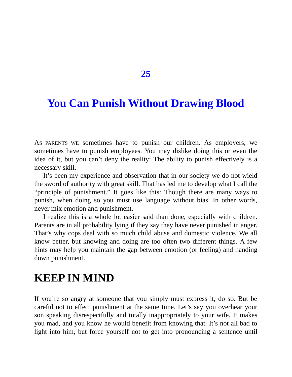### **You Can Punish Without [Drawing](#page-4-1) Blood**

AS PARENTS WE sometimes have to punish our children. As employers, we sometimes have to punish employees. You may dislike doing this or even the idea of it, but you can't deny the reality: The ability to punish effectively is a necessary skill.

It's been my experience and observation that in our society we do not wield the sword of authority with great skill. That has led me to develop what I call the "principle of punishment." It goes like this: Though there are many ways to punish, when doing so you must use language without bias. In other words, never mix emotion and punishment.

I realize this is a whole lot easier said than done, especially with children. Parents are in all probability lying if they say they have never punished in anger. That's why cops deal with so much child abuse and domestic violence. We all know better, but knowing and doing are too often two different things. A few hints may help you maintain the gap between emotion (or feeling) and handing down punishment.

### **KEEP IN MIND**

If you're so angry at someone that you simply must express it, do so. But be careful not to effect punishment at the same time. Let's say you overhear your son speaking disrespectfully and totally inappropriately to your wife. It makes you mad, and you know he would benefit from knowing that. It's not all bad to light into him, but force yourself not to get into pronouncing a sentence until

**[25](#page-4-1)**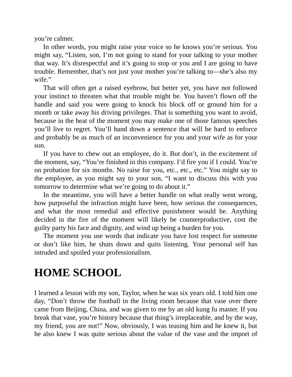you're calmer.

In other words, you might raise your voice so he knows you're serious. You might say, "Listen, son, I'm not going to stand for your talking to your mother that way. It's disrespectful and it's going to stop or you and I are going to have trouble. Remember, that's not just your mother you're talking to—she's also my wife."

That will often get a raised eyebrow, but better yet, you have not followed your instinct to threaten what that trouble might be. You haven't flown off the handle and said you were going to knock his block off or ground him for a month or take away his driving privileges. That is something you want to avoid, because in the heat of the moment you may make one of those famous speeches you'll live to regret. You'll hand down a sentence that will be hard to enforce and probably be as much of an inconvenience for you and your wife as for your son.

If you have to chew out an employee, do it. But don't, in the excitement of the moment, say, "You're finished in this company. I'd fire you if I could. You're on probation for six months. No raise for you, etc., etc., etc." You might say to the employee, as you might say to your son, "I want to discuss this with you tomorrow to determine what we're going to do about it."

In the meantime, you will have a better handle on what really went wrong, how purposeful the infraction might have been, how serious the consequences, and what the most remedial and effective punishment would be. Anything decided in the fire of the moment will likely be counterproductive, cost the guilty party his face and dignity, and wind up being a burden for you.

The moment you use words that indicate you have lost respect for someone or don't like him, he shuts down and quits listening. Your personal self has intruded and spoiled your professionalism.

# **HOME SCHOOL**

I learned a lesson with my son, Taylor, when he was six years old. I told him one day, "Don't throw the football in the living room because that vase over there came from Beijing, China, and was given to me by an old kung fu master. If you break that vase, you're history because that thing's irreplaceable, and by the way, my friend, you are not!" Now, obviously, I was teasing him and he knew it, but he also knew I was quite serious about the value of the vase and the import of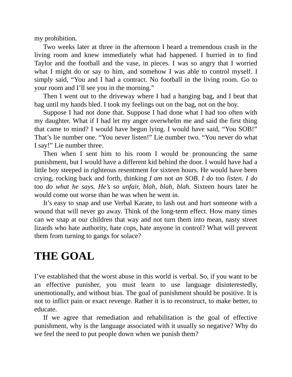my prohibition.

Two weeks later at three in the afternoon I heard a tremendous crash in the living room and knew immediately what had happened. I hurried in to find Taylor and the football and the vase, in pieces. I was so angry that I worried what I might do or say to him, and somehow I was able to control myself. I simply said, "You and I had a contract. No football in the living room. Go to your room and I'll see you in the morning."

Then I went out to the driveway where I had a hanging bag, and I beat that bag until my hands bled. I took my feelings out on the bag, not on the boy.

Suppose I had not done that. Suppose I had done what I had too often with my daughter. What if I had let my anger overwhelm me and said the first thing that came to mind? I would have begun lying. I would have said, "You SOB!" That's lie number one. "You never listen!" Lie number two. "You never do what I say!" Lie number three.

Then when I sent him to his room I would be pronouncing the same punishment, but I would have a different kid behind the door. I would have had a little boy steeped in righteous resentment for sixteen hours. He would have been crying, rocking back and forth, thinking *I am* not *an SOB. I do* too *listen. I do* too *do what he says. He's so unfair, blah, blah, blah.* Sixteen hours later he would come out worse than he was when he went in.

It's easy to snap and use Verbal Karate, to lash out and hurt someone with a wound that will never go away. Think of the long-term effect. How many times can we snap at our children that way and not turn them into mean, nasty street lizards who hate authority, hate cops, hate anyone in control? What will prevent them from turning to gangs for solace?

# **THE GOAL**

I've established that the worst abuse in this world is verbal. So, if you want to be an effective punisher, you must learn to use language disinterestedly, unemotionally, and without bias. The goal of punishment should be positive. It is not to inflict pain or exact revenge. Rather it is to reconstruct, to make better, to educate.

If we agree that remediation and rehabilitation is the goal of effective punishment, why is the language associated with it usually so negative? Why do we feel the need to put people down when we punish them?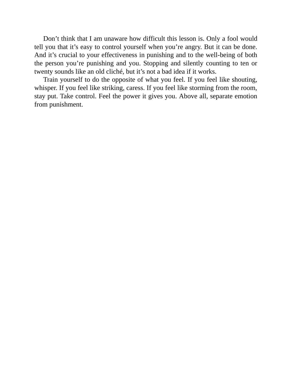Don't think that I am unaware how difficult this lesson is. Only a fool would tell you that it's easy to control yourself when you're angry. But it can be done. And it's crucial to your effectiveness in punishing and to the well-being of both the person you're punishing and you. Stopping and silently counting to ten or twenty sounds like an old cliché, but it's not a bad idea if it works.

Train yourself to do the opposite of what you feel. If you feel like shouting, whisper. If you feel like striking, caress. If you feel like storming from the room, stay put. Take control. Feel the power it gives you. Above all, separate emotion from punishment.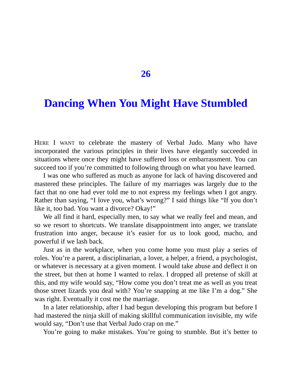### **[26](#page-4-2)**

### **Dancing When You Might Have [Stumbled](#page-4-2)**

HERE I WANT to celebrate the mastery of Verbal Judo. Many who have incorporated the various principles in their lives have elegantly succeeded in situations where once they might have suffered loss or embarrassment. You can succeed too if you're committed to following through on what you have learned.

I was one who suffered as much as anyone for lack of having discovered and mastered these principles. The failure of my marriages was largely due to the fact that no one had ever told me to not express my feelings when I got angry. Rather than saying, "I love you, what's wrong?" I said things like "If you don't like it, too bad. You want a divorce? Okay!"

We all find it hard, especially men, to say what we really feel and mean, and so we resort to shortcuts. We translate disappointment into anger, we translate frustration into anger, because it's easier for us to look good, macho, and powerful if we lash back.

Just as in the workplace, when you come home you must play a series of roles. You're a parent, a disciplinarian, a lover, a helper, a friend, a psychologist, or whatever is necessary at a given moment. I would take abuse and deflect it on the street, but then at home I wanted to relax. I dropped all pretense of skill at this, and my wife would say, "How come you don't treat me as well as you treat those street lizards you deal with? You're snapping at me like I'm a dog." She was right. Eventually it cost me the marriage.

In a later relationship, after I had begun developing this program but before I had mastered the ninja skill of making skillful communication invisible, my wife would say, "Don't use that Verbal Judo crap on me."

You're going to make mistakes. You're going to stumble. But it's better to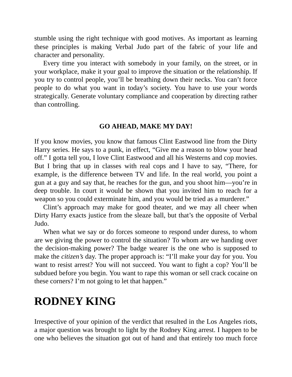stumble using the right technique with good motives. As important as learning these principles is making Verbal Judo part of the fabric of your life and character and personality.

Every time you interact with somebody in your family, on the street, or in your workplace, make it your goal to improve the situation or the relationship. If you try to control people, you'll be breathing down their necks. You can't force people to do what you want in today's society. You have to use your words strategically. Generate voluntary compliance and cooperation by directing rather than controlling.

#### **GO AHEAD, MAKE MY DAY!**

If you know movies, you know that famous Clint Eastwood line from the Dirty Harry series. He says to a punk, in effect, "Give me a reason to blow your head off." I gotta tell you, I love Clint Eastwood and all his Westerns and cop movies. But I bring that up in classes with real cops and I have to say, "There, for example, is the difference between TV and life. In the real world, you point a gun at a guy and say that, he reaches for the gun, and you shoot him—you're in deep trouble. In court it would be shown that you invited him to reach for a weapon so you could exterminate him, and you would be tried as a murderer."

Clint's approach may make for good theater, and we may all cheer when Dirty Harry exacts justice from the sleaze ball, but that's the opposite of Verbal Judo.

When what we say or do forces someone to respond under duress, to whom are we giving the power to control the situation? To whom are we handing over the decision-making power? The badge wearer is the one who is supposed to make the *citizen's* day. The proper approach is: "I'll make your day for you. You want to resist arrest? You will not succeed. You want to fight a cop? You'll be subdued before you begin. You want to rape this woman or sell crack cocaine on these corners? I'm not going to let that happen."

## **RODNEY KING**

Irrespective of your opinion of the verdict that resulted in the Los Angeles riots, a major question was brought to light by the Rodney King arrest. I happen to be one who believes the situation got out of hand and that entirely too much force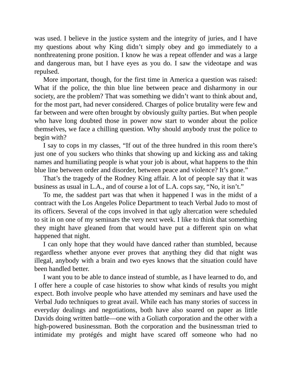was used. I believe in the justice system and the integrity of juries, and I have my questions about why King didn't simply obey and go immediately to a nonthreatening prone position. I know he was a repeat offender and was a large and dangerous man, but I have eyes as you do. I saw the videotape and was repulsed.

More important, though, for the first time in America a question was raised: What if the police, the thin blue line between peace and disharmony in our society, are the problem? That was something we didn't want to think about and, for the most part, had never considered. Charges of police brutality were few and far between and were often brought by obviously guilty parties. But when people who have long doubted those in power now start to wonder about the police themselves, we face a chilling question. Why should anybody trust the police to begin with?

I say to cops in my classes, "If out of the three hundred in this room there's just one of you suckers who thinks that showing up and kicking ass and taking names and humiliating people is what your job is about, what happens to the thin blue line between order and disorder, between peace and violence? It's gone."

That's the tragedy of the Rodney King affair. A lot of people say that it was business as usual in L.A., and of course a lot of L.A. cops say, "No, it isn't."

To me, the saddest part was that when it happened I was in the midst of a contract with the Los Angeles Police Department to teach Verbal Judo to most of its officers. Several of the cops involved in that ugly altercation were scheduled to sit in on one of my seminars the very next week. I like to think that something they might have gleaned from that would have put a different spin on what happened that night.

I can only hope that they would have danced rather than stumbled, because regardless whether anyone ever proves that anything they did that night was illegal, anybody with a brain and two eyes knows that the situation could have been handled better.

I want you to be able to dance instead of stumble, as I have learned to do, and I offer here a couple of case histories to show what kinds of results you might expect. Both involve people who have attended my seminars and have used the Verbal Judo techniques to great avail. While each has many stories of success in everyday dealings and negotiations, both have also soared on paper as little Davids doing written battle—one with a Goliath corporation and the other with a high-powered businessman. Both the corporation and the businessman tried to intimidate my protégés and might have scared off someone who had no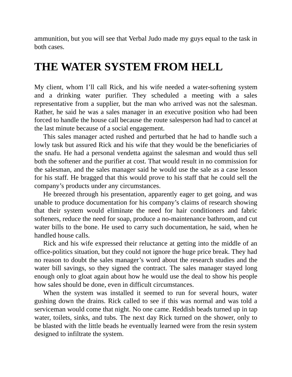ammunition, but you will see that Verbal Judo made my guys equal to the task in both cases.

### **THE WATER SYSTEM FROM HELL**

My client, whom I'll call Rick, and his wife needed a water-softening system and a drinking water purifier. They scheduled a meeting with a sales representative from a supplier, but the man who arrived was not the salesman. Rather, he said he was a sales manager in an executive position who had been forced to handle the house call because the route salesperson had had to cancel at the last minute because of a social engagement.

This sales manager acted rushed and perturbed that he had to handle such a lowly task but assured Rick and his wife that they would be the beneficiaries of the snafu. He had a personal vendetta against the salesman and would thus sell both the softener and the purifier at cost. That would result in no commission for the salesman, and the sales manager said he would use the sale as a case lesson for his staff. He bragged that this would prove to his staff that he could sell the company's products under any circumstances.

He breezed through his presentation, apparently eager to get going, and was unable to produce documentation for his company's claims of research showing that their system would eliminate the need for hair conditioners and fabric softeners, reduce the need for soap, produce a no-maintenance bathroom, and cut water bills to the bone. He used to carry such documentation, he said, when he handled house calls.

Rick and his wife expressed their reluctance at getting into the middle of an office-politics situation, but they could not ignore the huge price break. They had no reason to doubt the sales manager's word about the research studies and the water bill savings, so they signed the contract. The sales manager stayed long enough only to gloat again about how he would use the deal to show his people how sales should be done, even in difficult circumstances.

When the system was installed it seemed to run for several hours, water gushing down the drains. Rick called to see if this was normal and was told a serviceman would come that night. No one came. Reddish beads turned up in tap water, toilets, sinks, and tubs. The next day Rick turned on the shower, only to be blasted with the little beads he eventually learned were from the resin system designed to infiltrate the system.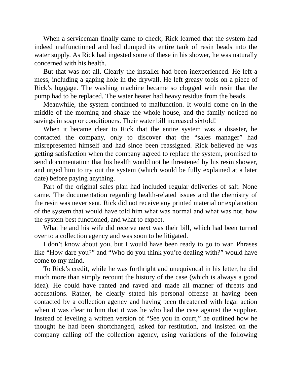When a serviceman finally came to check, Rick learned that the system had indeed malfunctioned and had dumped its entire tank of resin beads into the water supply. As Rick had ingested some of these in his shower, he was naturally concerned with his health.

But that was not all. Clearly the installer had been inexperienced. He left a mess, including a gaping hole in the drywall. He left greasy tools on a piece of Rick's luggage. The washing machine became so clogged with resin that the pump had to be replaced. The water heater had heavy residue from the beads.

Meanwhile, the system continued to malfunction. It would come on in the middle of the morning and shake the whole house, and the family noticed no savings in soap or conditioners. Their water bill increased sixfold!

When it became clear to Rick that the entire system was a disaster, he contacted the company, only to discover that the "sales manager" had misrepresented himself and had since been reassigned. Rick believed he was getting satisfaction when the company agreed to replace the system, promised to send documentation that his health would not be threatened by his resin shower, and urged him to try out the system (which would be fully explained at a later date) before paying anything.

Part of the original sales plan had included regular deliveries of salt. None came. The documentation regarding health-related issues and the chemistry of the resin was never sent. Rick did not receive any printed material or explanation of the system that would have told him what was normal and what was not, how the system best functioned, and what to expect.

What he and his wife did receive next was their bill, which had been turned over to a collection agency and was soon to be litigated.

I don't know about you, but I would have been ready to go to war. Phrases like "How dare you?" and "Who do you think you're dealing with?" would have come to my mind.

To Rick's credit, while he was forthright and unequivocal in his letter, he did much more than simply recount the history of the case (which is always a good idea). He could have ranted and raved and made all manner of threats and accusations. Rather, he clearly stated his personal offense at having been contacted by a collection agency and having been threatened with legal action when it was clear to him that it was he who had the case against the supplier. Instead of leveling a written version of "See you in court," he outlined how he thought he had been shortchanged, asked for restitution, and insisted on the company calling off the collection agency, using variations of the following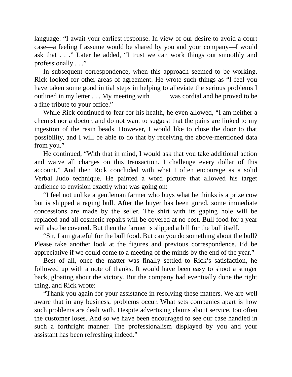language: "I await your earliest response. In view of our desire to avoid a court case—a feeling I assume would be shared by you and your company—I would ask that . . ." Later he added, "I trust we can work things out smoothly and professionally . . ."

In subsequent correspondence, when this approach seemed to be working, Rick looked for other areas of agreement. He wrote such things as "I feel you have taken some good initial steps in helping to alleviate the serious problems I outlined in my letter . . . My meeting with \_\_\_\_\_ was cordial and he proved to be a fine tribute to your office."

While Rick continued to fear for his health, he even allowed, "I am neither a chemist nor a doctor, and do not want to suggest that the pains are linked to my ingestion of the resin beads. However, I would like to close the door to that possibility, and I will be able to do that by receiving the above-mentioned data from you."

He continued, "With that in mind, I would ask that you take additional action and waive all charges on this transaction. I challenge every dollar of this account." And then Rick concluded with what I often encourage as a solid Verbal Judo technique. He painted a word picture that allowed his target audience to envision exactly what was going on:

"I feel not unlike a gentleman farmer who buys what he thinks is a prize cow but is shipped a raging bull. After the buyer has been gored, some immediate concessions are made by the seller. The shirt with its gaping hole will be replaced and all cosmetic repairs will be covered at no cost. Bull food for a year will also be covered. But then the farmer is slipped a bill for the bull itself.

"Sir, I am grateful for the bull food. But can you do something about the bull? Please take another look at the figures and previous correspondence. I'd be appreciative if we could come to a meeting of the minds by the end of the year."

Best of all, once the matter was finally settled to Rick's satisfaction, he followed up with a note of thanks. It would have been easy to shoot a stinger back, gloating about the victory. But the company had eventually done the right thing, and Rick wrote:

"Thank you again for your assistance in resolving these matters. We are well aware that in any business, problems occur. What sets companies apart is how such problems are dealt with. Despite advertising claims about service, too often the customer loses. And so we have been encouraged to see our case handled in such a forthright manner. The professionalism displayed by you and your assistant has been refreshing indeed."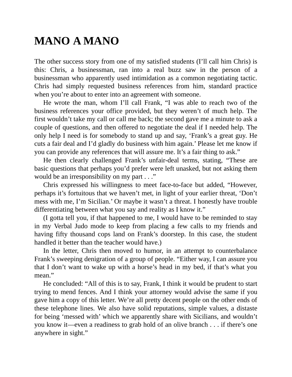# **MANO A MANO**

The other success story from one of my satisfied students (I'll call him Chris) is this: Chris, a businessman, ran into a real buzz saw in the person of a businessman who apparently used intimidation as a common negotiating tactic. Chris had simply requested business references from him, standard practice when you're about to enter into an agreement with someone.

He wrote the man, whom I'll call Frank, "I was able to reach two of the business references your office provided, but they weren't of much help. The first wouldn't take my call or call me back; the second gave me a minute to ask a couple of questions, and then offered to negotiate the deal if I needed help. The only help I need is for somebody to stand up and say, 'Frank's a great guy. He cuts a fair deal and I'd gladly do business with him again.' Please let me know if you can provide any references that will assure me. It's a fair thing to ask."

He then clearly challenged Frank's unfair-deal terms, stating, "These are basic questions that perhaps you'd prefer were left unasked, but not asking them would be an irresponsibility on my part . . ."

Chris expressed his willingness to meet face-to-face but added, "However, perhaps it's fortuitous that we haven't met, in light of your earlier threat, 'Don't mess with me, I'm Sicilian.' Or maybe it wasn't a threat. I honestly have trouble differentiating between what you say and reality as I know it."

(I gotta tell you, if that happened to me, I would have to be reminded to stay in my Verbal Judo mode to keep from placing a few calls to my friends and having fifty thousand cops land on Frank's doorstep. In this case, the student handled it better than the teacher would have.)

In the letter, Chris then moved to humor, in an attempt to counterbalance Frank's sweeping denigration of a group of people. "Either way, I can assure you that I don't want to wake up with a horse's head in my bed, if that's what you mean."

He concluded: "All of this is to say, Frank, I think it would be prudent to start trying to mend fences. And I think your attorney would advise the same if you gave him a copy of this letter. We're all pretty decent people on the other ends of these telephone lines. We also have solid reputations, simple values, a distaste for being 'messed with' which we apparently share with Sicilians, and wouldn't you know it—even a readiness to grab hold of an olive branch . . . if there's one anywhere in sight."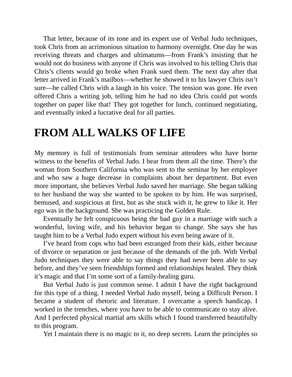That letter, because of its tone and its expert use of Verbal Judo techniques, took Chris from an acrimonious situation to harmony overnight. One day he was receiving threats and charges and ultimatums—from Frank's insisting that he would not do business with anyone if Chris was involved to his telling Chris that Chris's clients would go broke when Frank sued them. The next day after that letter arrived in Frank's mailbox—whether he showed it to his lawyer Chris isn't sure—he called Chris with a laugh in his voice. The tension was gone. He even offered Chris a writing job, telling him he had no idea Chris could put words together on paper like that! They got together for lunch, continued negotiating, and eventually inked a lucrative deal for all parties.

# **FROM ALL WALKS OF LIFE**

My memory is full of testimonials from seminar attendees who have borne witness to the benefits of Verbal Judo. I hear from them all the time. There's the woman from Southern California who was sent to the seminar by her employer and who saw a huge decrease in complaints about her department. But even more important, she believes Verbal Judo saved her marriage. She began talking to her husband the way she wanted to be spoken to by him. He was surprised, bemused, and suspicious at first, but as she stuck with it, he grew to like it. Her ego was in the background. She was practicing the Golden Rule.

Eventually he felt conspicuous being the bad guy in a marriage with such a wonderful, loving wife, and his behavior began to change. She says she has taught him to be a Verbal Judo expert without his even being aware of it.

I've heard from cops who had been estranged from their kids, either because of divorce or separation or just because of the demands of the job. With Verbal Judo techniques they were able to say things they had never been able to say before, and they've seen friendships formed and relationships healed. They think it's magic and that I'm some sort of a family-healing guru.

But Verbal Judo is just common sense. I admit I have the right background for this type of a thing. I needed Verbal Judo myself, being a Difficult Person. I became a student of rhetoric and literature. I overcame a speech handicap. I worked in the trenches, where you have to be able to communicate to stay alive. And I perfected physical martial arts skills which I found transferred beautifully to this program.

Yet I maintain there is no magic to it, no deep secrets. Learn the principles so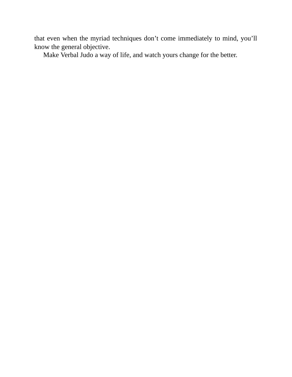that even when the myriad techniques don't come immediately to mind, you'll know the general objective.

Make Verbal Judo a way of life, and watch yours change for the better.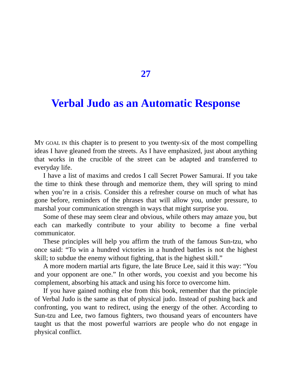**[27](#page-4-3)**

### **Verbal Judo as an [Automatic](#page-4-3) Response**

MY GOAL IN this chapter is to present to you twenty-six of the most compelling ideas I have gleaned from the streets. As I have emphasized, just about anything that works in the crucible of the street can be adapted and transferred to everyday life.

I have a list of maxims and credos I call Secret Power Samurai. If you take the time to think these through and memorize them, they will spring to mind when you're in a crisis. Consider this a refresher course on much of what has gone before, reminders of the phrases that will allow you, under pressure, to marshal your communication strength in ways that might surprise you.

Some of these may seem clear and obvious, while others may amaze you, but each can markedly contribute to your ability to become a fine verbal communicator.

These principles will help you affirm the truth of the famous Sun-tzu, who once said: "To win a hundred victories in a hundred battles is not the highest skill; to subdue the enemy without fighting, that is the highest skill."

A more modern martial arts figure, the late Bruce Lee, said it this way: "You and your opponent are one." In other words, you coexist and you become his complement, absorbing his attack and using his force to overcome him.

If you have gained nothing else from this book, remember that the principle of Verbal Judo is the same as that of physical judo. Instead of pushing back and confronting, you want to redirect, using the energy of the other. According to Sun-tzu and Lee, two famous fighters, two thousand years of encounters have taught us that the most powerful warriors are people who do not engage in physical conflict.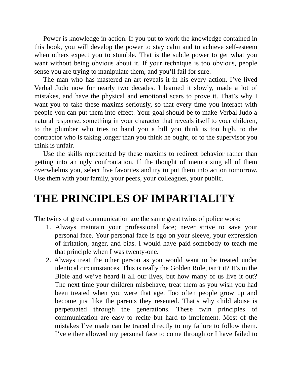Power is knowledge in action. If you put to work the knowledge contained in this book, you will develop the power to stay calm and to achieve self-esteem when others expect you to stumble. That is the subtle power to get what you want without being obvious about it. If your technique is too obvious, people sense you are trying to manipulate them, and you'll fail for sure.

The man who has mastered an art reveals it in his every action. I've lived Verbal Judo now for nearly two decades. I learned it slowly, made a lot of mistakes, and have the physical and emotional scars to prove it. That's why I want you to take these maxims seriously, so that every time you interact with people you can put them into effect. Your goal should be to make Verbal Judo a natural response, something in your character that reveals itself to your children, to the plumber who tries to hand you a bill you think is too high, to the contractor who is taking longer than you think he ought, or to the supervisor you think is unfair.

Use the skills represented by these maxims to redirect behavior rather than getting into an ugly confrontation. If the thought of memorizing all of them overwhelms you, select five favorites and try to put them into action tomorrow. Use them with your family, your peers, your colleagues, your public.

### **THE PRINCIPLES OF IMPARTIALITY**

The twins of great communication are the same great twins of police work:

- 1. Always maintain your professional face; never strive to save your personal face. Your personal face is ego on your sleeve, your expression of irritation, anger, and bias. I would have paid somebody to teach me that principle when I was twenty-one.
- 2. Always treat the other person as you would want to be treated under identical circumstances. This is really the Golden Rule, isn't it? It's in the Bible and we've heard it all our lives, but how many of us live it out? The next time your children misbehave, treat them as you wish you had been treated when you were that age. Too often people grow up and become just like the parents they resented. That's why child abuse is perpetuated through the generations. These twin principles of communication are easy to recite but hard to implement. Most of the mistakes I've made can be traced directly to my failure to follow them. I've either allowed my personal face to come through or I have failed to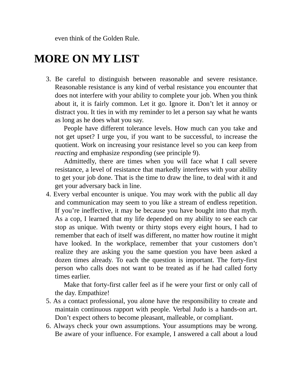even think of the Golden Rule.

# **MORE ON MY LIST**

3. Be careful to distinguish between reasonable and severe resistance. Reasonable resistance is any kind of verbal resistance you encounter that does not interfere with your ability to complete your job. When you think about it, it is fairly common. Let it go. Ignore it. Don't let it annoy or distract you. It ties in with my reminder to let a person say what he wants as long as he does what you say.

People have different tolerance levels. How much can you take and not get upset? I urge you, if you want to be successful, to increase the quotient. Work on increasing your resistance level so you can keep from *reacting* and emphasize *responding* (see principle 9).

Admittedly, there are times when you will face what I call severe resistance, a level of resistance that markedly interferes with your ability to get your job done. That is the time to draw the line, to deal with it and get your adversary back in line.

4. Every verbal encounter is unique. You may work with the public all day and communication may seem to you like a stream of endless repetition. If you're ineffective, it may be because you have bought into that myth. As a cop, I learned that my life depended on my ability to see each car stop as unique. With twenty or thirty stops every eight hours, I had to remember that each of itself was different, no matter how routine it might have looked. In the workplace, remember that your customers don't realize they are asking you the same question you have been asked a dozen times already. To each the question is important. The forty-first person who calls does not want to be treated as if he had called forty times earlier.

Make that forty-first caller feel as if he were your first or only call of the day. Empathize!

- 5. As a contact professional, you alone have the responsibility to create and maintain continuous rapport with people. Verbal Judo is a hands-on art. Don't expect others to become pleasant, malleable, or compliant.
- 6. Always check your own assumptions. Your assumptions may be wrong. Be aware of your influence. For example, I answered a call about a loud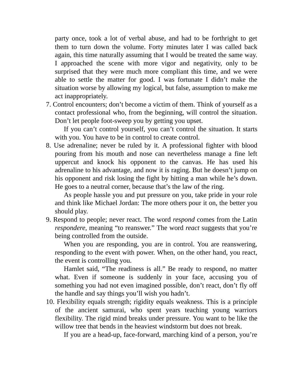party once, took a lot of verbal abuse, and had to be forthright to get them to turn down the volume. Forty minutes later I was called back again, this time naturally assuming that I would be treated the same way. I approached the scene with more vigor and negativity, only to be surprised that they were much more compliant this time, and we were able to settle the matter for good. I was fortunate I didn't make the situation worse by allowing my logical, but false, assumption to make me act inappropriately.

7. Control encounters; don't become a victim of them. Think of yourself as a contact professional who, from the beginning, will control the situation. Don't let people foot-sweep you by getting you upset.

If you can't control yourself, you can't control the situation. It starts with you. You have to be in control to create control.

8. Use adrenaline; never be ruled by it. A professional fighter with blood pouring from his mouth and nose can nevertheless manage a fine left uppercut and knock his opponent to the canvas. He has used his adrenaline to his advantage, and now it is raging. But he doesn't jump on his opponent and risk losing the fight by hitting a man while he's down. He goes to a neutral corner, because that's the law of the ring.

As people hassle you and put pressure on you, take pride in your role and think like Michael Jordan: The more others pour it on, the better you should play.

9. Respond to people; never react. The word *respond* comes from the Latin *respondere,* meaning "to reanswer." The word *react* suggests that you're being controlled from the outside.

When you are responding, you are in control. You are reanswering, responding to the event with power. When, on the other hand, you react, the event is controlling you.

Hamlet said, "The readiness is all." Be ready to respond, no matter what. Even if someone is suddenly in your face, accusing you of something you had not even imagined possible, don't react, don't fly off the handle and say things you'll wish you hadn't.

10. Flexibility equals strength; rigidity equals weakness. This is a principle of the ancient samurai, who spent years teaching young warriors flexibility. The rigid mind breaks under pressure. You want to be like the willow tree that bends in the heaviest windstorm but does not break.

If you are a head-up, face-forward, marching kind of a person, you're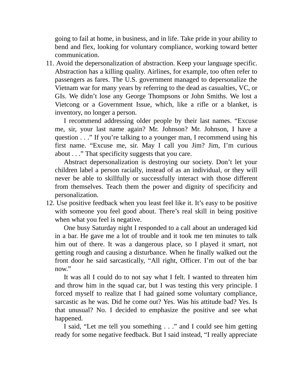going to fail at home, in business, and in life. Take pride in your ability to bend and flex, looking for voluntary compliance, working toward better communication.

11. Avoid the depersonalization of abstraction. Keep your language specific. Abstraction has a killing quality. Airlines, for example, too often refer to passengers as fares. The U.S. government managed to depersonalize the Vietnam war for many years by referring to the dead as casualties, VC, or GIs. We didn't lose any George Thompsons or John Smiths. We lost a Vietcong or a Government Issue, which, like a rifle or a blanket, is inventory, no longer a person.

I recommend addressing older people by their last names. "Excuse me, sir, your last name again? Mr. Johnson? Mr. Johnson, I have a question . . ." If you're talking to a younger man, I recommend using his first name. "Excuse me, sir. May I call you Jim? Jim, I'm curious about . . ." That specificity suggests that you care.

Abstract depersonalization is destroying our society. Don't let your children label a person racially, instead of as an individual, or they will never be able to skillfully or successfully interact with those different from themselves. Teach them the power and dignity of specificity and personalization.

12. Use positive feedback when you least feel like it. It's easy to be positive with someone you feel good about. There's real skill in being positive when what you feel is negative.

One busy Saturday night I responded to a call about an underaged kid in a bar. He gave me a lot of trouble and it took me ten minutes to talk him out of there. It was a dangerous place, so I played it smart, not getting rough and causing a disturbance. When he finally walked out the front door he said sarcastically, "All right, Officer. I'm out of the bar now."

It was all I could do to not say what I felt. I wanted to threaten him and throw him in the squad car, but I was testing this very principle. I forced myself to realize that I had gained some voluntary compliance, sarcastic as he was. Did he come out? Yes. Was his attitude bad? Yes. Is that unusual? No. I decided to emphasize the positive and see what happened.

I said, "Let me tell you something . . ." and I could see him getting ready for some negative feedback. But I said instead, "I really appreciate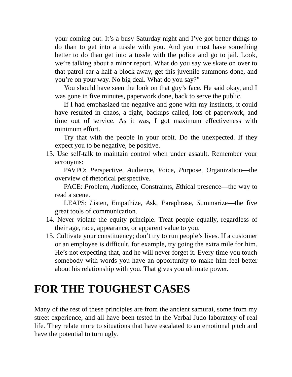your coming out. It's a busy Saturday night and I've got better things to do than to get into a tussle with you. And you must have something better to do than get into a tussle with the police and go to jail. Look, we're talking about a minor report. What do you say we skate on over to that patrol car a half a block away, get this juvenile summons done, and you're on your way. No big deal. What do you say?"

You should have seen the look on that guy's face. He said okay, and I was gone in five minutes, paperwork done, back to serve the public.

If I had emphasized the negative and gone with my instincts, it could have resulted in chaos, a fight, backups called, lots of paperwork, and time out of service. As it was, I got maximum effectiveness with minimum effort.

Try that with the people in your orbit. Do the unexpected. If they expect you to be negative, be positive.

13. Use self-talk to maintain control when under assault. Remember your acronyms:

PAVPO: *P*erspective, *A*udience, *V*oice, *P*urpose, *O*rganization—the overview of rhetorical perspective.

PACE: *P*roblem, *A*udience, *C*onstraints, *E*thical presence—the way to read a scene.

LEAPS: *L*isten, *E*mpathize, *A*sk, *P*araphrase, *S*ummarize—the five great tools of communication.

- 14. Never violate the equity principle. Treat people equally, regardless of their age, race, appearance, or apparent value to you.
- 15. Cultivate your constituency; don't try to run people's lives. If a customer or an employee is difficult, for example, try going the extra mile for him. He's not expecting that, and he will never forget it. Every time you touch somebody with words you have an opportunity to make him feel better about his relationship with you. That gives you ultimate power.

# **FOR THE TOUGHEST CASES**

Many of the rest of these principles are from the ancient samurai, some from my street experience, and all have been tested in the Verbal Judo laboratory of real life. They relate more to situations that have escalated to an emotional pitch and have the potential to turn ugly.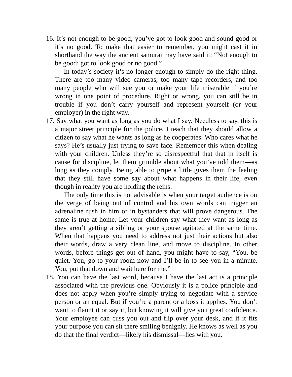16. It's not enough to be good; you've got to look good and sound good or it's no good. To make that easier to remember, you might cast it in shorthand the way the ancient samurai may have said it: "Not enough to be good; got to look good or no good."

In today's society it's no longer enough to simply do the right thing. There are too many video cameras, too many tape recorders, and too many people who will sue you or make your life miserable if you're wrong in one point of procedure. Right or wrong, you can still be in trouble if you don't carry yourself and represent yourself (or your employer) in the right way.

17. Say what you want as long as you do what I say. Needless to say, this is a major street principle for the police. I teach that they should allow a citizen to say what he wants as long as he cooperates. Who cares what he says? He's usually just trying to save face. Remember this when dealing with your children. Unless they're so disrespectful that that in itself is cause for discipline, let them grumble about what you've told them—as long as they comply. Being able to gripe a little gives them the feeling that they still have some say about what happens in their life, even though in reality you are holding the reins.

The only time this is not advisable is when your target audience is on the verge of being out of control and his own words can trigger an adrenaline rush in him or in bystanders that will prove dangerous. The same is true at home. Let your children say what they want as long as they aren't getting a sibling or your spouse agitated at the same time. When that happens you need to address not just their actions but also their words, draw a very clean line, and move to discipline. In other words, before things get out of hand, you might have to say, "You, be quiet. You, go to your room now and I'll be in to see you in a minute. You, put that down and wait here for me."

18. You can have the last word, because I have the last act is a principle associated with the previous one. Obviously it is a police principle and does not apply when you're simply trying to negotiate with a service person or an equal. But if you're a parent or a boss it applies. You don't want to flaunt it or say it, but knowing it will give you great confidence. Your employee can cuss you out and flip over your desk, and if it fits your purpose you can sit there smiling benignly. He knows as well as you do that the final verdict—likely his dismissal—lies with you.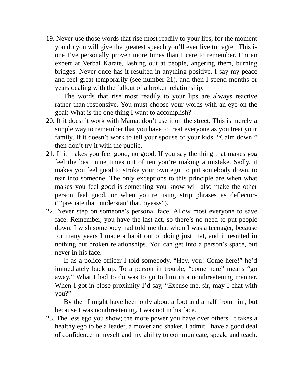19. Never use those words that rise most readily to your lips, for the moment you do you will give the greatest speech you'll ever live to regret. This is one I've personally proven more times than I care to remember. I'm an expert at Verbal Karate, lashing out at people, angering them, burning bridges. Never once has it resulted in anything positive. I say my peace and feel great temporarily (see number 21), and then I spend months or years dealing with the fallout of a broken relationship.

The words that rise most readily to your lips are always reactive rather than responsive. You must choose your words with an eye on the goal: What is the one thing I want to accomplish?

- 20. If it doesn't work with Mama, don't use it on the street. This is merely a simple way to remember that you have to treat everyone as you treat your family. If it doesn't work to tell your spouse or your kids, "Calm down!" then don't try it with the public.
- 21. If it makes you feel good, no good. If you say the thing that makes *you* feel the best, nine times out of ten you're making a mistake. Sadly, it makes you feel good to stroke your own ego, to put somebody down, to tear into someone. The only exceptions to this principle are when what makes you feel good is something you know will also make the other person feel good, or when you're using strip phrases as deflectors ("'preciate that, understan' that, oyesss").
- 22. Never step on someone's personal face. Allow most everyone to save face. Remember, you have the last act, so there's no need to put people down. I wish somebody had told me that when I was a teenager, because for many years I made a habit out of doing just that, and it resulted in nothing but broken relationships. You can get into a person's space, but never in his face.

If as a police officer I told somebody, "Hey, you! Come here!" he'd immediately back up. To a person in trouble, "come here" means "go away." What I had to do was to go to him in a nonthreatening manner. When I got in close proximity I'd say, "Excuse me, sir, may I chat with you?"

By then I might have been only about a foot and a half from him, but because I was nonthreatening, I was not in his face.

23. The less ego you show; the more power you have over others. It takes a healthy ego to be a leader, a mover and shaker. I admit I have a good deal of confidence in myself and my ability to communicate, speak, and teach.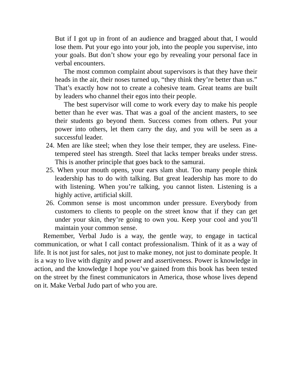But if I got up in front of an audience and bragged about that, I would lose them. Put your ego into your job, into the people you supervise, into your goals. But don't show your ego by revealing your personal face in verbal encounters.

The most common complaint about supervisors is that they have their heads in the air, their noses turned up, "they think they're better than us." That's exactly how not to create a cohesive team. Great teams are built by leaders who channel their egos into their people.

The best supervisor will come to work every day to make his people better than he ever was. That was a goal of the ancient masters, to see their students go beyond them. Success comes from others. Put your power into others, let them carry the day, and you will be seen as a successful leader.

- 24. Men are like steel; when they lose their temper, they are useless. Finetempered steel has strength. Steel that lacks temper breaks under stress. This is another principle that goes back to the samurai.
- 25. When your mouth opens, your ears slam shut. Too many people think leadership has to do with talking. But great leadership has more to do with listening. When you're talking, you cannot listen. Listening is a highly active, artificial skill.
- 26. Common sense is most uncommon under pressure. Everybody from customers to clients to people on the street know that if they can get under your skin, they're going to own you. Keep your cool and you'll maintain your common sense.

Remember, Verbal Judo is a way, the gentle way, to engage in tactical communication, or what I call contact professionalism. Think of it as a way of life. It is not just for sales, not just to make money, not just to dominate people. It is a way to live with dignity and power and assertiveness. Power is knowledge in action, and the knowledge I hope you've gained from this book has been tested on the street by the finest communicators in America, those whose lives depend on it. Make Verbal Judo part of who you are.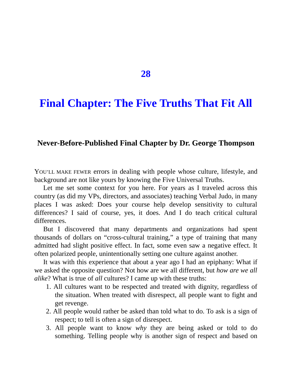### **Final [Chapter:](#page-4-4) The Five Truths That Fit All**

#### **Never-Before-Published Final Chapter by Dr. George Thompson**

YOU'LL MAKE FEWER errors in dealing with people whose culture, lifestyle, and background are not like yours by knowing the Five Universal Truths.

Let me set some context for you here. For years as I traveled across this country (as did my VPs, directors, and associates) teaching Verbal Judo, in many places I was asked: Does your course help develop sensitivity to cultural differences? I said of course, yes, it does. And I do teach critical cultural differences.

But I discovered that many departments and organizations had spent thousands of dollars on "cross-cultural training," a type of training that many admitted had slight positive effect. In fact, some even saw a negative effect. It often polarized people, unintentionally setting one culture against another.

It was with this experience that about a year ago I had an epiphany: What if we asked the opposite question? Not how are we all different, but *how are we all alike*? What is true of *all* cultures? I came up with these truths:

- 1. All cultures want to be respected and treated with dignity, regardless of the situation. When treated with disrespect, all people want to fight and get revenge.
- 2. All people would rather be asked than told what to do. To ask is a sign of respect; to tell is often a sign of disrespect.
- 3. All people want to know *why* they are being asked or told to do something. Telling people why is another sign of respect and based on

**[28](#page-4-4)**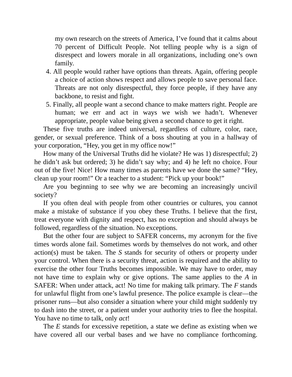my own research on the streets of America, I've found that it calms about 70 percent of Difficult People. Not telling people why is a sign of disrespect and lowers morale in all organizations, including one's own family.

- 4. All people would rather have options than threats. Again, offering people a choice of action shows respect and allows people to save personal face. Threats are not only disrespectful, they force people, if they have any backbone, to resist and fight.
- 5. Finally, all people want a second chance to make matters right. People are human; we err and act in ways we wish we hadn't. Whenever appropriate, people value being given a second chance to get it right.

These five truths are indeed universal, regardless of culture, color, race, gender, or sexual preference. Think of a boss shouting at you in a hallway of your corporation, "Hey, you get in my office now!"

How many of the Universal Truths did he violate? He was 1) disrespectful; 2) he didn't ask but ordered; 3) he didn't say why; and 4) he left no choice. Four out of the five! Nice! How many times as parents have we done the same? "Hey, clean up your room!" Or a teacher to a student: "Pick up your book!"

Are you beginning to see why we are becoming an increasingly uncivil society?

If you often deal with people from other countries or cultures, you cannot make a mistake of substance if you obey these Truths. I believe that the first, treat everyone with dignity and respect, has no exception and should always be followed, regardless of the situation. No exceptions.

But the other four are subject to SAFER concerns, my acronym for the five times words alone fail. Sometimes words by themselves do not work, and other action(s) must be taken. The *S* stands for security of others or property under your control. When there is a security threat, action is required and the ability to exercise the other four Truths becomes impossible. We may have to order, may not have time to explain why or give options. The same applies to the *A* in SAFER: When under attack, act! No time for making talk primary. The *F* stands for unlawful flight from one's lawful presence. The police example is clear—the prisoner runs—but also consider a situation where your child might suddenly try to dash into the street, or a patient under your authority tries to flee the hospital. You have no time to talk, only *act*!

The *E* stands for excessive repetition, a state we define as existing when we have covered all our verbal bases and we have no compliance forthcoming.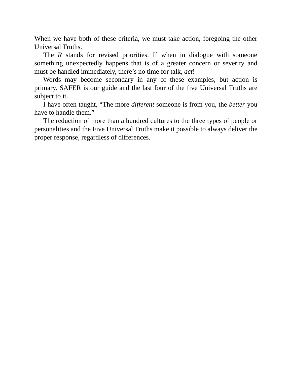When we have both of these criteria, we must take action, foregoing the other Universal Truths.

The *R* stands for revised priorities. If when in dialogue with someone something unexpectedly happens that is of a greater concern or severity and must be handled immediately, there's no time for talk, *act*!

Words may become secondary in any of these examples, but action is primary. SAFER is our guide and the last four of the five Universal Truths are subject to it.

I have often taught, "The more *different* someone is from you, the *better* you have to handle them."

The reduction of more than a hundred cultures to the three types of people or personalities and the Five Universal Truths make it possible to always deliver the proper response, regardless of differences.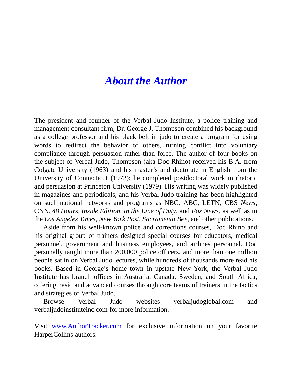## *About the [Author](#page-4-5)*

The president and founder of the Verbal Judo Institute, a police training and management consultant firm, Dr. George J. Thompson combined his background as a college professor and his black belt in judo to create a program for using words to redirect the behavior of others, turning conflict into voluntary compliance through persuasion rather than force. The author of four books on the subject of Verbal Judo, Thompson (aka Doc Rhino) received his B.A. from Colgate University (1963) and his master's and doctorate in English from the University of Connecticut (1972); he completed postdoctoral work in rhetoric and persuasion at Princeton University (1979). His writing was widely published in magazines and periodicals, and his Verbal Judo training has been highlighted on such national networks and programs as NBC, ABC, LETN, CBS *News*, CNN, *48 Hours*, *Inside Edition*, *In the Line of Duty*, and *Fox News*, as well as in the *Los Angeles Times*, *New York Post*, *Sacramento Bee*, and other publications.

Aside from his well-known police and corrections courses, Doc Rhino and his original group of trainers designed special courses for educators, medical personnel, government and business employees, and airlines personnel. Doc personally taught more than 200,000 police officers, and more than one million people sat in on Verbal Judo lectures, while hundreds of thousands more read his books. Based in George's home town in upstate New York, the Verbal Judo Institute has branch offices in Australia, Canada, Sweden, and South Africa, offering basic and advanced courses through core teams of trainers in the tactics and strategies of Verbal Judo.

Browse Verbal Judo websites verbaljudoglobal.com and verbaljudoinstituteinc.com for more information.

Visit [www.AuthorTracker.com](http://www.AuthorTracker.com) for exclusive information on your favorite HarperCollins authors.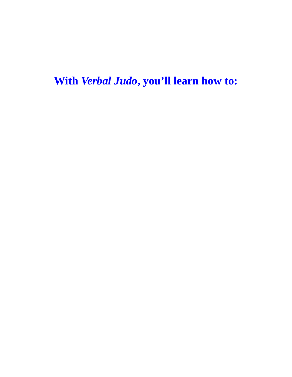**With** *[Verbal](#page-4-6) Judo***, you'll learn how to:**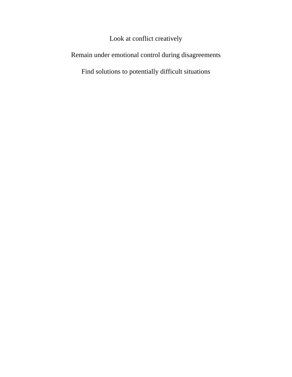### Look at conflict creatively

Remain under emotional control during disagreements

Find solutions to potentially difficult situations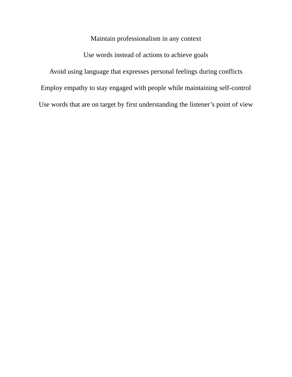Maintain professionalism in any context

Use words instead of actions to achieve goals

Avoid using language that expresses personal feelings during conflicts Employ empathy to stay engaged with people while maintaining self-control Use words that are on target by first understanding the listener's point of view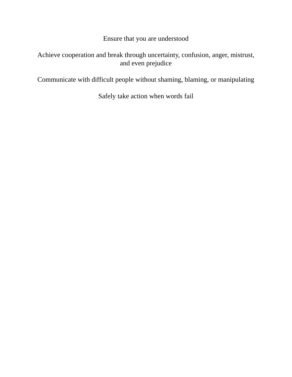Ensure that you are understood

#### Achieve cooperation and break through uncertainty, confusion, anger, mistrust, and even prejudice

Communicate with difficult people without shaming, blaming, or manipulating

Safely take action when words fail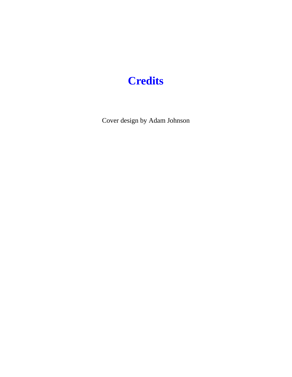# **[Credits](#page-4-0)**

Cover design by Adam Johnson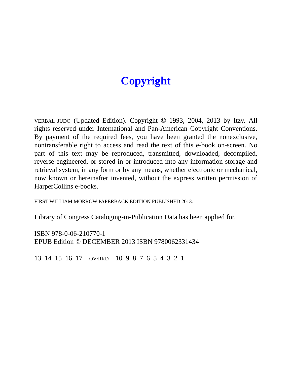# **[Copyright](#page-4-1)**

VERBAL JUDO (Updated Edition). Copyright © 1993, 2004, 2013 by Itzy. All rights reserved under International and Pan-American Copyright Conventions. By payment of the required fees, you have been granted the nonexclusive, nontransferable right to access and read the text of this e-book on-screen. No part of this text may be reproduced, transmitted, downloaded, decompiled, reverse-engineered, or stored in or introduced into any information storage and retrieval system, in any form or by any means, whether electronic or mechanical, now known or hereinafter invented, without the express written permission of HarperCollins e-books.

FIRST WILLIAM MORROW PAPERBACK EDITION PUBLISHED 2013.

Library of Congress Cataloging-in-Publication Data has been applied for.

ISBN 978-0-06-210770-1 EPUB Edition © DECEMBER 2013 ISBN 9780062331434

13 14 15 16 17 OV/RRD 10 9 8 7 6 5 4 3 2 1